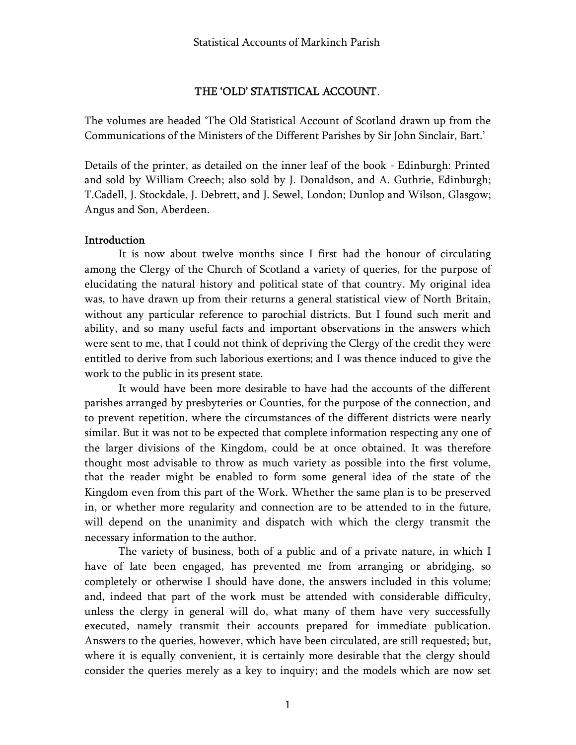# THE 'OLD' STATISTICAL ACCOUNT.

The volumes are headed 'The Old Statistical Account of Scotland drawn up from the Communications of the Ministers of the Different Parishes by Sir John Sinclair, Bart.'

Details of the printer, as detailed on the inner leaf of the book - Edinburgh: Printed and sold by William Creech; also sold by J. Donaldson, and A. Guthrie, Edinburgh; T.Cadell, J. Stockdale, J. Debrett, and J. Sewel, London; Dunlop and Wilson, Glasgow; Angus and Son, Aberdeen.

# **Introduction**

It is now about twelve months since I first had the honour of circulating among the Clergy of the Church of Scotland a variety of queries, for the purpose of elucidating the natural history and political state of that country. My original idea was, to have drawn up from their returns a general statistical view of North Britain, without any particular reference to parochial districts. But I found such merit and ability, and so many useful facts and important observations in the answers which were sent to me, that I could not think of depriving the Clergy of the credit they were entitled to derive from such laborious exertions; and I was thence induced to give the work to the public in its present state.

It would have been more desirable to have had the accounts of the different parishes arranged by presbyteries or Counties, for the purpose of the connection, and to prevent repetition, where the circumstances of the different districts were nearly similar. But it was not to be expected that complete information respecting any one of the larger divisions of the Kingdom, could be at once obtained. It was therefore thought most advisable to throw as much variety as possible into the first volume, that the reader might be enabled to form some general idea of the state of the Kingdom even from this part of the Work. Whether the same plan is to be preserved in, or whether more regularity and connection are to be attended to in the future, will depend on the unanimity and dispatch with which the clergy transmit the necessary information to the author.

The variety of business, both of a public and of a private nature, in which I have of late been engaged, has prevented me from arranging or abridging, so completely or otherwise I should have done, the answers included in this volume; and, indeed that part of the work must be attended with considerable difficulty, unless the clergy in general will do, what many of them have very successfully executed, namely transmit their accounts prepared for immediate publication. Answers to the queries, however, which have been circulated, are still requested; but, where it is equally convenient, it is certainly more desirable that the clergy should consider the queries merely as a key to inquiry; and the models which are now set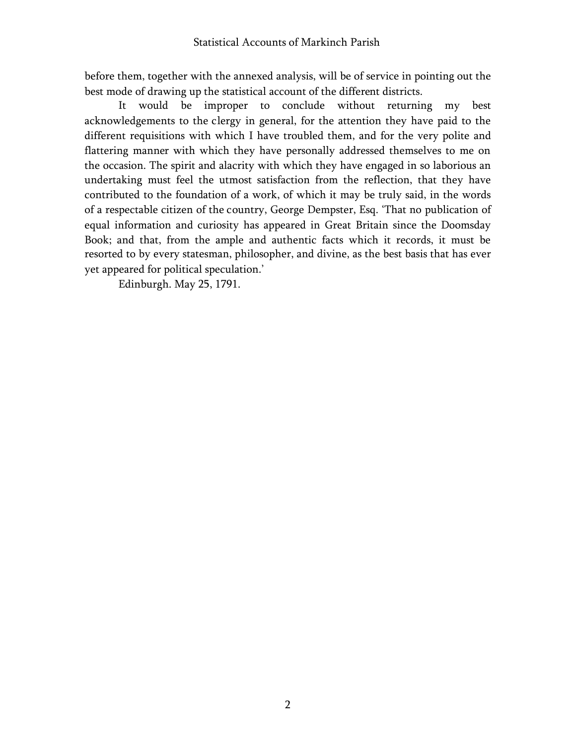before them, together with the annexed analysis, will be of service in pointing out the best mode of drawing up the statistical account of the different districts.

It would be improper to conclude without returning my best acknowledgements to the clergy in general, for the attention they have paid to the different requisitions with which I have troubled them, and for the very polite and flattering manner with which they have personally addressed themselves to me on the occasion. The spirit and alacrity with which they have engaged in so laborious an undertaking must feel the utmost satisfaction from the reflection, that they have contributed to the foundation of a work, of which it may be truly said, in the words of a respectable citizen of the country, George Dempster, Esq. 'That no publication of equal information and curiosity has appeared in Great Britain since the Doomsday Book; and that, from the ample and authentic facts which it records, it must be resorted to by every statesman, philosopher, and divine, as the best basis that has ever yet appeared for political speculation.'

Edinburgh. May 25, 1791.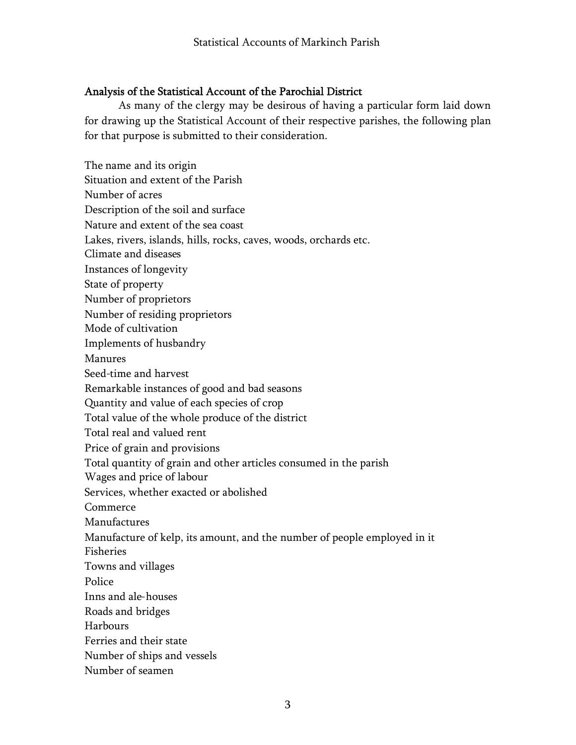# Analysis of the Statistical Account of the Parochial District

As many of the clergy may be desirous of having a particular form laid down for drawing up the Statistical Account of their respective parishes, the following plan for that purpose is submitted to their consideration.

The name and its origin Situation and extent of the Parish Number of acres Description of the soil and surface Nature and extent of the sea coast Lakes, rivers, islands, hills, rocks, caves, woods, orchards etc. Climate and diseases Instances of longevity State of property Number of proprietors Number of residing proprietors Mode of cultivation Implements of husbandry Manures Seed-time and harvest Remarkable instances of good and bad seasons Quantity and value of each species of crop Total value of the whole produce of the district Total real and valued rent Price of grain and provisions Total quantity of grain and other articles consumed in the parish Wages and price of labour Services, whether exacted or abolished Commerce Manufactures Manufacture of kelp, its amount, and the number of people employed in it Fisheries Towns and villages **Police** Inns and ale-houses Roads and bridges Harbours Ferries and their state Number of ships and vessels Number of seamen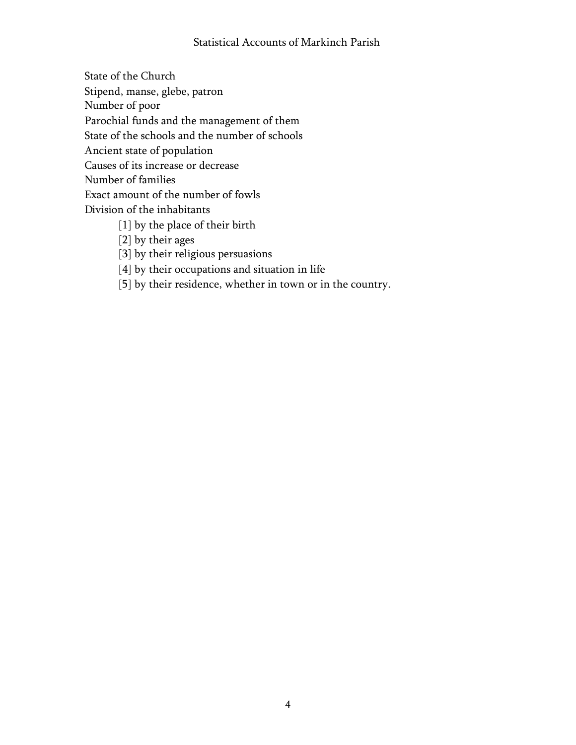# Statistical Accounts of Markinch Parish

State of the Church Stipend, manse, glebe, patron Number of poor Parochial funds and the management of them State of the schools and the number of schools Ancient state of population Causes of its increase or decrease Number of families Exact amount of the number of fowls Division of the inhabitants [1] by the place of their birth [2] by their ages

- [3] by their religious persuasions
- [4] by their occupations and situation in life
- [5] by their residence, whether in town or in the country.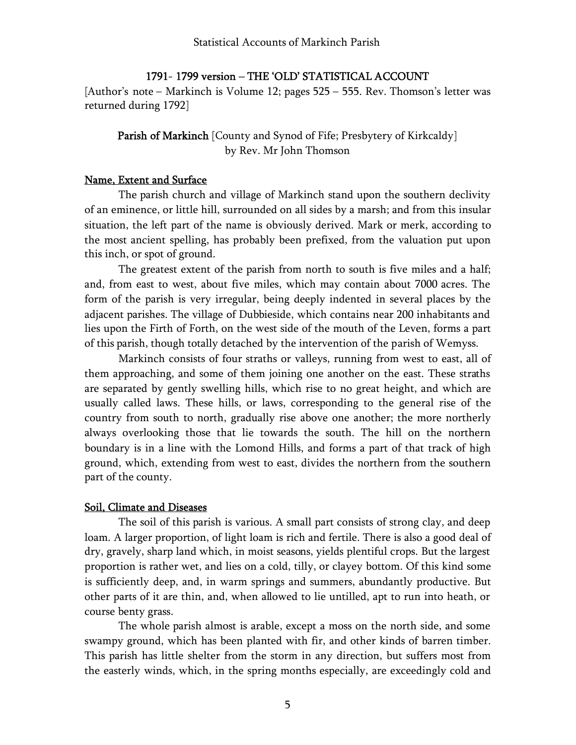# 1791- 1799 version – THE 'OLD' STATISTICAL ACCOUNT

[Author's note – Markinch is Volume 12; pages 525 – 555. Rev. Thomson's letter was returned during 1792]

# Parish of Markinch [County and Synod of Fife; Presbytery of Kirkcaldy] by Rev. Mr John Thomson

### Name, Extent and Surface

The parish church and village of Markinch stand upon the southern declivity of an eminence, or little hill, surrounded on all sides by a marsh; and from this insular situation, the left part of the name is obviously derived. Mark or merk, according to the most ancient spelling, has probably been prefixed, from the valuation put upon this inch, or spot of ground.

The greatest extent of the parish from north to south is five miles and a half; and, from east to west, about five miles, which may contain about 7000 acres. The form of the parish is very irregular, being deeply indented in several places by the adjacent parishes. The village of Dubbieside, which contains near 200 inhabitants and lies upon the Firth of Forth, on the west side of the mouth of the Leven, forms a part of this parish, though totally detached by the intervention of the parish of Wemyss.

Markinch consists of four straths or valleys, running from west to east, all of them approaching, and some of them joining one another on the east. These straths are separated by gently swelling hills, which rise to no great height, and which are usually called laws. These hills, or laws, corresponding to the general rise of the country from south to north, gradually rise above one another; the more northerly always overlooking those that lie towards the south. The hill on the northern boundary is in a line with the Lomond Hills, and forms a part of that track of high ground, which, extending from west to east, divides the northern from the southern part of the county.

#### Soil, Climate and Diseases

The soil of this parish is various. A small part consists of strong clay, and deep loam. A larger proportion, of light loam is rich and fertile. There is also a good deal of dry, gravely, sharp land which, in moist seasons, yields plentiful crops. But the largest proportion is rather wet, and lies on a cold, tilly, or clayey bottom. Of this kind some is sufficiently deep, and, in warm springs and summers, abundantly productive. But other parts of it are thin, and, when allowed to lie untilled, apt to run into heath, or course benty grass.

The whole parish almost is arable, except a moss on the north side, and some swampy ground, which has been planted with fir, and other kinds of barren timber. This parish has little shelter from the storm in any direction, but suffers most from the easterly winds, which, in the spring months especially, are exceedingly cold and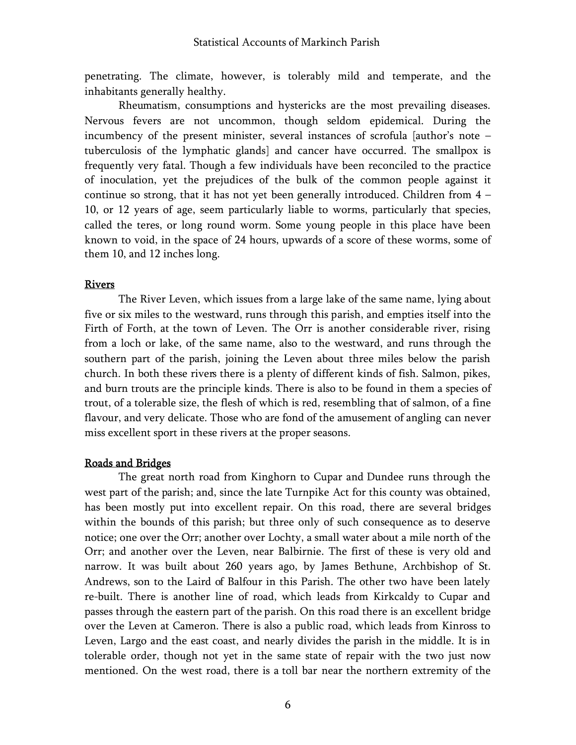penetrating. The climate, however, is tolerably mild and temperate, and the inhabitants generally healthy.

Rheumatism, consumptions and hystericks are the most prevailing diseases. Nervous fevers are not uncommon, though seldom epidemical. During the incumbency of the present minister, several instances of scrofula [author's note – tuberculosis of the lymphatic glands] and cancer have occurred. The smallpox is frequently very fatal. Though a few individuals have been reconciled to the practice of inoculation, yet the prejudices of the bulk of the common people against it continue so strong, that it has not yet been generally introduced. Children from 4 – 10, or 12 years of age, seem particularly liable to worms, particularly that species, called the teres, or long round worm. Some young people in this place have been known to void, in the space of 24 hours, upwards of a score of these worms, some of them 10, and 12 inches long.

#### **Rivers**

The River Leven, which issues from a large lake of the same name, lying about five or six miles to the westward, runs through this parish, and empties itself into the Firth of Forth, at the town of Leven. The Orr is another considerable river, rising from a loch or lake, of the same name, also to the westward, and runs through the southern part of the parish, joining the Leven about three miles below the parish church. In both these rivers there is a plenty of different kinds of fish. Salmon, pikes, and burn trouts are the principle kinds. There is also to be found in them a species of trout, of a tolerable size, the flesh of which is red, resembling that of salmon, of a fine flavour, and very delicate. Those who are fond of the amusement of angling can never miss excellent sport in these rivers at the proper seasons.

#### Roads and Bridges

The great north road from Kinghorn to Cupar and Dundee runs through the west part of the parish; and, since the late Turnpike Act for this county was obtained, has been mostly put into excellent repair. On this road, there are several bridges within the bounds of this parish; but three only of such consequence as to deserve notice; one over the Orr; another over Lochty, a small water about a mile north of the Orr; and another over the Leven, near Balbirnie. The first of these is very old and narrow. It was built about 260 years ago, by James Bethune, Archbishop of St. Andrews, son to the Laird of Balfour in this Parish. The other two have been lately re-built. There is another line of road, which leads from Kirkcaldy to Cupar and passes through the eastern part of the parish. On this road there is an excellent bridge over the Leven at Cameron. There is also a public road, which leads from Kinross to Leven, Largo and the east coast, and nearly divides the parish in the middle. It is in tolerable order, though not yet in the same state of repair with the two just now mentioned. On the west road, there is a toll bar near the northern extremity of the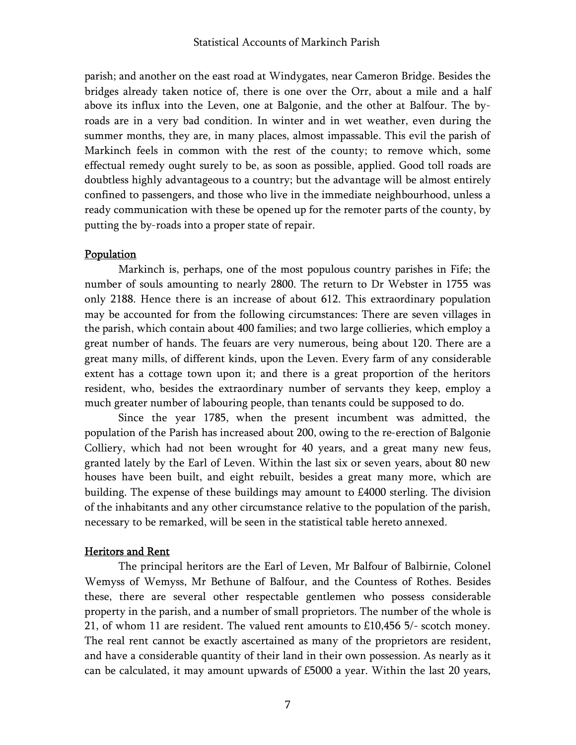parish; and another on the east road at Windygates, near Cameron Bridge. Besides the bridges already taken notice of, there is one over the Orr, about a mile and a half above its influx into the Leven, one at Balgonie, and the other at Balfour. The byroads are in a very bad condition. In winter and in wet weather, even during the summer months, they are, in many places, almost impassable. This evil the parish of Markinch feels in common with the rest of the county; to remove which, some effectual remedy ought surely to be, as soon as possible, applied. Good toll roads are doubtless highly advantageous to a country; but the advantage will be almost entirely confined to passengers, and those who live in the immediate neighbourhood, unless a ready communication with these be opened up for the remoter parts of the county, by putting the by-roads into a proper state of repair.

# Population

Markinch is, perhaps, one of the most populous country parishes in Fife; the number of souls amounting to nearly 2800. The return to Dr Webster in 1755 was only 2188. Hence there is an increase of about 612. This extraordinary population may be accounted for from the following circumstances: There are seven villages in the parish, which contain about 400 families; and two large collieries, which employ a great number of hands. The feuars are very numerous, being about 120. There are a great many mills, of different kinds, upon the Leven. Every farm of any considerable extent has a cottage town upon it; and there is a great proportion of the heritors resident, who, besides the extraordinary number of servants they keep, employ a much greater number of labouring people, than tenants could be supposed to do.

Since the year 1785, when the present incumbent was admitted, the population of the Parish has increased about 200, owing to the re-erection of Balgonie Colliery, which had not been wrought for 40 years, and a great many new feus, granted lately by the Earl of Leven. Within the last six or seven years, about 80 new houses have been built, and eight rebuilt, besides a great many more, which are building. The expense of these buildings may amount to £4000 sterling. The division of the inhabitants and any other circumstance relative to the population of the parish, necessary to be remarked, will be seen in the statistical table hereto annexed.

### Heritors and Rent

The principal heritors are the Earl of Leven, Mr Balfour of Balbirnie, Colonel Wemyss of Wemyss, Mr Bethune of Balfour, and the Countess of Rothes. Besides these, there are several other respectable gentlemen who possess considerable property in the parish, and a number of small proprietors. The number of the whole is 21, of whom 11 are resident. The valued rent amounts to £10,456 5/- scotch money. The real rent cannot be exactly ascertained as many of the proprietors are resident, and have a considerable quantity of their land in their own possession. As nearly as it can be calculated, it may amount upwards of £5000 a year. Within the last 20 years,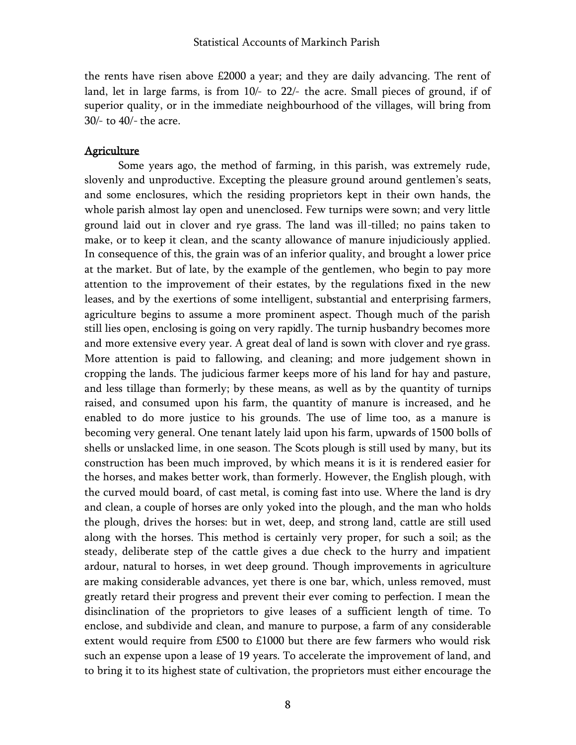the rents have risen above £2000 a year; and they are daily advancing. The rent of land, let in large farms, is from 10/- to 22/- the acre. Small pieces of ground, if of superior quality, or in the immediate neighbourhood of the villages, will bring from 30/- to 40/- the acre.

#### Agriculture

Some years ago, the method of farming, in this parish, was extremely rude, slovenly and unproductive. Excepting the pleasure ground around gentlemen's seats, and some enclosures, which the residing proprietors kept in their own hands, the whole parish almost lay open and unenclosed. Few turnips were sown; and very little ground laid out in clover and rye grass. The land was ill-tilled; no pains taken to make, or to keep it clean, and the scanty allowance of manure injudiciously applied. In consequence of this, the grain was of an inferior quality, and brought a lower price at the market. But of late, by the example of the gentlemen, who begin to pay more attention to the improvement of their estates, by the regulations fixed in the new leases, and by the exertions of some intelligent, substantial and enterprising farmers, agriculture begins to assume a more prominent aspect. Though much of the parish still lies open, enclosing is going on very rapidly. The turnip husbandry becomes more and more extensive every year. A great deal of land is sown with clover and rye grass. More attention is paid to fallowing, and cleaning; and more judgement shown in cropping the lands. The judicious farmer keeps more of his land for hay and pasture, and less tillage than formerly; by these means, as well as by the quantity of turnips raised, and consumed upon his farm, the quantity of manure is increased, and he enabled to do more justice to his grounds. The use of lime too, as a manure is becoming very general. One tenant lately laid upon his farm, upwards of 1500 bolls of shells or unslacked lime, in one season. The Scots plough is still used by many, but its construction has been much improved, by which means it is it is rendered easier for the horses, and makes better work, than formerly. However, the English plough, with the curved mould board, of cast metal, is coming fast into use. Where the land is dry and clean, a couple of horses are only yoked into the plough, and the man who holds the plough, drives the horses: but in wet, deep, and strong land, cattle are still used along with the horses. This method is certainly very proper, for such a soil; as the steady, deliberate step of the cattle gives a due check to the hurry and impatient ardour, natural to horses, in wet deep ground. Though improvements in agriculture are making considerable advances, yet there is one bar, which, unless removed, must greatly retard their progress and prevent their ever coming to perfection. I mean the disinclination of the proprietors to give leases of a sufficient length of time. To enclose, and subdivide and clean, and manure to purpose, a farm of any considerable extent would require from £500 to £1000 but there are few farmers who would risk such an expense upon a lease of 19 years. To accelerate the improvement of land, and to bring it to its highest state of cultivation, the proprietors must either encourage the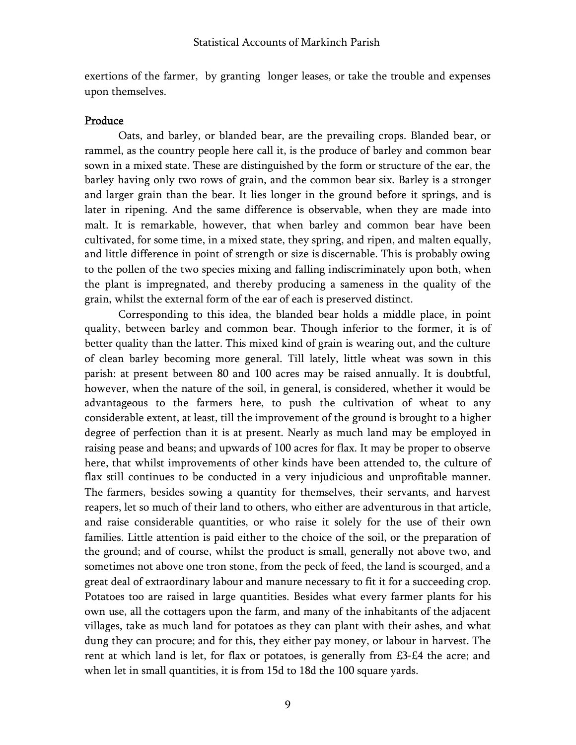exertions of the farmer, by granting longer leases, or take the trouble and expenses upon themselves.

#### Produce

Oats, and barley, or blanded bear, are the prevailing crops. Blanded bear, or rammel, as the country people here call it, is the produce of barley and common bear sown in a mixed state. These are distinguished by the form or structure of the ear, the barley having only two rows of grain, and the common bear six. Barley is a stronger and larger grain than the bear. It lies longer in the ground before it springs, and is later in ripening. And the same difference is observable, when they are made into malt. It is remarkable, however, that when barley and common bear have been cultivated, for some time, in a mixed state, they spring, and ripen, and malten equally, and little difference in point of strength or size is discernable. This is probably owing to the pollen of the two species mixing and falling indiscriminately upon both, when the plant is impregnated, and thereby producing a sameness in the quality of the grain, whilst the external form of the ear of each is preserved distinct.

Corresponding to this idea, the blanded bear holds a middle place, in point quality, between barley and common bear. Though inferior to the former, it is of better quality than the latter. This mixed kind of grain is wearing out, and the culture of clean barley becoming more general. Till lately, little wheat was sown in this parish: at present between 80 and 100 acres may be raised annually. It is doubtful, however, when the nature of the soil, in general, is considered, whether it would be advantageous to the farmers here, to push the cultivation of wheat to any considerable extent, at least, till the improvement of the ground is brought to a higher degree of perfection than it is at present. Nearly as much land may be employed in raising pease and beans; and upwards of 100 acres for flax. It may be proper to observe here, that whilst improvements of other kinds have been attended to, the culture of flax still continues to be conducted in a very injudicious and unprofitable manner. The farmers, besides sowing a quantity for themselves, their servants, and harvest reapers, let so much of their land to others, who either are adventurous in that article, and raise considerable quantities, or who raise it solely for the use of their own families. Little attention is paid either to the choice of the soil, or the preparation of the ground; and of course, whilst the product is small, generally not above two, and sometimes not above one tron stone, from the peck of feed, the land is scourged, and a great deal of extraordinary labour and manure necessary to fit it for a succeeding crop. Potatoes too are raised in large quantities. Besides what every farmer plants for his own use, all the cottagers upon the farm, and many of the inhabitants of the adjacent villages, take as much land for potatoes as they can plant with their ashes, and what dung they can procure; and for this, they either pay money, or labour in harvest. The rent at which land is let, for flax or potatoes, is generally from £3-£4 the acre; and when let in small quantities, it is from 15d to 18d the 100 square yards.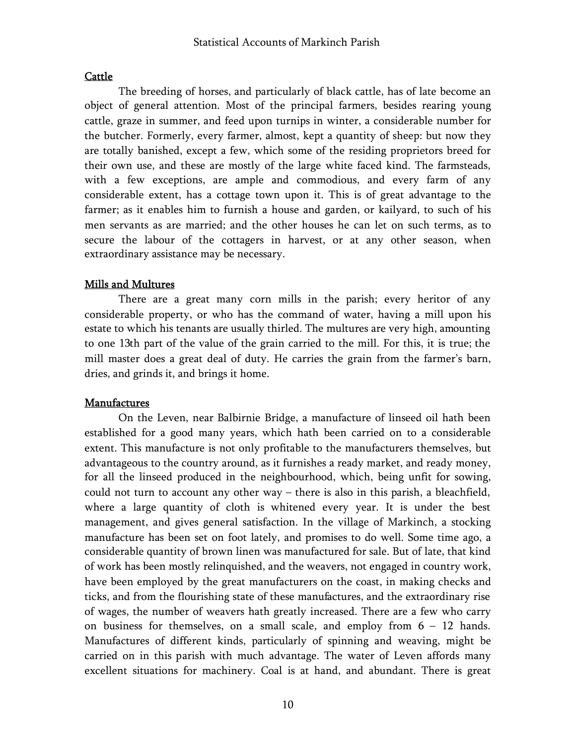# **Cattle**

The breeding of horses, and particularly of black cattle, has of late become an object of general attention. Most of the principal farmers, besides rearing young cattle, graze in summer, and feed upon turnips in winter, a considerable number for the butcher. Formerly, every farmer, almost, kept a quantity of sheep: but now they are totally banished, except a few, which some of the residing proprietors breed for their own use, and these are mostly of the large white faced kind. The farmsteads, with a few exceptions, are ample and commodious, and every farm of any considerable extent, has a cottage town upon it. This is of great advantage to the farmer; as it enables him to furnish a house and garden, or kailyard, to such of his men servants as are married; and the other houses he can let on such terms, as to secure the labour of the cottagers in harvest, or at any other season, when extraordinary assistance may be necessary.

# Mills and Multures

There are a great many corn mills in the parish; every heritor of any considerable property, or who has the command of water, having a mill upon his estate to which his tenants are usually thirled. The multures are very high, amounting to one 13th part of the value of the grain carried to the mill. For this, it is true; the mill master does a great deal of duty. He carries the grain from the farmer's barn, dries, and grinds it, and brings it home.

### Manufactures

On the Leven, near Balbirnie Bridge, a manufacture of linseed oil hath been established for a good many years, which hath been carried on to a considerable extent. This manufacture is not only profitable to the manufacturers themselves, but advantageous to the country around, as it furnishes a ready market, and ready money, for all the linseed produced in the neighbourhood, which, being unfit for sowing, could not turn to account any other way – there is also in this parish, a bleachfield, where a large quantity of cloth is whitened every year. It is under the best management, and gives general satisfaction. In the village of Markinch, a stocking manufacture has been set on foot lately, and promises to do well. Some time ago, a considerable quantity of brown linen was manufactured for sale. But of late, that kind of work has been mostly relinquished, and the weavers, not engaged in country work, have been employed by the great manufacturers on the coast, in making checks and ticks, and from the flourishing state of these manufactures, and the extraordinary rise of wages, the number of weavers hath greatly increased. There are a few who carry on business for themselves, on a small scale, and employ from  $6 - 12$  hands. Manufactures of different kinds, particularly of spinning and weaving, might be carried on in this parish with much advantage. The water of Leven affords many excellent situations for machinery. Coal is at hand, and abundant. There is great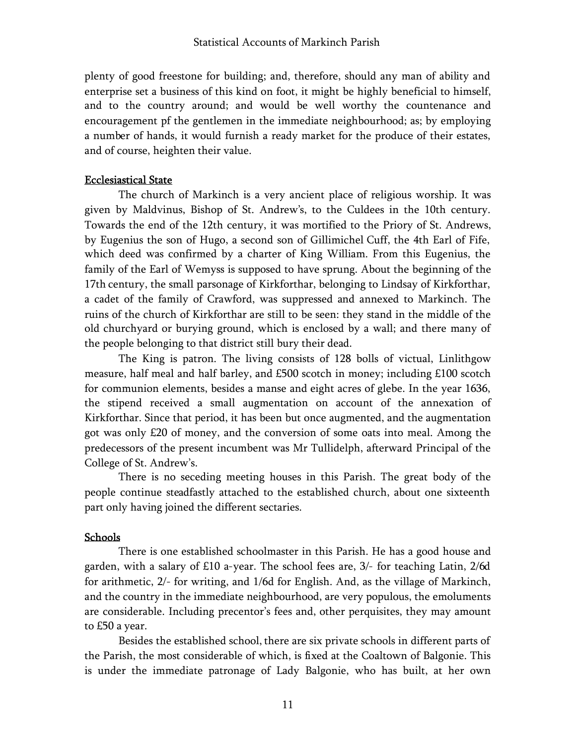plenty of good freestone for building; and, therefore, should any man of ability and enterprise set a business of this kind on foot, it might be highly beneficial to himself, and to the country around; and would be well worthy the countenance and encouragement pf the gentlemen in the immediate neighbourhood; as; by employing a number of hands, it would furnish a ready market for the produce of their estates, and of course, heighten their value.

### Ecclesiastical State

The church of Markinch is a very ancient place of religious worship. It was given by Maldvinus, Bishop of St. Andrew's, to the Culdees in the 10th century. Towards the end of the 12th century, it was mortified to the Priory of St. Andrews, by Eugenius the son of Hugo, a second son of Gillimichel Cuff, the 4th Earl of Fife, which deed was confirmed by a charter of King William. From this Eugenius, the family of the Earl of Wemyss is supposed to have sprung. About the beginning of the 17th century, the small parsonage of Kirkforthar, belonging to Lindsay of Kirkforthar, a cadet of the family of Crawford, was suppressed and annexed to Markinch. The ruins of the church of Kirkforthar are still to be seen: they stand in the middle of the old churchyard or burying ground, which is enclosed by a wall; and there many of the people belonging to that district still bury their dead.

The King is patron. The living consists of 128 bolls of victual, Linlithgow measure, half meal and half barley, and £500 scotch in money; including £100 scotch for communion elements, besides a manse and eight acres of glebe. In the year 1636, the stipend received a small augmentation on account of the annexation of Kirkforthar. Since that period, it has been but once augmented, and the augmentation got was only £20 of money, and the conversion of some oats into meal. Among the predecessors of the present incumbent was Mr Tullidelph, afterward Principal of the College of St. Andrew's.

There is no seceding meeting houses in this Parish. The great body of the people continue steadfastly attached to the established church, about one sixteenth part only having joined the different sectaries.

#### Schools

There is one established schoolmaster in this Parish. He has a good house and garden, with a salary of £10 a-year. The school fees are, 3/- for teaching Latin, 2/6d for arithmetic, 2/- for writing, and 1/6d for English. And, as the village of Markinch, and the country in the immediate neighbourhood, are very populous, the emoluments are considerable. Including precentor's fees and, other perquisites, they may amount to £50 a year.

Besides the established school, there are six private schools in different parts of the Parish, the most considerable of which, is fixed at the Coaltown of Balgonie. This is under the immediate patronage of Lady Balgonie, who has built, at her own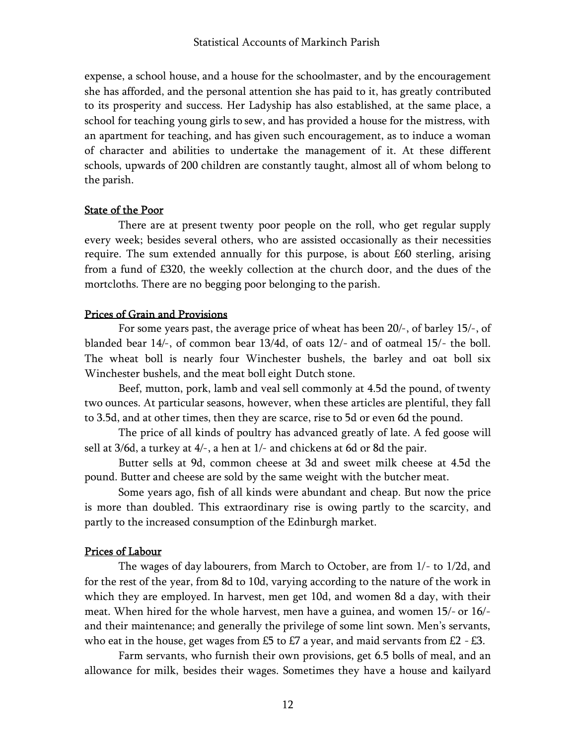expense, a school house, and a house for the schoolmaster, and by the encouragement she has afforded, and the personal attention she has paid to it, has greatly contributed to its prosperity and success. Her Ladyship has also established, at the same place, a school for teaching young girls to sew, and has provided a house for the mistress, with an apartment for teaching, and has given such encouragement, as to induce a woman of character and abilities to undertake the management of it. At these different schools, upwards of 200 children are constantly taught, almost all of whom belong to the parish.

#### State of the Poor

There are at present twenty poor people on the roll, who get regular supply every week; besides several others, who are assisted occasionally as their necessities require. The sum extended annually for this purpose, is about £60 sterling, arising from a fund of £320, the weekly collection at the church door, and the dues of the mortcloths. There are no begging poor belonging to the parish.

#### Prices of Grain and Provisions

For some years past, the average price of wheat has been 20/-, of barley 15/-, of blanded bear 14/-, of common bear 13/4d, of oats 12/- and of oatmeal 15/- the boll. The wheat boll is nearly four Winchester bushels, the barley and oat boll six Winchester bushels, and the meat boll eight Dutch stone.

Beef, mutton, pork, lamb and veal sell commonly at 4.5d the pound, of twenty two ounces. At particular seasons, however, when these articles are plentiful, they fall to 3.5d, and at other times, then they are scarce, rise to 5d or even 6d the pound.

The price of all kinds of poultry has advanced greatly of late. A fed goose will sell at 3/6d, a turkey at 4/-, a hen at 1/- and chickens at 6d or 8d the pair.

Butter sells at 9d, common cheese at 3d and sweet milk cheese at 4.5d the pound. Butter and cheese are sold by the same weight with the butcher meat.

Some years ago, fish of all kinds were abundant and cheap. But now the price is more than doubled. This extraordinary rise is owing partly to the scarcity, and partly to the increased consumption of the Edinburgh market.

### Prices of Labour

The wages of day labourers, from March to October, are from 1/- to 1/2d, and for the rest of the year, from 8d to 10d, varying according to the nature of the work in which they are employed. In harvest, men get 10d, and women 8d a day, with their meat. When hired for the whole harvest, men have a guinea, and women 15/- or 16/ and their maintenance; and generally the privilege of some lint sown. Men's servants, who eat in the house, get wages from £5 to £7 a year, and maid servants from £2 - £3.

Farm servants, who furnish their own provisions, get 6.5 bolls of meal, and an allowance for milk, besides their wages. Sometimes they have a house and kailyard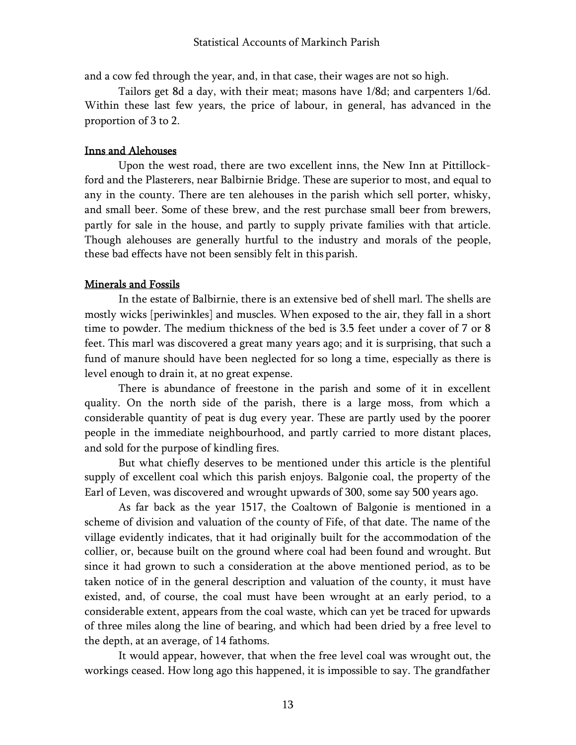and a cow fed through the year, and, in that case, their wages are not so high.

Tailors get 8d a day, with their meat; masons have 1/8d; and carpenters 1/6d. Within these last few years, the price of labour, in general, has advanced in the proportion of 3 to 2.

### Inns and Alehouses

Upon the west road, there are two excellent inns, the New Inn at Pittillockford and the Plasterers, near Balbirnie Bridge. These are superior to most, and equal to any in the county. There are ten alehouses in the parish which sell porter, whisky, and small beer. Some of these brew, and the rest purchase small beer from brewers, partly for sale in the house, and partly to supply private families with that article. Though alehouses are generally hurtful to the industry and morals of the people, these bad effects have not been sensibly felt in this parish.

#### Minerals and Fossils

In the estate of Balbirnie, there is an extensive bed of shell marl. The shells are mostly wicks [periwinkles] and muscles. When exposed to the air, they fall in a short time to powder. The medium thickness of the bed is 3.5 feet under a cover of 7 or 8 feet. This marl was discovered a great many years ago; and it is surprising, that such a fund of manure should have been neglected for so long a time, especially as there is level enough to drain it, at no great expense.

There is abundance of freestone in the parish and some of it in excellent quality. On the north side of the parish, there is a large moss, from which a considerable quantity of peat is dug every year. These are partly used by the poorer people in the immediate neighbourhood, and partly carried to more distant places, and sold for the purpose of kindling fires.

But what chiefly deserves to be mentioned under this article is the plentiful supply of excellent coal which this parish enjoys. Balgonie coal, the property of the Earl of Leven, was discovered and wrought upwards of 300, some say 500 years ago.

As far back as the year 1517, the Coaltown of Balgonie is mentioned in a scheme of division and valuation of the county of Fife, of that date. The name of the village evidently indicates, that it had originally built for the accommodation of the collier, or, because built on the ground where coal had been found and wrought. But since it had grown to such a consideration at the above mentioned period, as to be taken notice of in the general description and valuation of the county, it must have existed, and, of course, the coal must have been wrought at an early period, to a considerable extent, appears from the coal waste, which can yet be traced for upwards of three miles along the line of bearing, and which had been dried by a free level to the depth, at an average, of 14 fathoms.

It would appear, however, that when the free level coal was wrought out, the workings ceased. How long ago this happened, it is impossible to say. The grandfather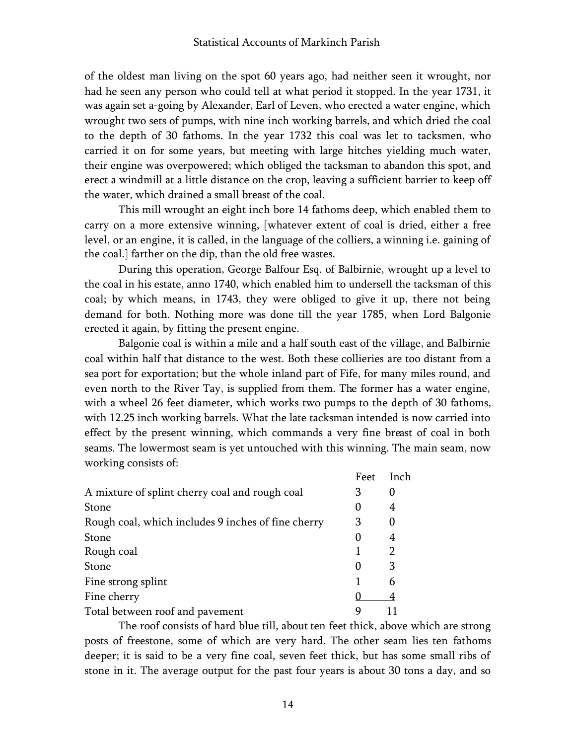of the oldest man living on the spot 60 years ago, had neither seen it wrought, nor had he seen any person who could tell at what period it stopped. In the year 1731, it was again set a-going by Alexander, Earl of Leven, who erected a water engine, which wrought two sets of pumps, with nine inch working barrels, and which dried the coal to the depth of 30 fathoms. In the year 1732 this coal was let to tacksmen, who carried it on for some years, but meeting with large hitches yielding much water, their engine was overpowered; which obliged the tacksman to abandon this spot, and erect a windmill at a little distance on the crop, leaving a sufficient barrier to keep off the water, which drained a small breast of the coal.

This mill wrought an eight inch bore 14 fathoms deep, which enabled them to carry on a more extensive winning, [whatever extent of coal is dried, either a free level, or an engine, it is called, in the language of the colliers, a winning i.e. gaining of the coal.] farther on the dip, than the old free wastes.

During this operation, George Balfour Esq. of Balbirnie, wrought up a level to the coal in his estate, anno 1740, which enabled him to undersell the tacksman of this coal; by which means, in 1743, they were obliged to give it up, there not being demand for both. Nothing more was done till the year 1785, when Lord Balgonie erected it again, by fitting the present engine.

Balgonie coal is within a mile and a half south east of the village, and Balbirnie coal within half that distance to the west. Both these collieries are too distant from a sea port for exportation; but the whole inland part of Fife, for many miles round, and even north to the River Tay, is supplied from them. The former has a water engine, with a wheel 26 feet diameter, which works two pumps to the depth of 30 fathoms, with 12.25 inch working barrels. What the late tacksman intended is now carried into effect by the present winning, which commands a very fine breast of coal in both seams. The lowermost seam is yet untouched with this winning. The main seam, now working consists of:

|                                                    | Feet | Inch |
|----------------------------------------------------|------|------|
| A mixture of splint cherry coal and rough coal     | 3    |      |
| Stone                                              | 0    | 4    |
| Rough coal, which includes 9 inches of fine cherry | 3    | 0    |
| Stone                                              | 0    | 4    |
| Rough coal                                         |      | 2    |
| Stone                                              | 0    | 3    |
| Fine strong splint                                 |      | 6    |
| Fine cherry                                        |      |      |
| Total between roof and pavement                    | g    |      |

The roof consists of hard blue till, about ten feet thick, above which are strong posts of freestone, some of which are very hard. The other seam lies ten fathoms deeper; it is said to be a very fine coal, seven feet thick, but has some small ribs of stone in it. The average output for the past four years is about 30 tons a day, and so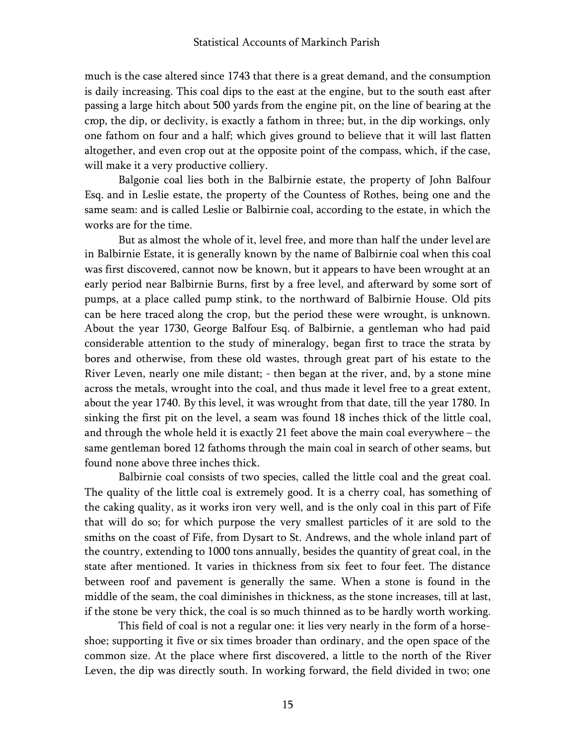much is the case altered since 1743 that there is a great demand, and the consumption is daily increasing. This coal dips to the east at the engine, but to the south east after passing a large hitch about 500 yards from the engine pit, on the line of bearing at the crop, the dip, or declivity, is exactly a fathom in three; but, in the dip workings, only one fathom on four and a half; which gives ground to believe that it will last flatten altogether, and even crop out at the opposite point of the compass, which, if the case, will make it a very productive colliery.

Balgonie coal lies both in the Balbirnie estate, the property of John Balfour Esq. and in Leslie estate, the property of the Countess of Rothes, being one and the same seam: and is called Leslie or Balbirnie coal, according to the estate, in which the works are for the time.

But as almost the whole of it, level free, and more than half the under level are in Balbirnie Estate, it is generally known by the name of Balbirnie coal when this coal was first discovered, cannot now be known, but it appears to have been wrought at an early period near Balbirnie Burns, first by a free level, and afterward by some sort of pumps, at a place called pump stink, to the northward of Balbirnie House. Old pits can be here traced along the crop, but the period these were wrought, is unknown. About the year 1730, George Balfour Esq. of Balbirnie, a gentleman who had paid considerable attention to the study of mineralogy, began first to trace the strata by bores and otherwise, from these old wastes, through great part of his estate to the River Leven, nearly one mile distant; - then began at the river, and, by a stone mine across the metals, wrought into the coal, and thus made it level free to a great extent, about the year 1740. By this level, it was wrought from that date, till the year 1780. In sinking the first pit on the level, a seam was found 18 inches thick of the little coal, and through the whole held it is exactly 21 feet above the main coal everywhere – the same gentleman bored 12 fathoms through the main coal in search of other seams, but found none above three inches thick.

Balbirnie coal consists of two species, called the little coal and the great coal. The quality of the little coal is extremely good. It is a cherry coal, has something of the caking quality, as it works iron very well, and is the only coal in this part of Fife that will do so; for which purpose the very smallest particles of it are sold to the smiths on the coast of Fife, from Dysart to St. Andrews, and the whole inland part of the country, extending to 1000 tons annually, besides the quantity of great coal, in the state after mentioned. It varies in thickness from six feet to four feet. The distance between roof and pavement is generally the same. When a stone is found in the middle of the seam, the coal diminishes in thickness, as the stone increases, till at last, if the stone be very thick, the coal is so much thinned as to be hardly worth working.

This field of coal is not a regular one: it lies very nearly in the form of a horseshoe; supporting it five or six times broader than ordinary, and the open space of the common size. At the place where first discovered, a little to the north of the River Leven, the dip was directly south. In working forward, the field divided in two; one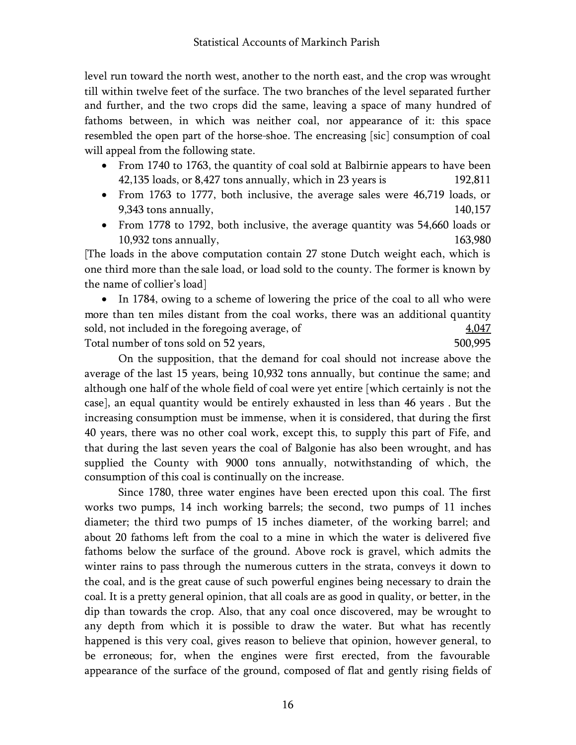level run toward the north west, another to the north east, and the crop was wrought till within twelve feet of the surface. The two branches of the level separated further and further, and the two crops did the same, leaving a space of many hundred of fathoms between, in which was neither coal, nor appearance of it: this space resembled the open part of the horse-shoe. The encreasing [sic] consumption of coal will appeal from the following state.

- From 1740 to 1763, the quantity of coal sold at Balbirnie appears to have been 42,135 loads, or 8,427 tons annually, which in 23 years is 192,811
- From 1763 to 1777, both inclusive, the average sales were 46,719 loads, or 9,343 tons annually,  $140,157$
- From 1778 to 1792, both inclusive, the average quantity was 54,660 loads or 10,932 tons annually, 163,980

[The loads in the above computation contain 27 stone Dutch weight each, which is one third more than the sale load, or load sold to the county. The former is known by the name of collier's load]

• In 1784, owing to a scheme of lowering the price of the coal to all who were more than ten miles distant from the coal works, there was an additional quantity sold, not included in the foregoing average, of  $\frac{4,047}{4,047}$ Total number of tons sold on 52 years, 500,995

On the supposition, that the demand for coal should not increase above the average of the last 15 years, being 10,932 tons annually, but continue the same; and although one half of the whole field of coal were yet entire [which certainly is not the case], an equal quantity would be entirely exhausted in less than 46 years . But the increasing consumption must be immense, when it is considered, that during the first 40 years, there was no other coal work, except this, to supply this part of Fife, and that during the last seven years the coal of Balgonie has also been wrought, and has supplied the County with 9000 tons annually, notwithstanding of which, the consumption of this coal is continually on the increase.

Since 1780, three water engines have been erected upon this coal. The first works two pumps, 14 inch working barrels; the second, two pumps of 11 inches diameter; the third two pumps of 15 inches diameter, of the working barrel; and about 20 fathoms left from the coal to a mine in which the water is delivered five fathoms below the surface of the ground. Above rock is gravel, which admits the winter rains to pass through the numerous cutters in the strata, conveys it down to the coal, and is the great cause of such powerful engines being necessary to drain the coal. It is a pretty general opinion, that all coals are as good in quality, or better, in the dip than towards the crop. Also, that any coal once discovered, may be wrought to any depth from which it is possible to draw the water. But what has recently happened is this very coal, gives reason to believe that opinion, however general, to be erroneous; for, when the engines were first erected, from the favourable appearance of the surface of the ground, composed of flat and gently rising fields of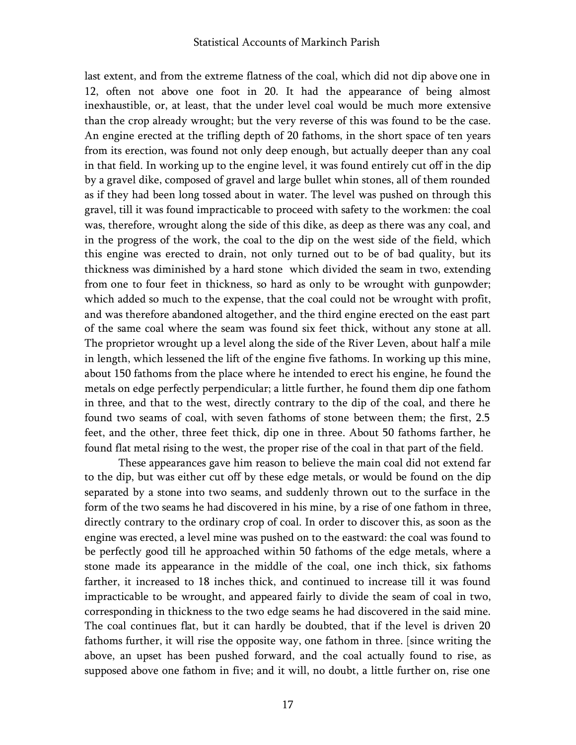last extent, and from the extreme flatness of the coal, which did not dip above one in 12, often not above one foot in 20. It had the appearance of being almost inexhaustible, or, at least, that the under level coal would be much more extensive than the crop already wrought; but the very reverse of this was found to be the case. An engine erected at the trifling depth of 20 fathoms, in the short space of ten years from its erection, was found not only deep enough, but actually deeper than any coal in that field. In working up to the engine level, it was found entirely cut off in the dip by a gravel dike, composed of gravel and large bullet whin stones, all of them rounded as if they had been long tossed about in water. The level was pushed on through this gravel, till it was found impracticable to proceed with safety to the workmen: the coal was, therefore, wrought along the side of this dike, as deep as there was any coal, and in the progress of the work, the coal to the dip on the west side of the field, which this engine was erected to drain, not only turned out to be of bad quality, but its thickness was diminished by a hard stone which divided the seam in two, extending from one to four feet in thickness, so hard as only to be wrought with gunpowder; which added so much to the expense, that the coal could not be wrought with profit, and was therefore abandoned altogether, and the third engine erected on the east part of the same coal where the seam was found six feet thick, without any stone at all. The proprietor wrought up a level along the side of the River Leven, about half a mile in length, which lessened the lift of the engine five fathoms. In working up this mine, about 150 fathoms from the place where he intended to erect his engine, he found the metals on edge perfectly perpendicular; a little further, he found them dip one fathom in three, and that to the west, directly contrary to the dip of the coal, and there he found two seams of coal, with seven fathoms of stone between them; the first, 2.5 feet, and the other, three feet thick, dip one in three. About 50 fathoms farther, he found flat metal rising to the west, the proper rise of the coal in that part of the field.

These appearances gave him reason to believe the main coal did not extend far to the dip, but was either cut off by these edge metals, or would be found on the dip separated by a stone into two seams, and suddenly thrown out to the surface in the form of the two seams he had discovered in his mine, by a rise of one fathom in three, directly contrary to the ordinary crop of coal. In order to discover this, as soon as the engine was erected, a level mine was pushed on to the eastward: the coal was found to be perfectly good till he approached within 50 fathoms of the edge metals, where a stone made its appearance in the middle of the coal, one inch thick, six fathoms farther, it increased to 18 inches thick, and continued to increase till it was found impracticable to be wrought, and appeared fairly to divide the seam of coal in two, corresponding in thickness to the two edge seams he had discovered in the said mine. The coal continues flat, but it can hardly be doubted, that if the level is driven 20 fathoms further, it will rise the opposite way, one fathom in three. [since writing the above, an upset has been pushed forward, and the coal actually found to rise, as supposed above one fathom in five; and it will, no doubt, a little further on, rise one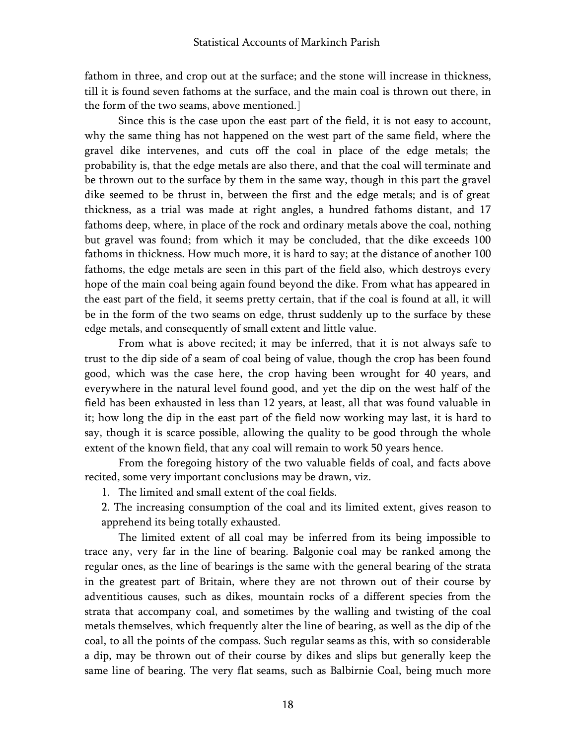fathom in three, and crop out at the surface; and the stone will increase in thickness, till it is found seven fathoms at the surface, and the main coal is thrown out there, in the form of the two seams, above mentioned.]

Since this is the case upon the east part of the field, it is not easy to account, why the same thing has not happened on the west part of the same field, where the gravel dike intervenes, and cuts off the coal in place of the edge metals; the probability is, that the edge metals are also there, and that the coal will terminate and be thrown out to the surface by them in the same way, though in this part the gravel dike seemed to be thrust in, between the first and the edge metals; and is of great thickness, as a trial was made at right angles, a hundred fathoms distant, and 17 fathoms deep, where, in place of the rock and ordinary metals above the coal, nothing but gravel was found; from which it may be concluded, that the dike exceeds 100 fathoms in thickness. How much more, it is hard to say; at the distance of another 100 fathoms, the edge metals are seen in this part of the field also, which destroys every hope of the main coal being again found beyond the dike. From what has appeared in the east part of the field, it seems pretty certain, that if the coal is found at all, it will be in the form of the two seams on edge, thrust suddenly up to the surface by these edge metals, and consequently of small extent and little value.

From what is above recited; it may be inferred, that it is not always safe to trust to the dip side of a seam of coal being of value, though the crop has been found good, which was the case here, the crop having been wrought for 40 years, and everywhere in the natural level found good, and yet the dip on the west half of the field has been exhausted in less than 12 years, at least, all that was found valuable in it; how long the dip in the east part of the field now working may last, it is hard to say, though it is scarce possible, allowing the quality to be good through the whole extent of the known field, that any coal will remain to work 50 years hence.

From the foregoing history of the two valuable fields of coal, and facts above recited, some very important conclusions may be drawn, viz.

- 1. The limited and small extent of the coal fields.
- 2. The increasing consumption of the coal and its limited extent, gives reason to apprehend its being totally exhausted.

The limited extent of all coal may be inferred from its being impossible to trace any, very far in the line of bearing. Balgonie coal may be ranked among the regular ones, as the line of bearings is the same with the general bearing of the strata in the greatest part of Britain, where they are not thrown out of their course by adventitious causes, such as dikes, mountain rocks of a different species from the strata that accompany coal, and sometimes by the walling and twisting of the coal metals themselves, which frequently alter the line of bearing, as well as the dip of the coal, to all the points of the compass. Such regular seams as this, with so considerable a dip, may be thrown out of their course by dikes and slips but generally keep the same line of bearing. The very flat seams, such as Balbirnie Coal, being much more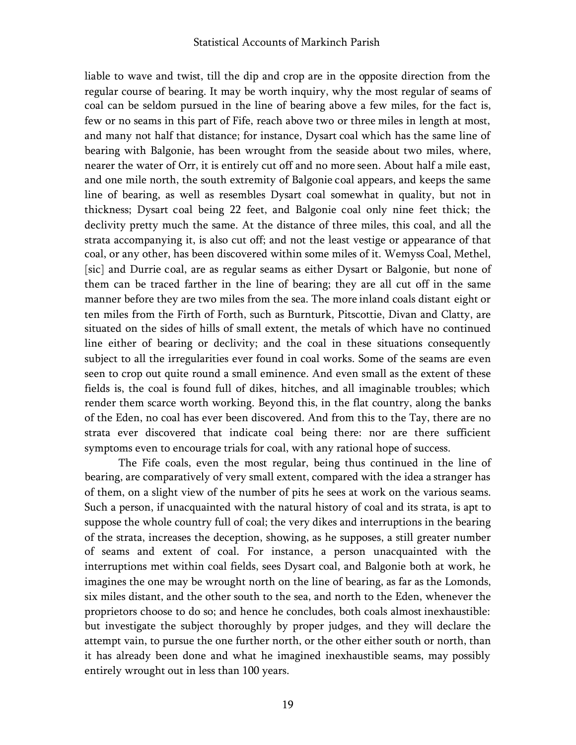liable to wave and twist, till the dip and crop are in the opposite direction from the regular course of bearing. It may be worth inquiry, why the most regular of seams of coal can be seldom pursued in the line of bearing above a few miles, for the fact is, few or no seams in this part of Fife, reach above two or three miles in length at most, and many not half that distance; for instance, Dysart coal which has the same line of bearing with Balgonie, has been wrought from the seaside about two miles, where, nearer the water of Orr, it is entirely cut off and no more seen. About half a mile east, and one mile north, the south extremity of Balgonie coal appears, and keeps the same line of bearing, as well as resembles Dysart coal somewhat in quality, but not in thickness; Dysart coal being 22 feet, and Balgonie coal only nine feet thick; the declivity pretty much the same. At the distance of three miles, this coal, and all the strata accompanying it, is also cut off; and not the least vestige or appearance of that coal, or any other, has been discovered within some miles of it. Wemyss Coal, Methel, [sic] and Durrie coal, are as regular seams as either Dysart or Balgonie, but none of them can be traced farther in the line of bearing; they are all cut off in the same manner before they are two miles from the sea. The more inland coals distant eight or ten miles from the Firth of Forth, such as Burnturk, Pitscottie, Divan and Clatty, are situated on the sides of hills of small extent, the metals of which have no continued line either of bearing or declivity; and the coal in these situations consequently subject to all the irregularities ever found in coal works. Some of the seams are even seen to crop out quite round a small eminence. And even small as the extent of these fields is, the coal is found full of dikes, hitches, and all imaginable troubles; which render them scarce worth working. Beyond this, in the flat country, along the banks of the Eden, no coal has ever been discovered. And from this to the Tay, there are no strata ever discovered that indicate coal being there: nor are there sufficient symptoms even to encourage trials for coal, with any rational hope of success.

The Fife coals, even the most regular, being thus continued in the line of bearing, are comparatively of very small extent, compared with the idea a stranger has of them, on a slight view of the number of pits he sees at work on the various seams. Such a person, if unacquainted with the natural history of coal and its strata, is apt to suppose the whole country full of coal; the very dikes and interruptions in the bearing of the strata, increases the deception, showing, as he supposes, a still greater number of seams and extent of coal. For instance, a person unacquainted with the interruptions met within coal fields, sees Dysart coal, and Balgonie both at work, he imagines the one may be wrought north on the line of bearing, as far as the Lomonds, six miles distant, and the other south to the sea, and north to the Eden, whenever the proprietors choose to do so; and hence he concludes, both coals almost inexhaustible: but investigate the subject thoroughly by proper judges, and they will declare the attempt vain, to pursue the one further north, or the other either south or north, than it has already been done and what he imagined inexhaustible seams, may possibly entirely wrought out in less than 100 years.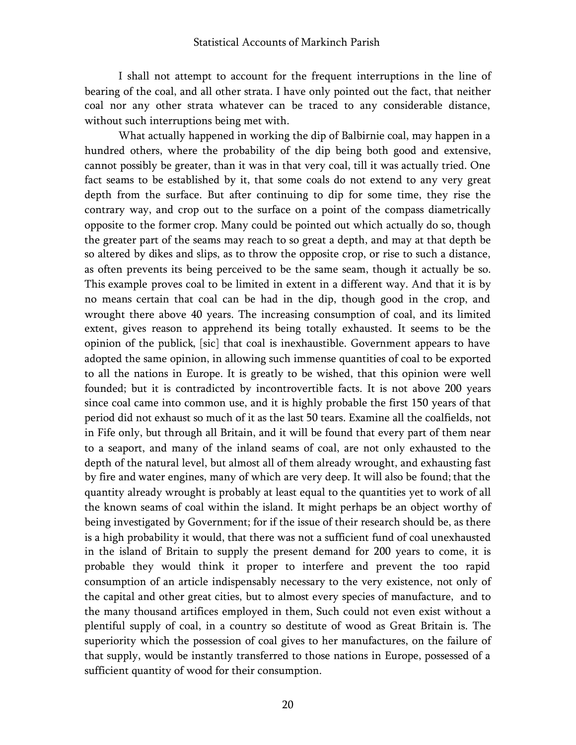I shall not attempt to account for the frequent interruptions in the line of bearing of the coal, and all other strata. I have only pointed out the fact, that neither coal nor any other strata whatever can be traced to any considerable distance, without such interruptions being met with.

What actually happened in working the dip of Balbirnie coal, may happen in a hundred others, where the probability of the dip being both good and extensive, cannot possibly be greater, than it was in that very coal, till it was actually tried. One fact seams to be established by it, that some coals do not extend to any very great depth from the surface. But after continuing to dip for some time, they rise the contrary way, and crop out to the surface on a point of the compass diametrically opposite to the former crop. Many could be pointed out which actually do so, though the greater part of the seams may reach to so great a depth, and may at that depth be so altered by dikes and slips, as to throw the opposite crop, or rise to such a distance, as often prevents its being perceived to be the same seam, though it actually be so. This example proves coal to be limited in extent in a different way. And that it is by no means certain that coal can be had in the dip, though good in the crop, and wrought there above 40 years. The increasing consumption of coal, and its limited extent, gives reason to apprehend its being totally exhausted. It seems to be the opinion of the publick, [sic] that coal is inexhaustible. Government appears to have adopted the same opinion, in allowing such immense quantities of coal to be exported to all the nations in Europe. It is greatly to be wished, that this opinion were well founded; but it is contradicted by incontrovertible facts. It is not above 200 years since coal came into common use, and it is highly probable the first 150 years of that period did not exhaust so much of it as the last 50 tears. Examine all the coalfields, not in Fife only, but through all Britain, and it will be found that every part of them near to a seaport, and many of the inland seams of coal, are not only exhausted to the depth of the natural level, but almost all of them already wrought, and exhausting fast by fire and water engines, many of which are very deep. It will also be found; that the quantity already wrought is probably at least equal to the quantities yet to work of all the known seams of coal within the island. It might perhaps be an object worthy of being investigated by Government; for if the issue of their research should be, as there is a high probability it would, that there was not a sufficient fund of coal unexhausted in the island of Britain to supply the present demand for 200 years to come, it is probable they would think it proper to interfere and prevent the too rapid consumption of an article indispensably necessary to the very existence, not only of the capital and other great cities, but to almost every species of manufacture, and to the many thousand artifices employed in them, Such could not even exist without a plentiful supply of coal, in a country so destitute of wood as Great Britain is. The superiority which the possession of coal gives to her manufactures, on the failure of that supply, would be instantly transferred to those nations in Europe, possessed of a sufficient quantity of wood for their consumption.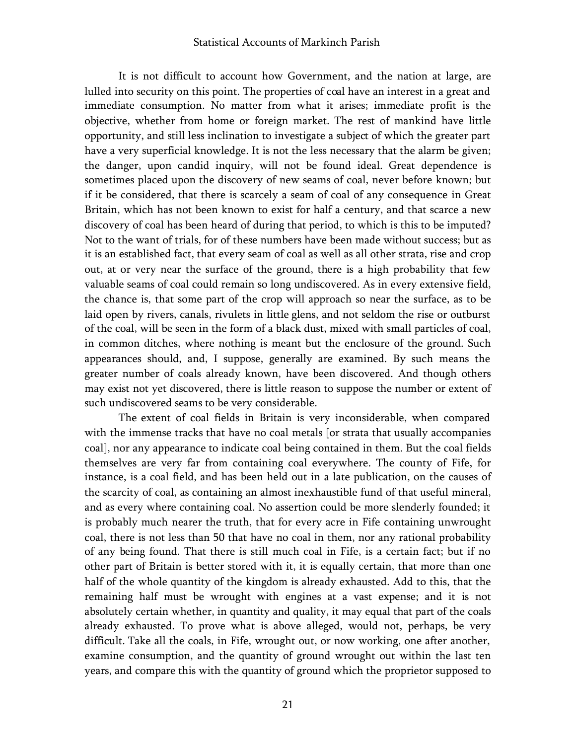#### Statistical Accounts of Markinch Parish

It is not difficult to account how Government, and the nation at large, are lulled into security on this point. The properties of coal have an interest in a great and immediate consumption. No matter from what it arises; immediate profit is the objective, whether from home or foreign market. The rest of mankind have little opportunity, and still less inclination to investigate a subject of which the greater part have a very superficial knowledge. It is not the less necessary that the alarm be given; the danger, upon candid inquiry, will not be found ideal. Great dependence is sometimes placed upon the discovery of new seams of coal, never before known; but if it be considered, that there is scarcely a seam of coal of any consequence in Great Britain, which has not been known to exist for half a century, and that scarce a new discovery of coal has been heard of during that period, to which is this to be imputed? Not to the want of trials, for of these numbers have been made without success; but as it is an established fact, that every seam of coal as well as all other strata, rise and crop out, at or very near the surface of the ground, there is a high probability that few valuable seams of coal could remain so long undiscovered. As in every extensive field, the chance is, that some part of the crop will approach so near the surface, as to be laid open by rivers, canals, rivulets in little glens, and not seldom the rise or outburst of the coal, will be seen in the form of a black dust, mixed with small particles of coal, in common ditches, where nothing is meant but the enclosure of the ground. Such appearances should, and, I suppose, generally are examined. By such means the greater number of coals already known, have been discovered. And though others may exist not yet discovered, there is little reason to suppose the number or extent of such undiscovered seams to be very considerable.

The extent of coal fields in Britain is very inconsiderable, when compared with the immense tracks that have no coal metals [or strata that usually accompanies coal], nor any appearance to indicate coal being contained in them. But the coal fields themselves are very far from containing coal everywhere. The county of Fife, for instance, is a coal field, and has been held out in a late publication, on the causes of the scarcity of coal, as containing an almost inexhaustible fund of that useful mineral, and as every where containing coal. No assertion could be more slenderly founded; it is probably much nearer the truth, that for every acre in Fife containing unwrought coal, there is not less than 50 that have no coal in them, nor any rational probability of any being found. That there is still much coal in Fife, is a certain fact; but if no other part of Britain is better stored with it, it is equally certain, that more than one half of the whole quantity of the kingdom is already exhausted. Add to this, that the remaining half must be wrought with engines at a vast expense; and it is not absolutely certain whether, in quantity and quality, it may equal that part of the coals already exhausted. To prove what is above alleged, would not, perhaps, be very difficult. Take all the coals, in Fife, wrought out, or now working, one after another, examine consumption, and the quantity of ground wrought out within the last ten years, and compare this with the quantity of ground which the proprietor supposed to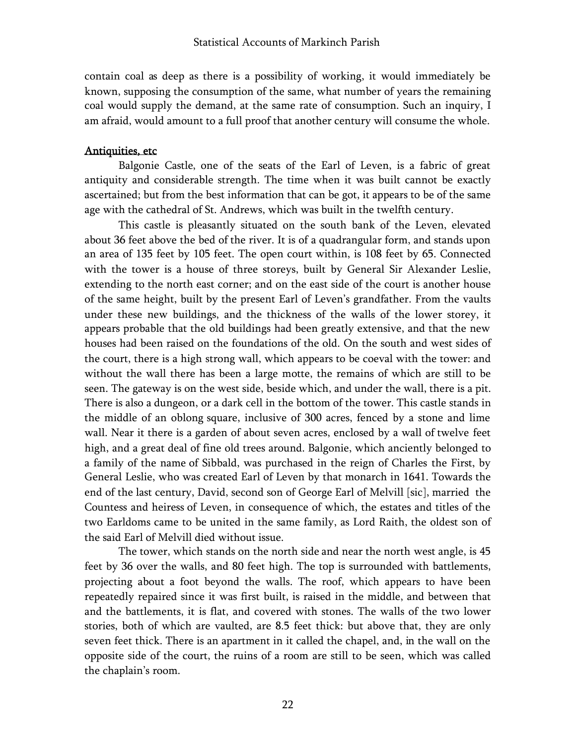contain coal as deep as there is a possibility of working, it would immediately be known, supposing the consumption of the same, what number of years the remaining coal would supply the demand, at the same rate of consumption. Such an inquiry, I am afraid, would amount to a full proof that another century will consume the whole.

### Antiquities, etc

Balgonie Castle, one of the seats of the Earl of Leven, is a fabric of great antiquity and considerable strength. The time when it was built cannot be exactly ascertained; but from the best information that can be got, it appears to be of the same age with the cathedral of St. Andrews, which was built in the twelfth century.

This castle is pleasantly situated on the south bank of the Leven, elevated about 36 feet above the bed of the river. It is of a quadrangular form, and stands upon an area of 135 feet by 105 feet. The open court within, is 108 feet by 65. Connected with the tower is a house of three storeys, built by General Sir Alexander Leslie, extending to the north east corner; and on the east side of the court is another house of the same height, built by the present Earl of Leven's grandfather. From the vaults under these new buildings, and the thickness of the walls of the lower storey, it appears probable that the old buildings had been greatly extensive, and that the new houses had been raised on the foundations of the old. On the south and west sides of the court, there is a high strong wall, which appears to be coeval with the tower: and without the wall there has been a large motte, the remains of which are still to be seen. The gateway is on the west side, beside which, and under the wall, there is a pit. There is also a dungeon, or a dark cell in the bottom of the tower. This castle stands in the middle of an oblong square, inclusive of 300 acres, fenced by a stone and lime wall. Near it there is a garden of about seven acres, enclosed by a wall of twelve feet high, and a great deal of fine old trees around. Balgonie, which anciently belonged to a family of the name of Sibbald, was purchased in the reign of Charles the First, by General Leslie, who was created Earl of Leven by that monarch in 1641. Towards the end of the last century, David, second son of George Earl of Melvill [sic], married the Countess and heiress of Leven, in consequence of which, the estates and titles of the two Earldoms came to be united in the same family, as Lord Raith, the oldest son of the said Earl of Melvill died without issue.

The tower, which stands on the north side and near the north west angle, is 45 feet by 36 over the walls, and 80 feet high. The top is surrounded with battlements, projecting about a foot beyond the walls. The roof, which appears to have been repeatedly repaired since it was first built, is raised in the middle, and between that and the battlements, it is flat, and covered with stones. The walls of the two lower stories, both of which are vaulted, are 8.5 feet thick: but above that, they are only seven feet thick. There is an apartment in it called the chapel, and, in the wall on the opposite side of the court, the ruins of a room are still to be seen, which was called the chaplain's room.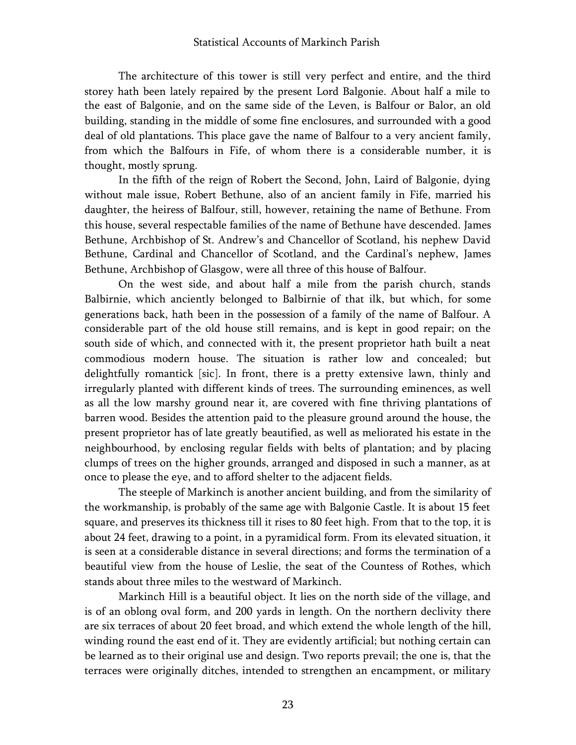The architecture of this tower is still very perfect and entire, and the third storey hath been lately repaired by the present Lord Balgonie. About half a mile to the east of Balgonie, and on the same side of the Leven, is Balfour or Balor, an old building, standing in the middle of some fine enclosures, and surrounded with a good deal of old plantations. This place gave the name of Balfour to a very ancient family, from which the Balfours in Fife, of whom there is a considerable number, it is thought, mostly sprung.

In the fifth of the reign of Robert the Second, John, Laird of Balgonie, dying without male issue, Robert Bethune, also of an ancient family in Fife, married his daughter, the heiress of Balfour, still, however, retaining the name of Bethune. From this house, several respectable families of the name of Bethune have descended. James Bethune, Archbishop of St. Andrew's and Chancellor of Scotland, his nephew David Bethune, Cardinal and Chancellor of Scotland, and the Cardinal's nephew, James Bethune, Archbishop of Glasgow, were all three of this house of Balfour.

On the west side, and about half a mile from the parish church, stands Balbirnie, which anciently belonged to Balbirnie of that ilk, but which, for some generations back, hath been in the possession of a family of the name of Balfour. A considerable part of the old house still remains, and is kept in good repair; on the south side of which, and connected with it, the present proprietor hath built a neat commodious modern house. The situation is rather low and concealed; but delightfully romantick [sic]. In front, there is a pretty extensive lawn, thinly and irregularly planted with different kinds of trees. The surrounding eminences, as well as all the low marshy ground near it, are covered with fine thriving plantations of barren wood. Besides the attention paid to the pleasure ground around the house, the present proprietor has of late greatly beautified, as well as meliorated his estate in the neighbourhood, by enclosing regular fields with belts of plantation; and by placing clumps of trees on the higher grounds, arranged and disposed in such a manner, as at once to please the eye, and to afford shelter to the adjacent fields.

The steeple of Markinch is another ancient building, and from the similarity of the workmanship, is probably of the same age with Balgonie Castle. It is about 15 feet square, and preserves its thickness till it rises to 80 feet high. From that to the top, it is about 24 feet, drawing to a point, in a pyramidical form. From its elevated situation, it is seen at a considerable distance in several directions; and forms the termination of a beautiful view from the house of Leslie, the seat of the Countess of Rothes, which stands about three miles to the westward of Markinch.

Markinch Hill is a beautiful object. It lies on the north side of the village, and is of an oblong oval form, and 200 yards in length. On the northern declivity there are six terraces of about 20 feet broad, and which extend the whole length of the hill, winding round the east end of it. They are evidently artificial; but nothing certain can be learned as to their original use and design. Two reports prevail; the one is, that the terraces were originally ditches, intended to strengthen an encampment, or military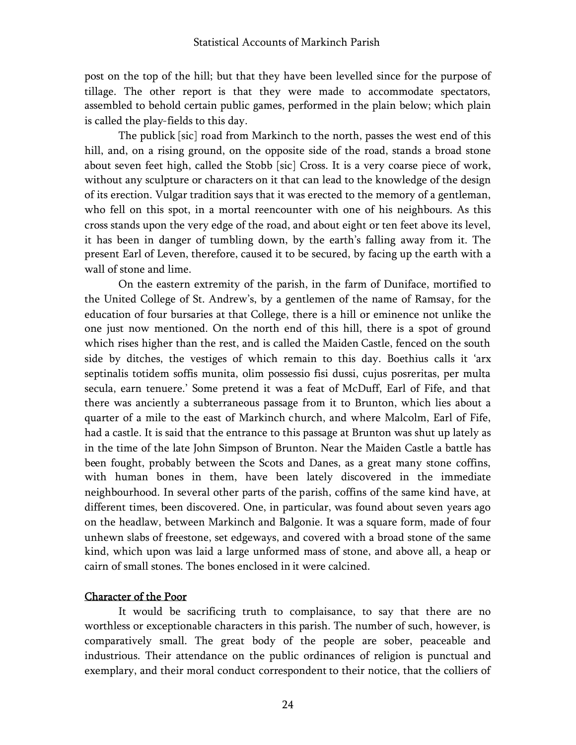post on the top of the hill; but that they have been levelled since for the purpose of tillage. The other report is that they were made to accommodate spectators, assembled to behold certain public games, performed in the plain below; which plain is called the play-fields to this day.

The publick [sic] road from Markinch to the north, passes the west end of this hill, and, on a rising ground, on the opposite side of the road, stands a broad stone about seven feet high, called the Stobb [sic] Cross. It is a very coarse piece of work, without any sculpture or characters on it that can lead to the knowledge of the design of its erection. Vulgar tradition says that it was erected to the memory of a gentleman, who fell on this spot, in a mortal reencounter with one of his neighbours. As this cross stands upon the very edge of the road, and about eight or ten feet above its level, it has been in danger of tumbling down, by the earth's falling away from it. The present Earl of Leven, therefore, caused it to be secured, by facing up the earth with a wall of stone and lime.

On the eastern extremity of the parish, in the farm of Duniface, mortified to the United College of St. Andrew's, by a gentlemen of the name of Ramsay, for the education of four bursaries at that College, there is a hill or eminence not unlike the one just now mentioned. On the north end of this hill, there is a spot of ground which rises higher than the rest, and is called the Maiden Castle, fenced on the south side by ditches, the vestiges of which remain to this day. Boethius calls it 'arx septinalis totidem soffis munita, olim possessio fisi dussi, cujus posreritas, per multa secula, earn tenuere.' Some pretend it was a feat of McDuff, Earl of Fife, and that there was anciently a subterraneous passage from it to Brunton, which lies about a quarter of a mile to the east of Markinch church, and where Malcolm, Earl of Fife, had a castle. It is said that the entrance to this passage at Brunton was shut up lately as in the time of the late John Simpson of Brunton. Near the Maiden Castle a battle has been fought, probably between the Scots and Danes, as a great many stone coffins, with human bones in them, have been lately discovered in the immediate neighbourhood. In several other parts of the parish, coffins of the same kind have, at different times, been discovered. One, in particular, was found about seven years ago on the headlaw, between Markinch and Balgonie. It was a square form, made of four unhewn slabs of freestone, set edgeways, and covered with a broad stone of the same kind, which upon was laid a large unformed mass of stone, and above all, a heap or cairn of small stones. The bones enclosed in it were calcined.

### Character of the Poor

It would be sacrificing truth to complaisance, to say that there are no worthless or exceptionable characters in this parish. The number of such, however, is comparatively small. The great body of the people are sober, peaceable and industrious. Their attendance on the public ordinances of religion is punctual and exemplary, and their moral conduct correspondent to their notice, that the colliers of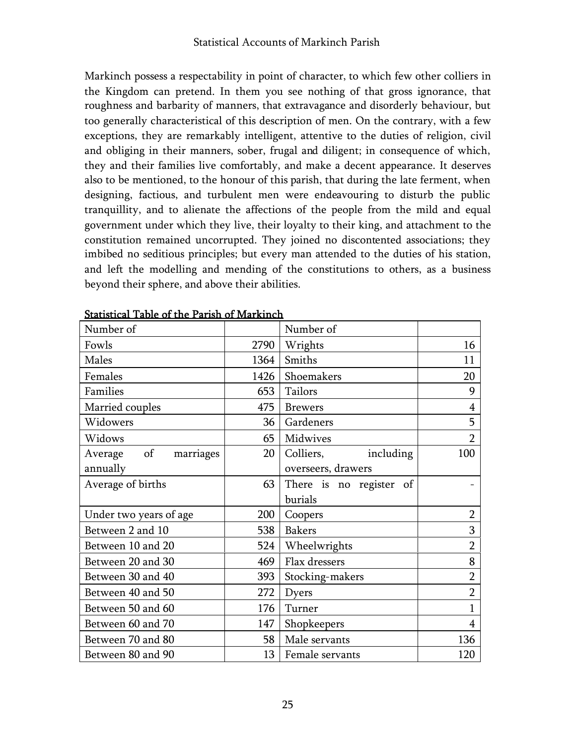Markinch possess a respectability in point of character, to which few other colliers in the Kingdom can pretend. In them you see nothing of that gross ignorance, that roughness and barbarity of manners, that extravagance and disorderly behaviour, but too generally characteristical of this description of men. On the contrary, with a few exceptions, they are remarkably intelligent, attentive to the duties of religion, civil and obliging in their manners, sober, frugal and diligent; in consequence of which, they and their families live comfortably, and make a decent appearance. It deserves also to be mentioned, to the honour of this parish, that during the late ferment, when designing, factious, and turbulent men were endeavouring to disturb the public tranquillity, and to alienate the affections of the people from the mild and equal government under which they live, their loyalty to their king, and attachment to the constitution remained uncorrupted. They joined no discontented associations; they imbibed no seditious principles; but every man attended to the duties of his station, and left the modelling and mending of the constitutions to others, as a business beyond their sphere, and above their abilities.

| Number of               |      | Number of               |                |
|-------------------------|------|-------------------------|----------------|
| Fowls                   | 2790 | Wrights                 | 16             |
| Males                   | 1364 | Smiths                  | 11             |
| Females                 | 1426 | Shoemakers              | 20             |
| Families                | 653  | Tailors                 | 9              |
| Married couples         | 475  | <b>Brewers</b>          | $\overline{4}$ |
| Widowers                | 36   | Gardeners               | 5              |
| Widows                  | 65   | Midwives                | $\overline{2}$ |
| Average of<br>marriages | 20   | Colliers, including     | 100            |
| annually                |      | overseers, drawers      |                |
| Average of births       | 63   | There is no register of |                |
|                         |      | burials                 |                |
| Under two years of age  | 200  | Coopers                 | $\overline{2}$ |
| Between 2 and 10        | 538  | <b>Bakers</b>           | 3              |
| Between 10 and 20       | 524  | Wheelwrights            | $\overline{2}$ |
| Between 20 and 30       | 469  | Flax dressers           | 8              |
| Between 30 and 40       | 393  | Stocking-makers         | $\overline{2}$ |
| Between 40 and 50       | 272  | Dyers                   | $\overline{2}$ |
| Between 50 and 60       | 176  | Turner                  | $\mathbf{1}$   |
| Between 60 and 70       | 147  | Shopkeepers             | $\overline{4}$ |
| Between 70 and 80       | 58   | Male servants           | 136            |
| Between 80 and 90       | 13   | Female servants         | 120            |

Statistical Table of the Parish of Markinch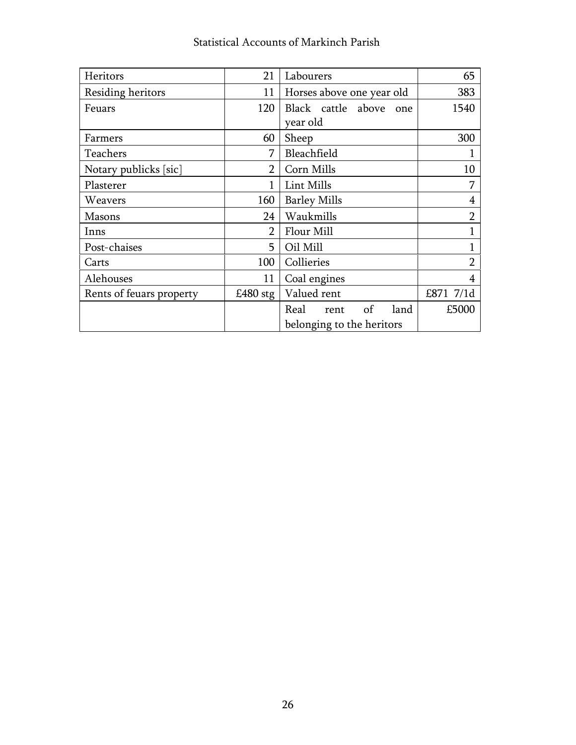| Heritors                 | 21             | Labourers                  | 65             |
|--------------------------|----------------|----------------------------|----------------|
| Residing heritors        | 11             | Horses above one year old  | 383            |
| Feuars                   | 120            | Black cattle above<br>one  | 1540           |
|                          |                | year old                   |                |
| Farmers                  | 60             | Sheep                      | 300            |
| Teachers                 | 7              | Bleachfield                |                |
| Notary publicks [sic]    | $\overline{2}$ | Corn Mills                 | 10             |
| Plasterer                |                | Lint Mills                 | 7              |
| Weavers                  | 160            | <b>Barley Mills</b>        | 4              |
| <b>Masons</b>            | 24             | Waukmills                  | $\overline{2}$ |
| Inns                     | $\overline{2}$ | Flour Mill                 |                |
| Post-chaises             | 5              | Oil Mill                   |                |
| Carts                    | 100            | Collieries                 | $\overline{2}$ |
| Alehouses                | 11             | Coal engines               | 4              |
| Rents of feuars property | £480 $stg$     | Valued rent                | £871 7/1d      |
|                          |                | of<br>Real<br>land<br>rent | £5000          |
|                          |                | belonging to the heritors  |                |

# Statistical Accounts of Markinch Parish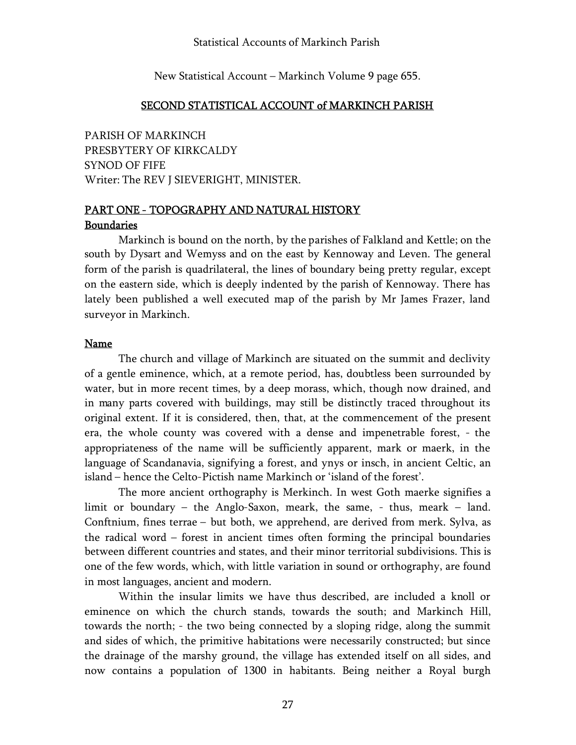New Statistical Account – Markinch Volume 9 page 655.

#### SECOND STATISTICAL ACCOUNT of MARKINCH PARISH

PARISH OF MARKINCH PRESBYTERY OF KIRKCALDY SYNOD OF FIFE Writer: The REV J SIEVERIGHT, MINISTER.

# PART ONE - TOPOGRAPHY AND NATURAL HISTORY Boundaries

Markinch is bound on the north, by the parishes of Falkland and Kettle; on the south by Dysart and Wemyss and on the east by Kennoway and Leven. The general form of the parish is quadrilateral, the lines of boundary being pretty regular, except on the eastern side, which is deeply indented by the parish of Kennoway. There has lately been published a well executed map of the parish by Mr James Frazer, land surveyor in Markinch.

#### Name

The church and village of Markinch are situated on the summit and declivity of a gentle eminence, which, at a remote period, has, doubtless been surrounded by water, but in more recent times, by a deep morass, which, though now drained, and in many parts covered with buildings, may still be distinctly traced throughout its original extent. If it is considered, then, that, at the commencement of the present era, the whole county was covered with a dense and impenetrable forest, - the appropriateness of the name will be sufficiently apparent, mark or maerk, in the language of Scandanavia, signifying a forest, and ynys or insch, in ancient Celtic, an island – hence the Celto-Pictish name Markinch or 'island of the forest'.

The more ancient orthography is Merkinch. In west Goth maerke signifies a limit or boundary – the Anglo-Saxon, meark, the same, - thus, meark – land. Conftnium, fines terrae – but both, we apprehend, are derived from merk. Sylva, as the radical word – forest in ancient times often forming the principal boundaries between different countries and states, and their minor territorial subdivisions. This is one of the few words, which, with little variation in sound or orthography, are found in most languages, ancient and modern.

Within the insular limits we have thus described, are included a knoll or eminence on which the church stands, towards the south; and Markinch Hill, towards the north; - the two being connected by a sloping ridge, along the summit and sides of which, the primitive habitations were necessarily constructed; but since the drainage of the marshy ground, the village has extended itself on all sides, and now contains a population of 1300 in habitants. Being neither a Royal burgh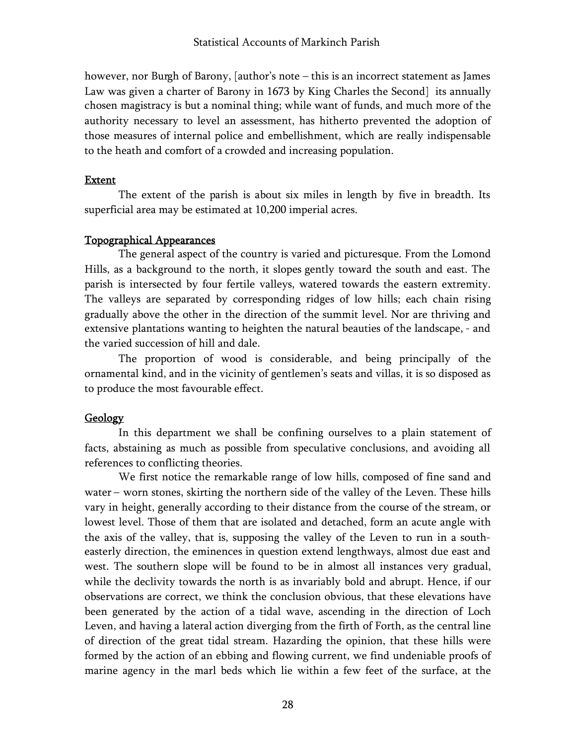however, nor Burgh of Barony, [author's note – this is an incorrect statement as James Law was given a charter of Barony in 1673 by King Charles the Second] its annually chosen magistracy is but a nominal thing; while want of funds, and much more of the authority necessary to level an assessment, has hitherto prevented the adoption of those measures of internal police and embellishment, which are really indispensable to the heath and comfort of a crowded and increasing population.

### Extent

The extent of the parish is about six miles in length by five in breadth. Its superficial area may be estimated at 10,200 imperial acres.

#### Topographical Appearances

The general aspect of the country is varied and picturesque. From the Lomond Hills, as a background to the north, it slopes gently toward the south and east. The parish is intersected by four fertile valleys, watered towards the eastern extremity. The valleys are separated by corresponding ridges of low hills; each chain rising gradually above the other in the direction of the summit level. Nor are thriving and extensive plantations wanting to heighten the natural beauties of the landscape, - and the varied succession of hill and dale.

The proportion of wood is considerable, and being principally of the ornamental kind, and in the vicinity of gentlemen's seats and villas, it is so disposed as to produce the most favourable effect.

### Geology

In this department we shall be confining ourselves to a plain statement of facts, abstaining as much as possible from speculative conclusions, and avoiding all references to conflicting theories.

We first notice the remarkable range of low hills, composed of fine sand and water – worn stones, skirting the northern side of the valley of the Leven. These hills vary in height, generally according to their distance from the course of the stream, or lowest level. Those of them that are isolated and detached, form an acute angle with the axis of the valley, that is, supposing the valley of the Leven to run in a southeasterly direction, the eminences in question extend lengthways, almost due east and west. The southern slope will be found to be in almost all instances very gradual, while the declivity towards the north is as invariably bold and abrupt. Hence, if our observations are correct, we think the conclusion obvious, that these elevations have been generated by the action of a tidal wave, ascending in the direction of Loch Leven, and having a lateral action diverging from the firth of Forth, as the central line of direction of the great tidal stream. Hazarding the opinion, that these hills were formed by the action of an ebbing and flowing current, we find undeniable proofs of marine agency in the marl beds which lie within a few feet of the surface, at the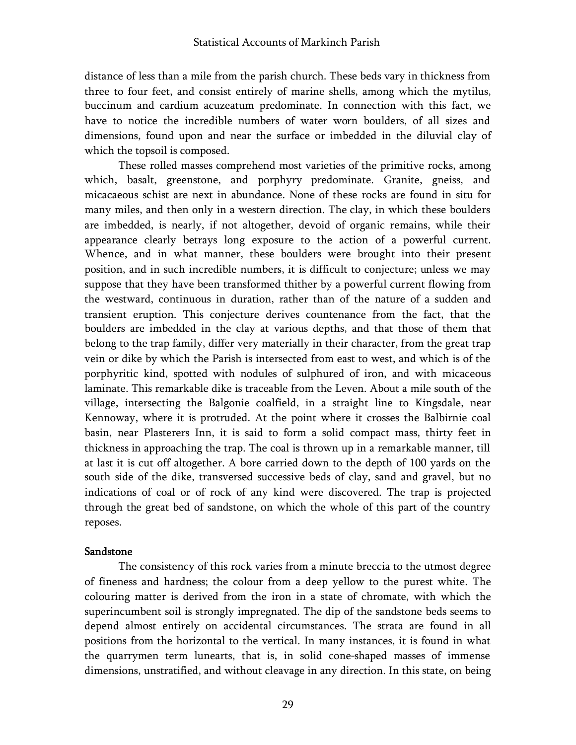distance of less than a mile from the parish church. These beds vary in thickness from three to four feet, and consist entirely of marine shells, among which the mytilus, buccinum and cardium acuzeatum predominate. In connection with this fact, we have to notice the incredible numbers of water worn boulders, of all sizes and dimensions, found upon and near the surface or imbedded in the diluvial clay of which the topsoil is composed.

These rolled masses comprehend most varieties of the primitive rocks, among which, basalt, greenstone, and porphyry predominate. Granite, gneiss, and micacaeous schist are next in abundance. None of these rocks are found in situ for many miles, and then only in a western direction. The clay, in which these boulders are imbedded, is nearly, if not altogether, devoid of organic remains, while their appearance clearly betrays long exposure to the action of a powerful current. Whence, and in what manner, these boulders were brought into their present position, and in such incredible numbers, it is difficult to conjecture; unless we may suppose that they have been transformed thither by a powerful current flowing from the westward, continuous in duration, rather than of the nature of a sudden and transient eruption. This conjecture derives countenance from the fact, that the boulders are imbedded in the clay at various depths, and that those of them that belong to the trap family, differ very materially in their character, from the great trap vein or dike by which the Parish is intersected from east to west, and which is of the porphyritic kind, spotted with nodules of sulphured of iron, and with micaceous laminate. This remarkable dike is traceable from the Leven. About a mile south of the village, intersecting the Balgonie coalfield, in a straight line to Kingsdale, near Kennoway, where it is protruded. At the point where it crosses the Balbirnie coal basin, near Plasterers Inn, it is said to form a solid compact mass, thirty feet in thickness in approaching the trap. The coal is thrown up in a remarkable manner, till at last it is cut off altogether. A bore carried down to the depth of 100 yards on the south side of the dike, transversed successive beds of clay, sand and gravel, but no indications of coal or of rock of any kind were discovered. The trap is projected through the great bed of sandstone, on which the whole of this part of the country reposes.

### Sandstone

The consistency of this rock varies from a minute breccia to the utmost degree of fineness and hardness; the colour from a deep yellow to the purest white. The colouring matter is derived from the iron in a state of chromate, with which the superincumbent soil is strongly impregnated. The dip of the sandstone beds seems to depend almost entirely on accidental circumstances. The strata are found in all positions from the horizontal to the vertical. In many instances, it is found in what the quarrymen term lunearts, that is, in solid cone-shaped masses of immense dimensions, unstratified, and without cleavage in any direction. In this state, on being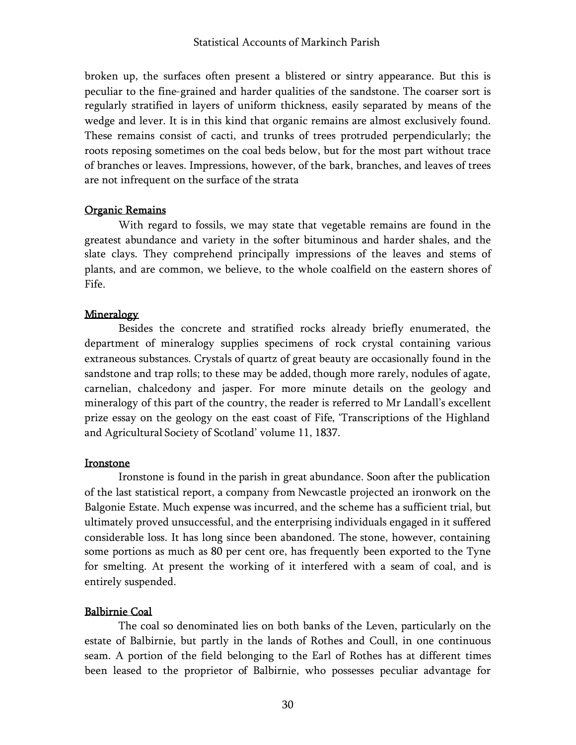broken up, the surfaces often present a blistered or sintry appearance. But this is peculiar to the fine-grained and harder qualities of the sandstone. The coarser sort is regularly stratified in layers of uniform thickness, easily separated by means of the wedge and lever. It is in this kind that organic remains are almost exclusively found. These remains consist of cacti, and trunks of trees protruded perpendicularly; the roots reposing sometimes on the coal beds below, but for the most part without trace of branches or leaves. Impressions, however, of the bark, branches, and leaves of trees are not infrequent on the surface of the strata

### Organic Remains

With regard to fossils, we may state that vegetable remains are found in the greatest abundance and variety in the softer bituminous and harder shales, and the slate clays. They comprehend principally impressions of the leaves and stems of plants, and are common, we believe, to the whole coalfield on the eastern shores of Fife.

#### Mineralogy

Besides the concrete and stratified rocks already briefly enumerated, the department of mineralogy supplies specimens of rock crystal containing various extraneous substances. Crystals of quartz of great beauty are occasionally found in the sandstone and trap rolls; to these may be added, though more rarely, nodules of agate, carnelian, chalcedony and jasper. For more minute details on the geology and mineralogy of this part of the country, the reader is referred to Mr Landall's excellent prize essay on the geology on the east coast of Fife, 'Transcriptions of the Highland and Agricultural Society of Scotland' volume 11, 1837.

#### Ironstone

Ironstone is found in the parish in great abundance. Soon after the publication of the last statistical report, a company from Newcastle projected an ironwork on the Balgonie Estate. Much expense was incurred, and the scheme has a sufficient trial, but ultimately proved unsuccessful, and the enterprising individuals engaged in it suffered considerable loss. It has long since been abandoned. The stone, however, containing some portions as much as 80 per cent ore, has frequently been exported to the Tyne for smelting. At present the working of it interfered with a seam of coal, and is entirely suspended.

#### Balbirnie Coal

The coal so denominated lies on both banks of the Leven, particularly on the estate of Balbirnie, but partly in the lands of Rothes and Coull, in one continuous seam. A portion of the field belonging to the Earl of Rothes has at different times been leased to the proprietor of Balbirnie, who possesses peculiar advantage for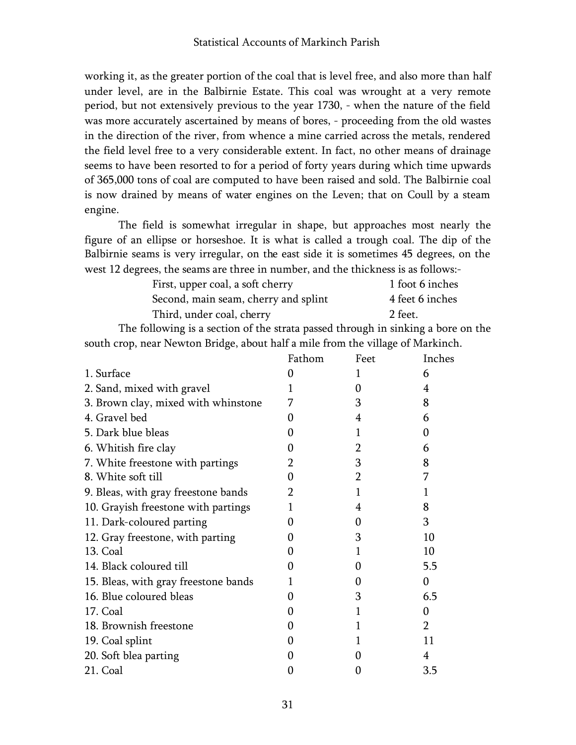working it, as the greater portion of the coal that is level free, and also more than half under level, are in the Balbirnie Estate. This coal was wrought at a very remote period, but not extensively previous to the year 1730, - when the nature of the field was more accurately ascertained by means of bores, - proceeding from the old wastes in the direction of the river, from whence a mine carried across the metals, rendered the field level free to a very considerable extent. In fact, no other means of drainage seems to have been resorted to for a period of forty years during which time upwards of 365,000 tons of coal are computed to have been raised and sold. The Balbirnie coal is now drained by means of water engines on the Leven; that on Coull by a steam engine.

The field is somewhat irregular in shape, but approaches most nearly the figure of an ellipse or horseshoe. It is what is called a trough coal. The dip of the Balbirnie seams is very irregular, on the east side it is sometimes 45 degrees, on the west 12 degrees, the seams are three in number, and the thickness is as follows:-

| First, upper coal, a soft cherry     | 1 foot 6 inches |
|--------------------------------------|-----------------|
| Second, main seam, cherry and splint | 4 feet 6 inches |
| Third, under coal, cherry            | 2 feet.         |

The following is a section of the strata passed through in sinking a bore on the south crop, near Newton Bridge, about half a mile from the village of Markinch.

|                                      | Fathom       | Feet              | Inches        |
|--------------------------------------|--------------|-------------------|---------------|
| 1. Surface                           | 0            | 1                 | 6             |
| 2. Sand, mixed with gravel           | L            | 0                 | 4             |
| 3. Brown clay, mixed with whinstone  | 7            | 3                 | 8             |
| 4. Gravel bed                        | $\Omega$     | 4                 | 6             |
| 5. Dark blue bleas                   | $\Omega$     | 1                 | 0             |
| 6. Whitish fire clay                 | $\Omega$     | 2                 | 6             |
| 7. White freestone with partings     | 2            | 3                 | 8             |
| 8. White soft till                   | 0            | 2                 | 7             |
| 9. Bleas, with gray freestone bands  | 2            |                   | 1             |
| 10. Grayish freestone with partings  |              | 4                 | 8             |
| 11. Dark-coloured parting            | $\Omega$     | $\Omega$          | 3             |
| 12. Gray freestone, with parting     | $\Omega$     | 3                 | 10            |
| 13. Coal                             | $\Omega$     | 1                 | 10            |
| 14. Black coloured till              | $\mathbf{0}$ | $\Omega$          | 5.5           |
| 15. Bleas, with gray freestone bands | 1            | $\mathbf{0}$      | 0             |
| 16. Blue coloured bleas              | $\Omega$     | 3                 | 6.5           |
| 17. Coal                             | 0            | 1                 | 0             |
| 18. Brownish freestone               | 0            |                   | $\mathcal{P}$ |
| 19. Coal splint                      | $\Omega$     |                   | 11            |
| 20. Soft blea parting                | $\Omega$     | $\mathbf{\Omega}$ | 4             |
| 21. Coal                             | $\Omega$     | 0                 | 3.5           |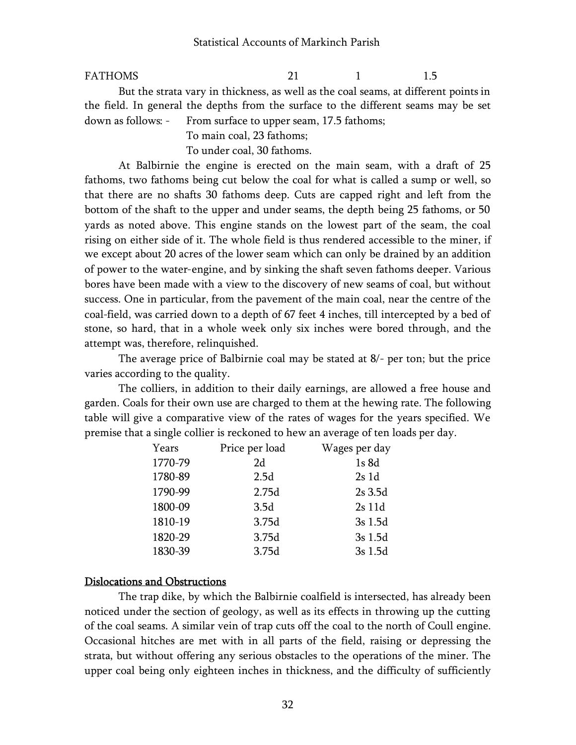#### FATHOMS 21 1 1.5

But the strata vary in thickness, as well as the coal seams, at different points in the field. In general the depths from the surface to the different seams may be set down as follows: - From surface to upper seam, 17.5 fathoms;

To main coal, 23 fathoms;

To under coal, 30 fathoms.

At Balbirnie the engine is erected on the main seam, with a draft of 25 fathoms, two fathoms being cut below the coal for what is called a sump or well, so that there are no shafts 30 fathoms deep. Cuts are capped right and left from the bottom of the shaft to the upper and under seams, the depth being 25 fathoms, or 50 yards as noted above. This engine stands on the lowest part of the seam, the coal rising on either side of it. The whole field is thus rendered accessible to the miner, if we except about 20 acres of the lower seam which can only be drained by an addition of power to the water-engine, and by sinking the shaft seven fathoms deeper. Various bores have been made with a view to the discovery of new seams of coal, but without success. One in particular, from the pavement of the main coal, near the centre of the coal-field, was carried down to a depth of 67 feet 4 inches, till intercepted by a bed of stone, so hard, that in a whole week only six inches were bored through, and the attempt was, therefore, relinquished.

The average price of Balbirnie coal may be stated at 8/- per ton; but the price varies according to the quality.

The colliers, in addition to their daily earnings, are allowed a free house and garden. Coals for their own use are charged to them at the hewing rate. The following table will give a comparative view of the rates of wages for the years specified. We premise that a single collier is reckoned to hew an average of ten loads per day.

| Years   | Price per load | Wages per day |
|---------|----------------|---------------|
| 1770-79 | 2d             | 1s 8d         |
| 1780-89 | 2.5d           | 2s1d          |
| 1790-99 | 2.75d          | 2s 3.5d       |
| 1800-09 | 3.5d           | 2s 11d        |
| 1810-19 | 3.75d          | 3s 1.5d       |
| 1820-29 | 3.75d          | 3s 1.5d       |
| 1830-39 | 3.75d          | 3s 1.5d       |
|         |                |               |

#### Dislocations and Obstructions

The trap dike, by which the Balbirnie coalfield is intersected, has already been noticed under the section of geology, as well as its effects in throwing up the cutting of the coal seams. A similar vein of trap cuts off the coal to the north of Coull engine. Occasional hitches are met with in all parts of the field, raising or depressing the strata, but without offering any serious obstacles to the operations of the miner. The upper coal being only eighteen inches in thickness, and the difficulty of sufficiently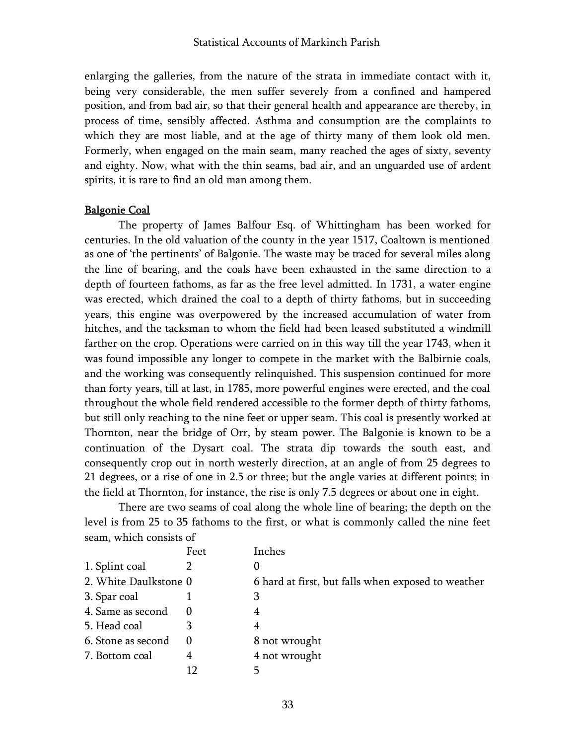enlarging the galleries, from the nature of the strata in immediate contact with it, being very considerable, the men suffer severely from a confined and hampered position, and from bad air, so that their general health and appearance are thereby, in process of time, sensibly affected. Asthma and consumption are the complaints to which they are most liable, and at the age of thirty many of them look old men. Formerly, when engaged on the main seam, many reached the ages of sixty, seventy and eighty. Now, what with the thin seams, bad air, and an unguarded use of ardent spirits, it is rare to find an old man among them.

#### Balgonie Coal

The property of James Balfour Esq. of Whittingham has been worked for centuries. In the old valuation of the county in the year 1517, Coaltown is mentioned as one of 'the pertinents' of Balgonie. The waste may be traced for several miles along the line of bearing, and the coals have been exhausted in the same direction to a depth of fourteen fathoms, as far as the free level admitted. In 1731, a water engine was erected, which drained the coal to a depth of thirty fathoms, but in succeeding years, this engine was overpowered by the increased accumulation of water from hitches, and the tacksman to whom the field had been leased substituted a windmill farther on the crop. Operations were carried on in this way till the year 1743, when it was found impossible any longer to compete in the market with the Balbirnie coals, and the working was consequently relinquished. This suspension continued for more than forty years, till at last, in 1785, more powerful engines were erected, and the coal throughout the whole field rendered accessible to the former depth of thirty fathoms, but still only reaching to the nine feet or upper seam. This coal is presently worked at Thornton, near the bridge of Orr, by steam power. The Balgonie is known to be a continuation of the Dysart coal. The strata dip towards the south east, and consequently crop out in north westerly direction, at an angle of from 25 degrees to 21 degrees, or a rise of one in 2.5 or three; but the angle varies at different points; in the field at Thornton, for instance, the rise is only 7.5 degrees or about one in eight.

There are two seams of coal along the whole line of bearing; the depth on the level is from 25 to 35 fathoms to the first, or what is commonly called the nine feet seam, which consists of

|                       | Feet | Inches                                             |
|-----------------------|------|----------------------------------------------------|
| 1. Splint coal        |      |                                                    |
| 2. White Daulkstone 0 |      | 6 hard at first, but falls when exposed to weather |
| 3. Spar coal          |      | 3                                                  |
| 4. Same as second     |      | 4                                                  |
| 5. Head coal          | З    | 4                                                  |
| 6. Stone as second    |      | 8 not wrought                                      |
| 7. Bottom coal        | 4    | 4 not wrought                                      |
|                       |      |                                                    |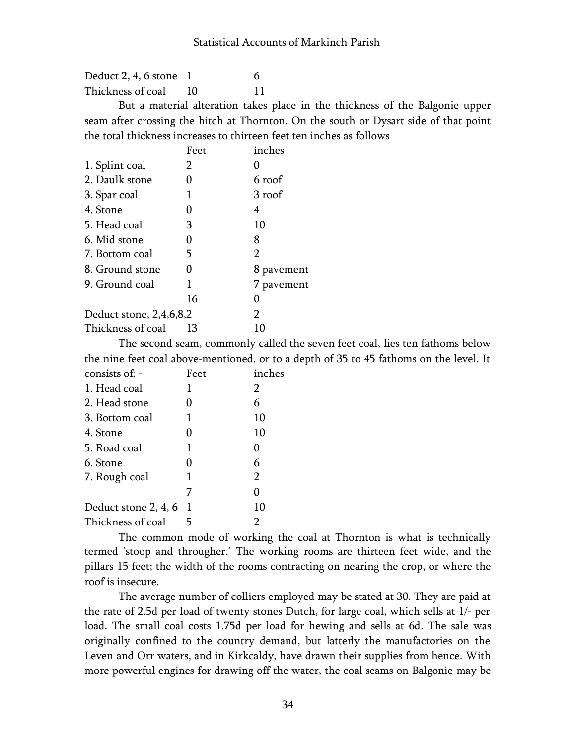Deduct  $2, 4, 6$  stone  $1$  6 Thickness of coal 10 11

But a material alteration takes place in the thickness of the Balgonie upper seam after crossing the hitch at Thornton. On the south or Dysart side of that point the total thickness increases to thirteen feet ten inches as follows

|                         | Feet | inches         |
|-------------------------|------|----------------|
| 1. Splint coal          | 2    | 0              |
| 2. Daulk stone          | 0    | 6 roof         |
| 3. Spar coal            | 1    | 3 roof         |
| 4. Stone                |      | 4              |
| 5. Head coal            | 3    | 10             |
| 6. Mid stone            | 0    | 8              |
| 7. Bottom coal          | 5    | $\overline{2}$ |
| 8. Ground stone         | 0    | 8 pavement     |
| 9. Ground coal          |      | 7 pavement     |
|                         | 16   | 0              |
| Deduct stone, 2,4,6,8,2 |      | $\overline{2}$ |
| Thickness of coal       | 13   | 10             |
|                         |      |                |

The second seam, commonly called the seven feet coal, lies ten fathoms below the nine feet coal above-mentioned, or to a depth of 35 to 45 fathoms on the level. It

| Feet | inches |
|------|--------|
|      | 2      |
| 0    | 6      |
| 1    | 10     |
| 0    | 10     |
| 1    | 0      |
| 0    | 6      |
| 1    | 2      |
| 7    | 0      |
| 1    | 10     |
|      |        |
|      |        |

The common mode of working the coal at Thornton is what is technically termed 'stoop and througher.' The working rooms are thirteen feet wide, and the pillars 15 feet; the width of the rooms contracting on nearing the crop, or where the roof is insecure.

The average number of colliers employed may be stated at 30. They are paid at the rate of 2.5d per load of twenty stones Dutch, for large coal, which sells at 1/- per load. The small coal costs 1.75d per load for hewing and sells at 6d. The sale was originally confined to the country demand, but latterly the manufactories on the Leven and Orr waters, and in Kirkcaldy, have drawn their supplies from hence. With more powerful engines for drawing off the water, the coal seams on Balgonie may be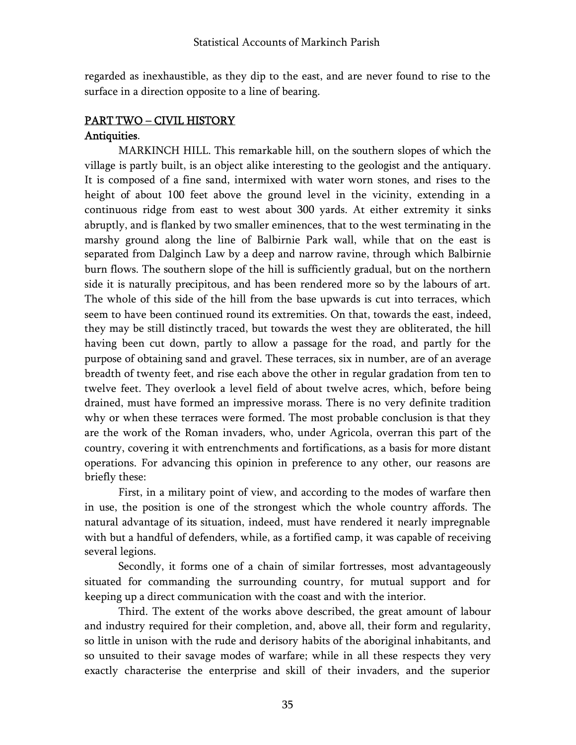regarded as inexhaustible, as they dip to the east, and are never found to rise to the surface in a direction opposite to a line of bearing.

# PART TWO – CIVIL HISTORY

## Antiquities.

MARKINCH HILL. This remarkable hill, on the southern slopes of which the village is partly built, is an object alike interesting to the geologist and the antiquary. It is composed of a fine sand, intermixed with water worn stones, and rises to the height of about 100 feet above the ground level in the vicinity, extending in a continuous ridge from east to west about 300 yards. At either extremity it sinks abruptly, and is flanked by two smaller eminences, that to the west terminating in the marshy ground along the line of Balbirnie Park wall, while that on the east is separated from Dalginch Law by a deep and narrow ravine, through which Balbirnie burn flows. The southern slope of the hill is sufficiently gradual, but on the northern side it is naturally precipitous, and has been rendered more so by the labours of art. The whole of this side of the hill from the base upwards is cut into terraces, which seem to have been continued round its extremities. On that, towards the east, indeed, they may be still distinctly traced, but towards the west they are obliterated, the hill having been cut down, partly to allow a passage for the road, and partly for the purpose of obtaining sand and gravel. These terraces, six in number, are of an average breadth of twenty feet, and rise each above the other in regular gradation from ten to twelve feet. They overlook a level field of about twelve acres, which, before being drained, must have formed an impressive morass. There is no very definite tradition why or when these terraces were formed. The most probable conclusion is that they are the work of the Roman invaders, who, under Agricola, overran this part of the country, covering it with entrenchments and fortifications, as a basis for more distant operations. For advancing this opinion in preference to any other, our reasons are briefly these:

First, in a military point of view, and according to the modes of warfare then in use, the position is one of the strongest which the whole country affords. The natural advantage of its situation, indeed, must have rendered it nearly impregnable with but a handful of defenders, while, as a fortified camp, it was capable of receiving several legions.

Secondly, it forms one of a chain of similar fortresses, most advantageously situated for commanding the surrounding country, for mutual support and for keeping up a direct communication with the coast and with the interior.

Third. The extent of the works above described, the great amount of labour and industry required for their completion, and, above all, their form and regularity, so little in unison with the rude and derisory habits of the aboriginal inhabitants, and so unsuited to their savage modes of warfare; while in all these respects they very exactly characterise the enterprise and skill of their invaders, and the superior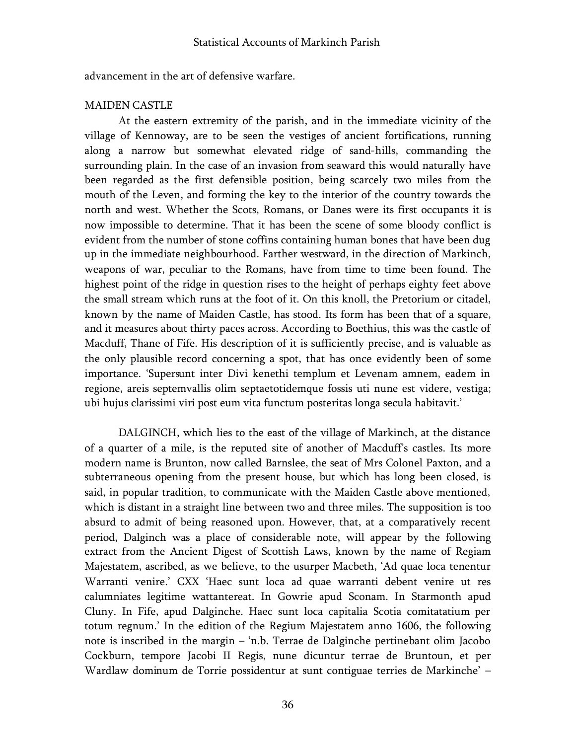advancement in the art of defensive warfare.

### MAIDEN CASTLE

At the eastern extremity of the parish, and in the immediate vicinity of the village of Kennoway, are to be seen the vestiges of ancient fortifications, running along a narrow but somewhat elevated ridge of sand-hills, commanding the surrounding plain. In the case of an invasion from seaward this would naturally have been regarded as the first defensible position, being scarcely two miles from the mouth of the Leven, and forming the key to the interior of the country towards the north and west. Whether the Scots, Romans, or Danes were its first occupants it is now impossible to determine. That it has been the scene of some bloody conflict is evident from the number of stone coffins containing human bones that have been dug up in the immediate neighbourhood. Farther westward, in the direction of Markinch, weapons of war, peculiar to the Romans, have from time to time been found. The highest point of the ridge in question rises to the height of perhaps eighty feet above the small stream which runs at the foot of it. On this knoll, the Pretorium or citadel, known by the name of Maiden Castle, has stood. Its form has been that of a square, and it measures about thirty paces across. According to Boethius, this was the castle of Macduff, Thane of Fife. His description of it is sufficiently precise, and is valuable as the only plausible record concerning a spot, that has once evidently been of some importance. 'Supersunt inter Divi kenethi templum et Levenam amnem, eadem in regione, areis septemvallis olim septaetotidemque fossis uti nune est videre, vestiga; ubi hujus clarissimi viri post eum vita functum posteritas longa secula habitavit.'

DALGINCH, which lies to the east of the village of Markinch, at the distance of a quarter of a mile, is the reputed site of another of Macduff's castles. Its more modern name is Brunton, now called Barnslee, the seat of Mrs Colonel Paxton, and a subterraneous opening from the present house, but which has long been closed, is said, in popular tradition, to communicate with the Maiden Castle above mentioned, which is distant in a straight line between two and three miles. The supposition is too absurd to admit of being reasoned upon. However, that, at a comparatively recent period, Dalginch was a place of considerable note, will appear by the following extract from the Ancient Digest of Scottish Laws, known by the name of Regiam Majestatem, ascribed, as we believe, to the usurper Macbeth, 'Ad quae loca tenentur Warranti venire.' CXX 'Haec sunt loca ad quae warranti debent venire ut res calumniates legitime wattantereat. In Gowrie apud Sconam. In Starmonth apud Cluny. In Fife, apud Dalginche. Haec sunt loca capitalia Scotia comitatatium per totum regnum.' In the edition of the Regium Majestatem anno 1606, the following note is inscribed in the margin – 'n.b. Terrae de Dalginche pertinebant olim Jacobo Cockburn, tempore Jacobi II Regis, nune dicuntur terrae de Bruntoun, et per Wardlaw dominum de Torrie possidentur at sunt contiguae terries de Markinche' –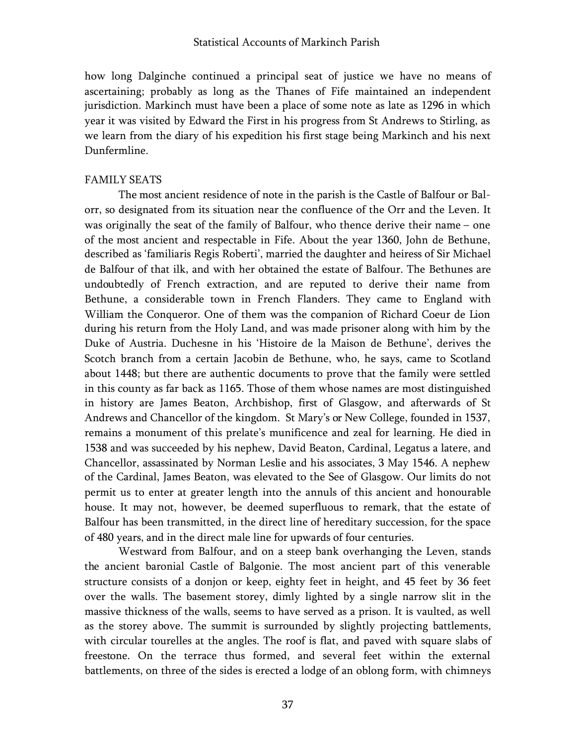how long Dalginche continued a principal seat of justice we have no means of ascertaining; probably as long as the Thanes of Fife maintained an independent jurisdiction. Markinch must have been a place of some note as late as 1296 in which year it was visited by Edward the First in his progress from St Andrews to Stirling, as we learn from the diary of his expedition his first stage being Markinch and his next Dunfermline.

#### FAMILY SEATS

The most ancient residence of note in the parish is the Castle of Balfour or Balorr, so designated from its situation near the confluence of the Orr and the Leven. It was originally the seat of the family of Balfour, who thence derive their name – one of the most ancient and respectable in Fife. About the year 1360, John de Bethune, described as 'familiaris Regis Roberti', married the daughter and heiress of Sir Michael de Balfour of that ilk, and with her obtained the estate of Balfour. The Bethunes are undoubtedly of French extraction, and are reputed to derive their name from Bethune, a considerable town in French Flanders. They came to England with William the Conqueror. One of them was the companion of Richard Coeur de Lion during his return from the Holy Land, and was made prisoner along with him by the Duke of Austria. Duchesne in his 'Histoire de la Maison de Bethune', derives the Scotch branch from a certain Jacobin de Bethune, who, he says, came to Scotland about 1448; but there are authentic documents to prove that the family were settled in this county as far back as 1165. Those of them whose names are most distinguished in history are James Beaton, Archbishop, first of Glasgow, and afterwards of St Andrews and Chancellor of the kingdom. St Mary's or New College, founded in 1537, remains a monument of this prelate's munificence and zeal for learning. He died in 1538 and was succeeded by his nephew, David Beaton, Cardinal, Legatus a latere, and Chancellor, assassinated by Norman Leslie and his associates, 3 May 1546. A nephew of the Cardinal, James Beaton, was elevated to the See of Glasgow. Our limits do not permit us to enter at greater length into the annuls of this ancient and honourable house. It may not, however, be deemed superfluous to remark, that the estate of Balfour has been transmitted, in the direct line of hereditary succession, for the space of 480 years, and in the direct male line for upwards of four centuries.

Westward from Balfour, and on a steep bank overhanging the Leven, stands the ancient baronial Castle of Balgonie. The most ancient part of this venerable structure consists of a donjon or keep, eighty feet in height, and 45 feet by 36 feet over the walls. The basement storey, dimly lighted by a single narrow slit in the massive thickness of the walls, seems to have served as a prison. It is vaulted, as well as the storey above. The summit is surrounded by slightly projecting battlements, with circular tourelles at the angles. The roof is flat, and paved with square slabs of freestone. On the terrace thus formed, and several feet within the external battlements, on three of the sides is erected a lodge of an oblong form, with chimneys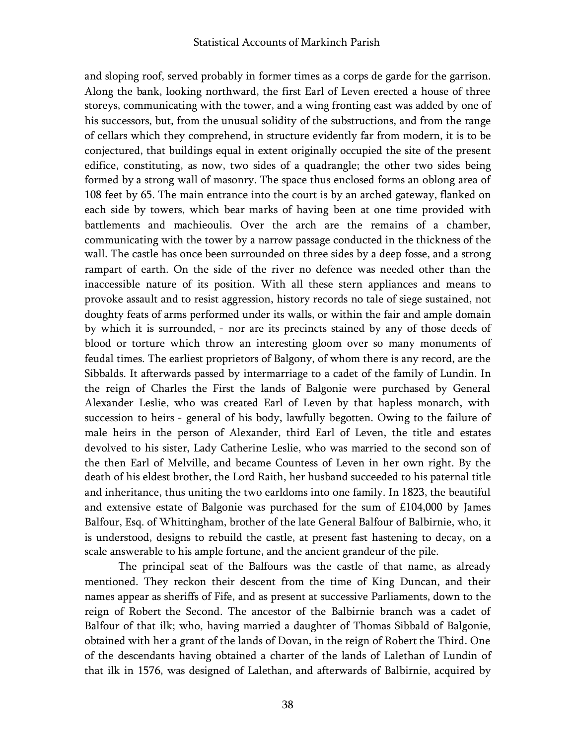and sloping roof, served probably in former times as a corps de garde for the garrison. Along the bank, looking northward, the first Earl of Leven erected a house of three storeys, communicating with the tower, and a wing fronting east was added by one of his successors, but, from the unusual solidity of the substructions, and from the range of cellars which they comprehend, in structure evidently far from modern, it is to be conjectured, that buildings equal in extent originally occupied the site of the present edifice, constituting, as now, two sides of a quadrangle; the other two sides being formed by a strong wall of masonry. The space thus enclosed forms an oblong area of 108 feet by 65. The main entrance into the court is by an arched gateway, flanked on each side by towers, which bear marks of having been at one time provided with battlements and machieoulis. Over the arch are the remains of a chamber, communicating with the tower by a narrow passage conducted in the thickness of the wall. The castle has once been surrounded on three sides by a deep fosse, and a strong rampart of earth. On the side of the river no defence was needed other than the inaccessible nature of its position. With all these stern appliances and means to provoke assault and to resist aggression, history records no tale of siege sustained, not doughty feats of arms performed under its walls, or within the fair and ample domain by which it is surrounded, - nor are its precincts stained by any of those deeds of blood or torture which throw an interesting gloom over so many monuments of feudal times. The earliest proprietors of Balgony, of whom there is any record, are the Sibbalds. It afterwards passed by intermarriage to a cadet of the family of Lundin. In the reign of Charles the First the lands of Balgonie were purchased by General Alexander Leslie, who was created Earl of Leven by that hapless monarch, with succession to heirs - general of his body, lawfully begotten. Owing to the failure of male heirs in the person of Alexander, third Earl of Leven, the title and estates devolved to his sister, Lady Catherine Leslie, who was married to the second son of the then Earl of Melville, and became Countess of Leven in her own right. By the death of his eldest brother, the Lord Raith, her husband succeeded to his paternal title and inheritance, thus uniting the two earldoms into one family. In 1823, the beautiful and extensive estate of Balgonie was purchased for the sum of £104,000 by James Balfour, Esq. of Whittingham, brother of the late General Balfour of Balbirnie, who, it is understood, designs to rebuild the castle, at present fast hastening to decay, on a scale answerable to his ample fortune, and the ancient grandeur of the pile.

The principal seat of the Balfours was the castle of that name, as already mentioned. They reckon their descent from the time of King Duncan, and their names appear as sheriffs of Fife, and as present at successive Parliaments, down to the reign of Robert the Second. The ancestor of the Balbirnie branch was a cadet of Balfour of that ilk; who, having married a daughter of Thomas Sibbald of Balgonie, obtained with her a grant of the lands of Dovan, in the reign of Robert the Third. One of the descendants having obtained a charter of the lands of Lalethan of Lundin of that ilk in 1576, was designed of Lalethan, and afterwards of Balbirnie, acquired by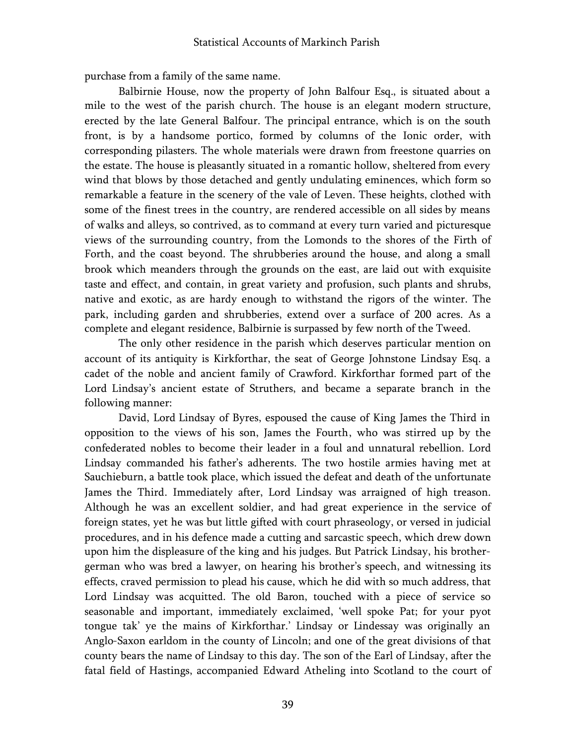purchase from a family of the same name.

Balbirnie House, now the property of John Balfour Esq., is situated about a mile to the west of the parish church. The house is an elegant modern structure, erected by the late General Balfour. The principal entrance, which is on the south front, is by a handsome portico, formed by columns of the Ionic order, with corresponding pilasters. The whole materials were drawn from freestone quarries on the estate. The house is pleasantly situated in a romantic hollow, sheltered from every wind that blows by those detached and gently undulating eminences, which form so remarkable a feature in the scenery of the vale of Leven. These heights, clothed with some of the finest trees in the country, are rendered accessible on all sides by means of walks and alleys, so contrived, as to command at every turn varied and picturesque views of the surrounding country, from the Lomonds to the shores of the Firth of Forth, and the coast beyond. The shrubberies around the house, and along a small brook which meanders through the grounds on the east, are laid out with exquisite taste and effect, and contain, in great variety and profusion, such plants and shrubs, native and exotic, as are hardy enough to withstand the rigors of the winter. The park, including garden and shrubberies, extend over a surface of 200 acres. As a complete and elegant residence, Balbirnie is surpassed by few north of the Tweed.

The only other residence in the parish which deserves particular mention on account of its antiquity is Kirkforthar, the seat of George Johnstone Lindsay Esq. a cadet of the noble and ancient family of Crawford. Kirkforthar formed part of the Lord Lindsay's ancient estate of Struthers, and became a separate branch in the following manner:

David, Lord Lindsay of Byres, espoused the cause of King James the Third in opposition to the views of his son, James the Fourth, who was stirred up by the confederated nobles to become their leader in a foul and unnatural rebellion. Lord Lindsay commanded his father's adherents. The two hostile armies having met at Sauchieburn, a battle took place, which issued the defeat and death of the unfortunate James the Third. Immediately after, Lord Lindsay was arraigned of high treason. Although he was an excellent soldier, and had great experience in the service of foreign states, yet he was but little gifted with court phraseology, or versed in judicial procedures, and in his defence made a cutting and sarcastic speech, which drew down upon him the displeasure of the king and his judges. But Patrick Lindsay, his brothergerman who was bred a lawyer, on hearing his brother's speech, and witnessing its effects, craved permission to plead his cause, which he did with so much address, that Lord Lindsay was acquitted. The old Baron, touched with a piece of service so seasonable and important, immediately exclaimed, 'well spoke Pat; for your pyot tongue tak' ye the mains of Kirkforthar.' Lindsay or Lindessay was originally an Anglo-Saxon earldom in the county of Lincoln; and one of the great divisions of that county bears the name of Lindsay to this day. The son of the Earl of Lindsay, after the fatal field of Hastings, accompanied Edward Atheling into Scotland to the court of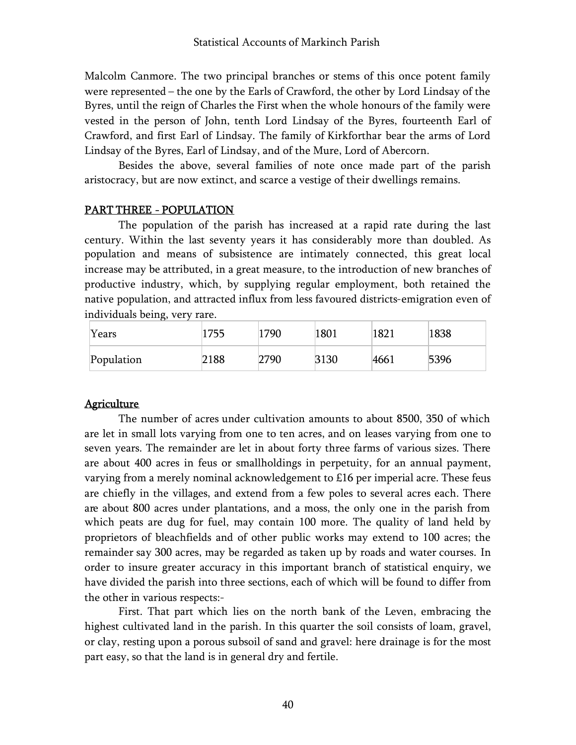Malcolm Canmore. The two principal branches or stems of this once potent family were represented – the one by the Earls of Crawford, the other by Lord Lindsay of the Byres, until the reign of Charles the First when the whole honours of the family were vested in the person of John, tenth Lord Lindsay of the Byres, fourteenth Earl of Crawford, and first Earl of Lindsay. The family of Kirkforthar bear the arms of Lord Lindsay of the Byres, Earl of Lindsay, and of the Mure, Lord of Abercorn.

Besides the above, several families of note once made part of the parish aristocracy, but are now extinct, and scarce a vestige of their dwellings remains.

#### PART THREE - POPULATION

The population of the parish has increased at a rapid rate during the last century. Within the last seventy years it has considerably more than doubled. As population and means of subsistence are intimately connected, this great local increase may be attributed, in a great measure, to the introduction of new branches of productive industry, which, by supplying regular employment, both retained the native population, and attracted influx from less favoured districts-emigration even of individuals being, very rare.

| Years      | 755  | 1790 | 1801 | 1821 | 1838 |
|------------|------|------|------|------|------|
| Population | 2188 | 2790 | 3130 | 4661 | 5396 |

#### Agriculture

The number of acres under cultivation amounts to about 8500, 350 of which are let in small lots varying from one to ten acres, and on leases varying from one to seven years. The remainder are let in about forty three farms of various sizes. There are about 400 acres in feus or smallholdings in perpetuity, for an annual payment, varying from a merely nominal acknowledgement to £16 per imperial acre. These feus are chiefly in the villages, and extend from a few poles to several acres each. There are about 800 acres under plantations, and a moss, the only one in the parish from which peats are dug for fuel, may contain 100 more. The quality of land held by proprietors of bleachfields and of other public works may extend to 100 acres; the remainder say 300 acres, may be regarded as taken up by roads and water courses. In order to insure greater accuracy in this important branch of statistical enquiry, we have divided the parish into three sections, each of which will be found to differ from the other in various respects:-

First. That part which lies on the north bank of the Leven, embracing the highest cultivated land in the parish. In this quarter the soil consists of loam, gravel, or clay, resting upon a porous subsoil of sand and gravel: here drainage is for the most part easy, so that the land is in general dry and fertile.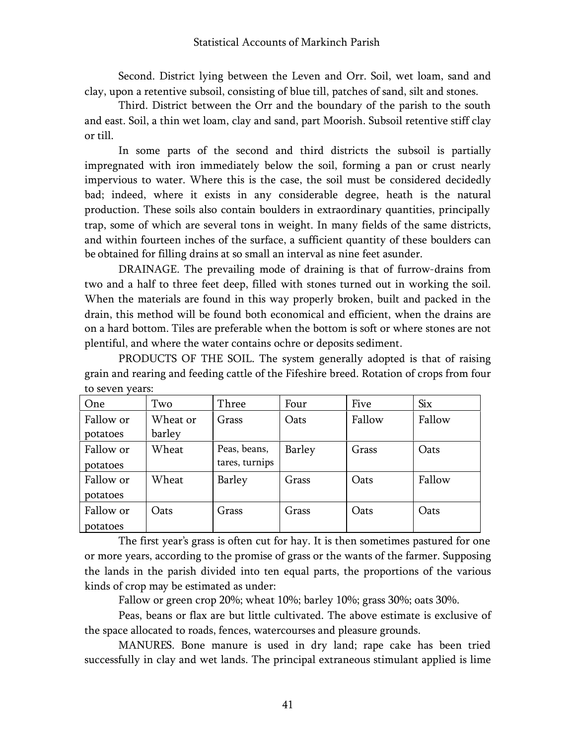Second. District lying between the Leven and Orr. Soil, wet loam, sand and clay, upon a retentive subsoil, consisting of blue till, patches of sand, silt and stones.

Third. District between the Orr and the boundary of the parish to the south and east. Soil, a thin wet loam, clay and sand, part Moorish. Subsoil retentive stiff clay or till.

In some parts of the second and third districts the subsoil is partially impregnated with iron immediately below the soil, forming a pan or crust nearly impervious to water. Where this is the case, the soil must be considered decidedly bad; indeed, where it exists in any considerable degree, heath is the natural production. These soils also contain boulders in extraordinary quantities, principally trap, some of which are several tons in weight. In many fields of the same districts, and within fourteen inches of the surface, a sufficient quantity of these boulders can be obtained for filling drains at so small an interval as nine feet asunder.

DRAINAGE. The prevailing mode of draining is that of furrow-drains from two and a half to three feet deep, filled with stones turned out in working the soil. When the materials are found in this way properly broken, built and packed in the drain, this method will be found both economical and efficient, when the drains are on a hard bottom. Tiles are preferable when the bottom is soft or where stones are not plentiful, and where the water contains ochre or deposits sediment.

PRODUCTS OF THE SOIL. The system generally adopted is that of raising grain and rearing and feeding cattle of the Fifeshire breed. Rotation of crops from four to seven years:

| <b>One</b> | Two      | Three          | Four   | Five   | <b>Six</b> |
|------------|----------|----------------|--------|--------|------------|
| Fallow or  | Wheat or | Grass          | Oats   | Fallow | Fallow     |
| potatoes   | barley   |                |        |        |            |
| Fallow or  | Wheat    | Peas, beans,   | Barley | Grass  | Oats       |
| potatoes   |          | tares, turnips |        |        |            |
| Fallow or  | Wheat    | Barley         | Grass  | Oats   | Fallow     |
| potatoes   |          |                |        |        |            |
| Fallow or  | Oats     | Grass          | Grass  | Oats   | Oats       |
| potatoes   |          |                |        |        |            |

The first year's grass is often cut for hay. It is then sometimes pastured for one or more years, according to the promise of grass or the wants of the farmer. Supposing the lands in the parish divided into ten equal parts, the proportions of the various kinds of crop may be estimated as under:

Fallow or green crop 20%; wheat 10%; barley 10%; grass 30%; oats 30%.

Peas, beans or flax are but little cultivated. The above estimate is exclusive of the space allocated to roads, fences, watercourses and pleasure grounds.

MANURES. Bone manure is used in dry land; rape cake has been tried successfully in clay and wet lands. The principal extraneous stimulant applied is lime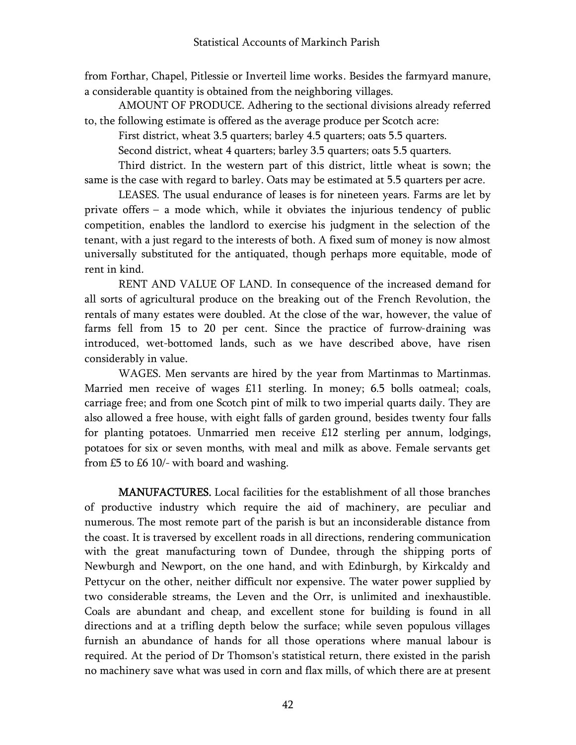from Forthar, Chapel, Pitlessie or Inverteil lime works. Besides the farmyard manure, a considerable quantity is obtained from the neighboring villages.

AMOUNT OF PRODUCE. Adhering to the sectional divisions already referred to, the following estimate is offered as the average produce per Scotch acre:

First district, wheat 3.5 quarters; barley 4.5 quarters; oats 5.5 quarters.

Second district, wheat 4 quarters; barley 3.5 quarters; oats 5.5 quarters.

Third district. In the western part of this district, little wheat is sown; the same is the case with regard to barley. Oats may be estimated at 5.5 quarters per acre.

LEASES. The usual endurance of leases is for nineteen years. Farms are let by private offers – a mode which, while it obviates the injurious tendency of public competition, enables the landlord to exercise his judgment in the selection of the tenant, with a just regard to the interests of both. A fixed sum of money is now almost universally substituted for the antiquated, though perhaps more equitable, mode of rent in kind.

RENT AND VALUE OF LAND. In consequence of the increased demand for all sorts of agricultural produce on the breaking out of the French Revolution, the rentals of many estates were doubled. At the close of the war, however, the value of farms fell from 15 to 20 per cent. Since the practice of furrow-draining was introduced, wet-bottomed lands, such as we have described above, have risen considerably in value.

WAGES. Men servants are hired by the year from Martinmas to Martinmas. Married men receive of wages £11 sterling. In money; 6.5 bolls oatmeal; coals, carriage free; and from one Scotch pint of milk to two imperial quarts daily. They are also allowed a free house, with eight falls of garden ground, besides twenty four falls for planting potatoes. Unmarried men receive £12 sterling per annum, lodgings, potatoes for six or seven months, with meal and milk as above. Female servants get from £5 to £6 10/- with board and washing.

MANUFACTURES. Local facilities for the establishment of all those branches of productive industry which require the aid of machinery, are peculiar and numerous. The most remote part of the parish is but an inconsiderable distance from the coast. It is traversed by excellent roads in all directions, rendering communication with the great manufacturing town of Dundee, through the shipping ports of Newburgh and Newport, on the one hand, and with Edinburgh, by Kirkcaldy and Pettycur on the other, neither difficult nor expensive. The water power supplied by two considerable streams, the Leven and the Orr, is unlimited and inexhaustible. Coals are abundant and cheap, and excellent stone for building is found in all directions and at a trifling depth below the surface; while seven populous villages furnish an abundance of hands for all those operations where manual labour is required. At the period of Dr Thomson's statistical return, there existed in the parish no machinery save what was used in corn and flax mills, of which there are at present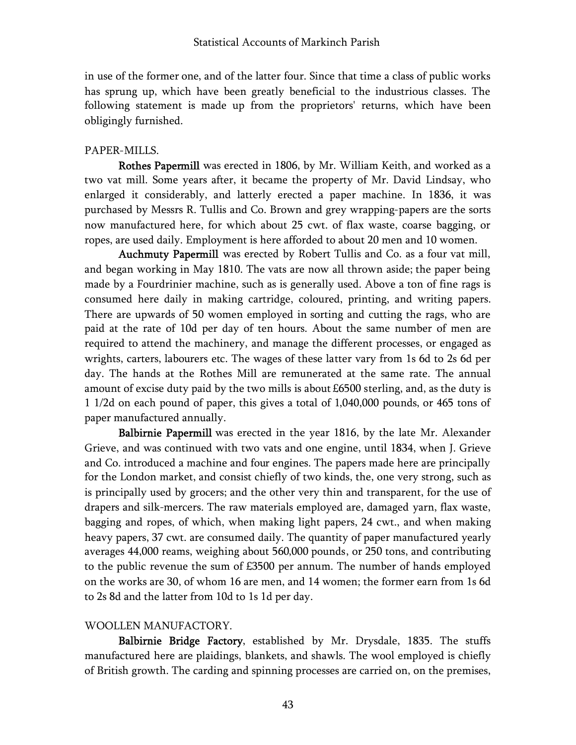in use of the former one, and of the latter four. Since that time a class of public works has sprung up, which have been greatly beneficial to the industrious classes. The following statement is made up from the proprietors' returns, which have been obligingly furnished.

# PAPER-MILLS.

Rothes Papermill was erected in 1806, by Mr. William Keith, and worked as a two vat mill. Some years after, it became the property of Mr. David Lindsay, who enlarged it considerably, and latterly erected a paper machine. In 1836, it was purchased by Messrs R. Tullis and Co. Brown and grey wrapping-papers are the sorts now manufactured here, for which about 25 cwt. of flax waste, coarse bagging, or ropes, are used daily. Employment is here afforded to about 20 men and 10 women.

Auchmuty Papermill was erected by Robert Tullis and Co. as a four vat mill, and began working in May 1810. The vats are now all thrown aside; the paper being made by a Fourdrinier machine, such as is generally used. Above a ton of fine rags is consumed here daily in making cartridge, coloured, printing, and writing papers. There are upwards of 50 women employed in sorting and cutting the rags, who are paid at the rate of 10d per day of ten hours. About the same number of men are required to attend the machinery, and manage the different processes, or engaged as wrights, carters, labourers etc. The wages of these latter vary from 1s 6d to 2s 6d per day. The hands at the Rothes Mill are remunerated at the same rate. The annual amount of excise duty paid by the two mills is about £6500 sterling, and, as the duty is 1 1/2d on each pound of paper, this gives a total of 1,040,000 pounds, or 465 tons of paper manufactured annually.

Balbirnie Papermill was erected in the year 1816, by the late Mr. Alexander Grieve, and was continued with two vats and one engine, until 1834, when J. Grieve and Co. introduced a machine and four engines. The papers made here are principally for the London market, and consist chiefly of two kinds, the, one very strong, such as is principally used by grocers; and the other very thin and transparent, for the use of drapers and silk-mercers. The raw materials employed are, damaged yarn, flax waste, bagging and ropes, of which, when making light papers, 24 cwt., and when making heavy papers, 37 cwt. are consumed daily. The quantity of paper manufactured yearly averages 44,000 reams, weighing about 560,000 pounds, or 250 tons, and contributing to the public revenue the sum of £3500 per annum. The number of hands employed on the works are 30, of whom 16 are men, and 14 women; the former earn from 1s 6d to 2s 8d and the latter from 10d to 1s 1d per day.

### WOOLLEN MANUFACTORY.

Balbirnie Bridge Factory, established by Mr. Drysdale, 1835. The stuffs manufactured here are plaidings, blankets, and shawls. The wool employed is chiefly of British growth. The carding and spinning processes are carried on, on the premises,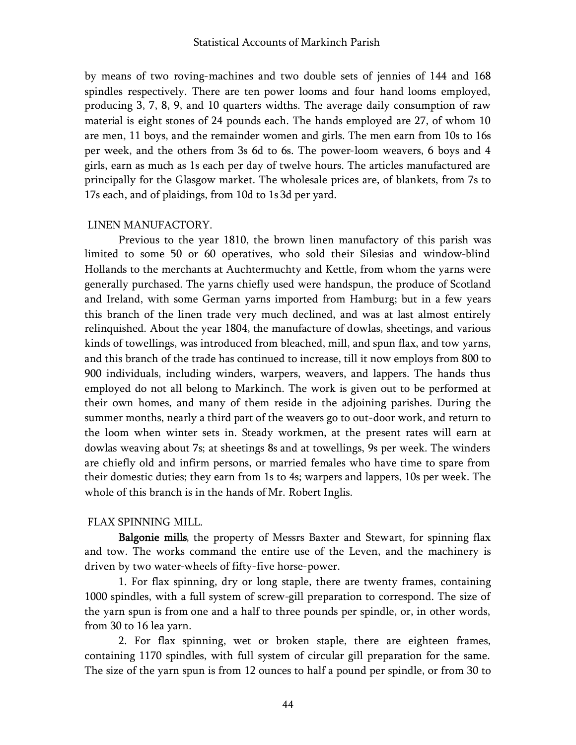by means of two roving-machines and two double sets of jennies of 144 and 168 spindles respectively. There are ten power looms and four hand looms employed, producing 3, 7, 8, 9, and 10 quarters widths. The average daily consumption of raw material is eight stones of 24 pounds each. The hands employed are 27, of whom 10 are men, 11 boys, and the remainder women and girls. The men earn from 10s to 16s per week, and the others from 3s 6d to 6s. The power-loom weavers, 6 boys and 4 girls, earn as much as 1s each per day of twelve hours. The articles manufactured are principally for the Glasgow market. The wholesale prices are, of blankets, from 7s to 17s each, and of plaidings, from 10d to 1s 3d per yard.

#### LINEN MANUFACTORY.

Previous to the year 1810, the brown linen manufactory of this parish was limited to some 50 or 60 operatives, who sold their Silesias and window-blind Hollands to the merchants at Auchtermuchty and Kettle, from whom the yarns were generally purchased. The yarns chiefly used were handspun, the produce of Scotland and Ireland, with some German yarns imported from Hamburg; but in a few years this branch of the linen trade very much declined, and was at last almost entirely relinquished. About the year 1804, the manufacture of dowlas, sheetings, and various kinds of towellings, was introduced from bleached, mill, and spun flax, and tow yarns, and this branch of the trade has continued to increase, till it now employs from 800 to 900 individuals, including winders, warpers, weavers, and lappers. The hands thus employed do not all belong to Markinch. The work is given out to be performed at their own homes, and many of them reside in the adjoining parishes. During the summer months, nearly a third part of the weavers go to out-door work, and return to the loom when winter sets in. Steady workmen, at the present rates will earn at dowlas weaving about 7s; at sheetings 8s and at towellings, 9s per week. The winders are chiefly old and infirm persons, or married females who have time to spare from their domestic duties; they earn from 1s to 4s; warpers and lappers, 10s per week. The whole of this branch is in the hands of Mr. Robert Inglis.

#### FLAX SPINNING MILL.

Balgonie mills, the property of Messrs Baxter and Stewart, for spinning flax and tow. The works command the entire use of the Leven, and the machinery is driven by two water-wheels of fifty-five horse-power.

1. For flax spinning, dry or long staple, there are twenty frames, containing 1000 spindles, with a full system of screw-gill preparation to correspond. The size of the yarn spun is from one and a half to three pounds per spindle, or, in other words, from 30 to 16 lea yarn.

2. For flax spinning, wet or broken staple, there are eighteen frames, containing 1170 spindles, with full system of circular gill preparation for the same. The size of the yarn spun is from 12 ounces to half a pound per spindle, or from 30 to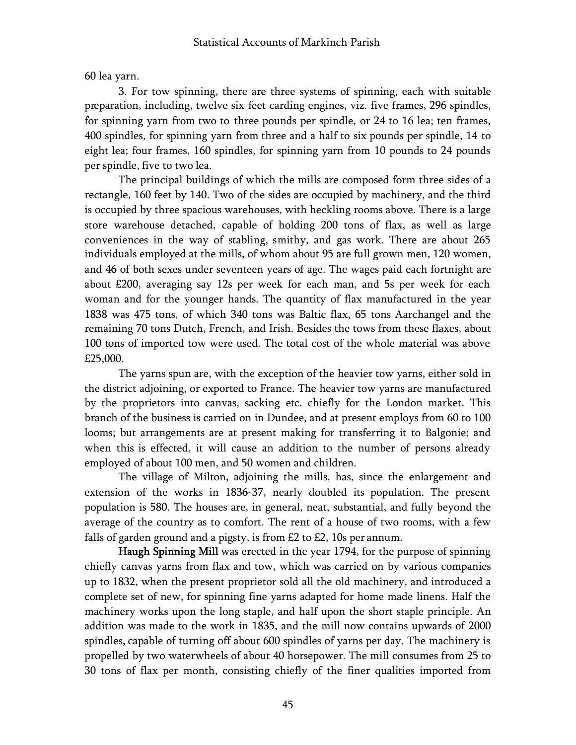60 lea yarn.

3. For tow spinning, there are three systems of spinning, each with suitable preparation, including, twelve six feet carding engines, viz. five frames, 296 spindles, for spinning yarn from two to three pounds per spindle, or 24 to 16 lea; ten frames, 400 spindles, for spinning yarn from three and a half to six pounds per spindle, 14 to eight lea; four frames, 160 spindles, for spinning yarn from 10 pounds to 24 pounds per spindle, five to two lea.

The principal buildings of which the mills are composed form three sides of a rectangle, 160 feet by 140. Two of the sides are occupied by machinery, and the third is occupied by three spacious warehouses, with heckling rooms above. There is a large store warehouse detached, capable of holding 200 tons of flax, as well as large conveniences in the way of stabling, smithy, and gas work. There are about 265 individuals employed at the mills, of whom about 95 are full grown men, 120 women, and 46 of both sexes under seventeen years of age. The wages paid each fortnight are about £200, averaging say 12s per week for each man, and 5s per week for each woman and for the younger hands. The quantity of flax manufactured in the year 1838 was 475 tons, of which 340 tons was Baltic flax, 65 tons Aarchangel and the remaining 70 tons Dutch, French, and Irish. Besides the tows from these flaxes, about 100 tons of imported tow were used. The total cost of the whole material was above £25,000.

The yarns spun are, with the exception of the heavier tow yarns, either sold in the district adjoining, or exported to France. The heavier tow yarns are manufactured by the proprietors into canvas, sacking etc. chiefly for the London market. This branch of the business is carried on in Dundee, and at present employs from 60 to 100 looms; but arrangements are at present making for transferring it to Balgonie; and when this is effected, it will cause an addition to the number of persons already employed of about 100 men, and 50 women and children.

The village of Milton, adjoining the mills, has, since the enlargement and extension of the works in 1836-37, nearly doubled its population. The present population is 580. The houses are, in general, neat, substantial, and fully beyond the average of the country as to comfort. The rent of a house of two rooms, with a few falls of garden ground and a pigsty, is from £2 to £2, 10s per annum.

Haugh Spinning Mill was erected in the year 1794, for the purpose of spinning chiefly canvas yarns from flax and tow, which was carried on by various companies up to 1832, when the present proprietor sold all the old machinery, and introduced a complete set of new, for spinning fine yarns adapted for home made linens. Half the machinery works upon the long staple, and half upon the short staple principle. An addition was made to the work in 1835, and the mill now contains upwards of 2000 spindles, capable of turning off about 600 spindles of yarns per day. The machinery is propelled by two waterwheels of about 40 horsepower. The mill consumes from 25 to 30 tons of flax per month, consisting chiefly of the finer qualities imported from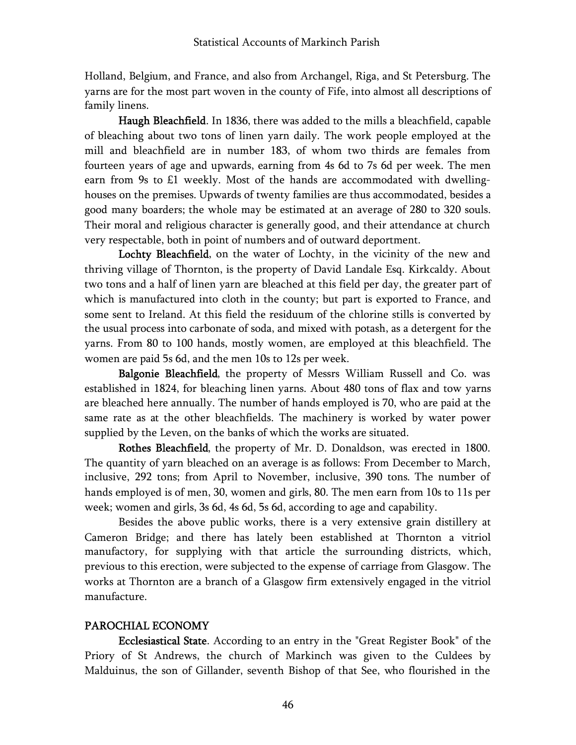Holland, Belgium, and France, and also from Archangel, Riga, and St Petersburg. The yarns are for the most part woven in the county of Fife, into almost all descriptions of family linens.

Haugh Bleachfield. In 1836, there was added to the mills a bleachfield, capable of bleaching about two tons of linen yarn daily. The work people employed at the mill and bleachfield are in number 183, of whom two thirds are females from fourteen years of age and upwards, earning from 4s 6d to 7s 6d per week. The men earn from 9s to £1 weekly. Most of the hands are accommodated with dwellinghouses on the premises. Upwards of twenty families are thus accommodated, besides a good many boarders; the whole may be estimated at an average of 280 to 320 souls. Their moral and religious character is generally good, and their attendance at church very respectable, both in point of numbers and of outward deportment.

Lochty Bleachfield, on the water of Lochty, in the vicinity of the new and thriving village of Thornton, is the property of David Landale Esq. Kirkcaldy. About two tons and a half of linen yarn are bleached at this field per day, the greater part of which is manufactured into cloth in the county; but part is exported to France, and some sent to Ireland. At this field the residuum of the chlorine stills is converted by the usual process into carbonate of soda, and mixed with potash, as a detergent for the yarns. From 80 to 100 hands, mostly women, are employed at this bleachfield. The women are paid 5s 6d, and the men 10s to 12s per week.

Balgonie Bleachfield, the property of Messrs William Russell and Co. was established in 1824, for bleaching linen yarns. About 480 tons of flax and tow yarns are bleached here annually. The number of hands employed is 70, who are paid at the same rate as at the other bleachfields. The machinery is worked by water power supplied by the Leven, on the banks of which the works are situated.

Rothes Bleachfield, the property of Mr. D. Donaldson, was erected in 1800. The quantity of yarn bleached on an average is as follows: From December to March, inclusive, 292 tons; from April to November, inclusive, 390 tons. The number of hands employed is of men, 30, women and girls, 80. The men earn from 10s to 11s per week; women and girls, 3s 6d, 4s 6d, 5s 6d, according to age and capability.

Besides the above public works, there is a very extensive grain distillery at Cameron Bridge; and there has lately been established at Thornton a vitriol manufactory, for supplying with that article the surrounding districts, which, previous to this erection, were subjected to the expense of carriage from Glasgow. The works at Thornton are a branch of a Glasgow firm extensively engaged in the vitriol manufacture.

# PAROCHIAL ECONOMY

Ecclesiastical State. According to an entry in the "Great Register Book" of the Priory of St Andrews, the church of Markinch was given to the Culdees by Malduinus, the son of Gillander, seventh Bishop of that See, who flourished in the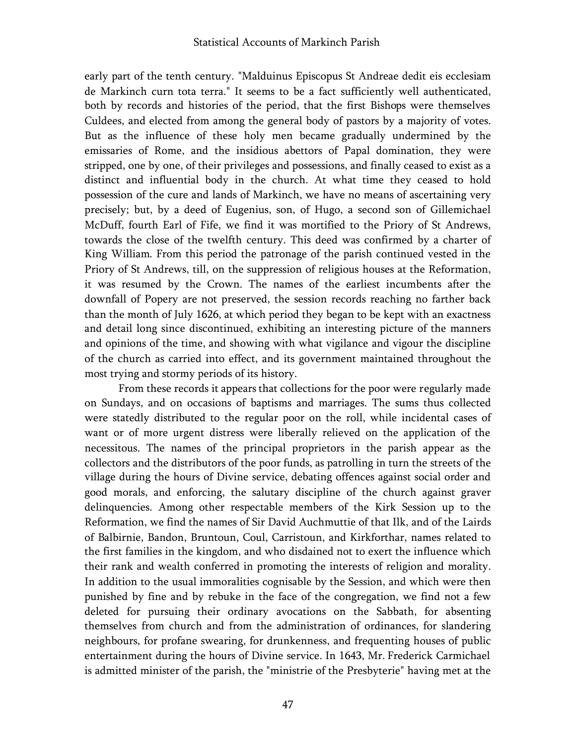early part of the tenth century. "Malduinus Episcopus St Andreae dedit eis ecclesiam de Markinch curn tota terra." It seems to be a fact sufficiently well authenticated, both by records and histories of the period, that the first Bishops were themselves Culdees, and elected from among the general body of pastors by a majority of votes. But as the influence of these holy men became gradually undermined by the emissaries of Rome, and the insidious abettors of Papal domination, they were stripped, one by one, of their privileges and possessions, and finally ceased to exist as a distinct and influential body in the church. At what time they ceased to hold possession of the cure and lands of Markinch, we have no means of ascertaining very precisely; but, by a deed of Eugenius, son, of Hugo, a second son of Gillemichael McDuff, fourth Earl of Fife, we find it was mortified to the Priory of St Andrews, towards the close of the twelfth century. This deed was confirmed by a charter of King William. From this period the patronage of the parish continued vested in the Priory of St Andrews, till, on the suppression of religious houses at the Reformation, it was resumed by the Crown. The names of the earliest incumbents after the downfall of Popery are not preserved, the session records reaching no farther back than the month of July 1626, at which period they began to be kept with an exactness and detail long since discontinued, exhibiting an interesting picture of the manners and opinions of the time, and showing with what vigilance and vigour the discipline of the church as carried into effect, and its government maintained throughout the most trying and stormy periods of its history.

From these records it appears that collections for the poor were regularly made on Sundays, and on occasions of baptisms and marriages. The sums thus collected were statedly distributed to the regular poor on the roll, while incidental cases of want or of more urgent distress were liberally relieved on the application of the necessitous. The names of the principal proprietors in the parish appear as the collectors and the distributors of the poor funds, as patrolling in turn the streets of the village during the hours of Divine service, debating offences against social order and good morals, and enforcing, the salutary discipline of the church against graver delinquencies. Among other respectable members of the Kirk Session up to the Reformation, we find the names of Sir David Auchmuttie of that Ilk, and of the Lairds of Balbirnie, Bandon, Bruntoun, Coul, Carristoun, and Kirkforthar, names related to the first families in the kingdom, and who disdained not to exert the influence which their rank and wealth conferred in promoting the interests of religion and morality. In addition to the usual immoralities cognisable by the Session, and which were then punished by fine and by rebuke in the face of the congregation, we find not a few deleted for pursuing their ordinary avocations on the Sabbath, for absenting themselves from church and from the administration of ordinances, for slandering neighbours, for profane swearing, for drunkenness, and frequenting houses of public entertainment during the hours of Divine service. In 1643, Mr. Frederick Carmichael is admitted minister of the parish, the "ministrie of the Presbyterie" having met at the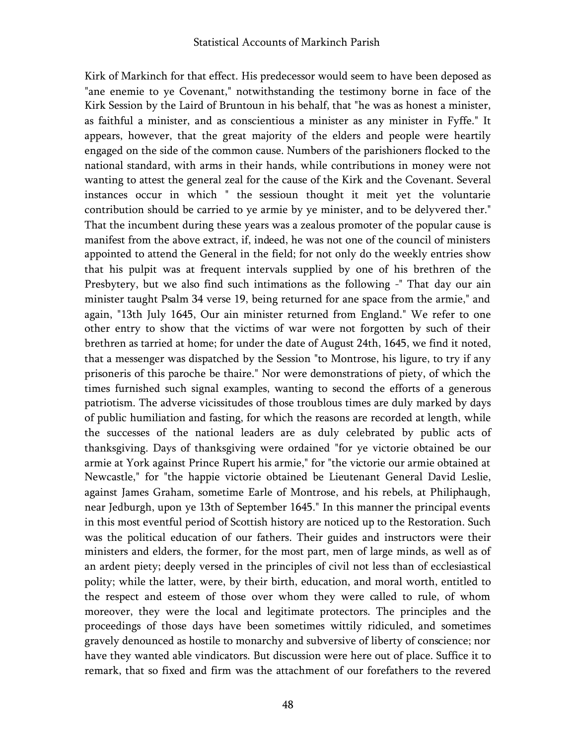Kirk of Markinch for that effect. His predecessor would seem to have been deposed as "ane enemie to ye Covenant," notwithstanding the testimony borne in face of the Kirk Session by the Laird of Bruntoun in his behalf, that "he was as honest a minister, as faithful a minister, and as conscientious a minister as any minister in Fyffe." It appears, however, that the great majority of the elders and people were heartily engaged on the side of the common cause. Numbers of the parishioners flocked to the national standard, with arms in their hands, while contributions in money were not wanting to attest the general zeal for the cause of the Kirk and the Covenant. Several instances occur in which " the sessioun thought it meit yet the voluntarie contribution should be carried to ye armie by ye minister, and to be delyvered ther." That the incumbent during these years was a zealous promoter of the popular cause is manifest from the above extract, if, indeed, he was not one of the council of ministers appointed to attend the General in the field; for not only do the weekly entries show that his pulpit was at frequent intervals supplied by one of his brethren of the Presbytery, but we also find such intimations as the following -" That day our ain minister taught Psalm 34 verse 19, being returned for ane space from the armie," and again, "13th July 1645, Our ain minister returned from England." We refer to one other entry to show that the victims of war were not forgotten by such of their brethren as tarried at home; for under the date of August 24th, 1645, we find it noted, that a messenger was dispatched by the Session "to Montrose, his ligure, to try if any prisoneris of this paroche be thaire." Nor were demonstrations of piety, of which the times furnished such signal examples, wanting to second the efforts of a generous patriotism. The adverse vicissitudes of those troublous times are duly marked by days of public humiliation and fasting, for which the reasons are recorded at length, while the successes of the national leaders are as duly celebrated by public acts of thanksgiving. Days of thanksgiving were ordained "for ye victorie obtained be our armie at York against Prince Rupert his armie," for "the victorie our armie obtained at Newcastle," for "the happie victorie obtained be Lieutenant General David Leslie, against James Graham, sometime Earle of Montrose, and his rebels, at Philiphaugh, near Jedburgh, upon ye 13th of September 1645." In this manner the principal events in this most eventful period of Scottish history are noticed up to the Restoration. Such was the political education of our fathers. Their guides and instructors were their ministers and elders, the former, for the most part, men of large minds, as well as of an ardent piety; deeply versed in the principles of civil not less than of ecclesiastical polity; while the latter, were, by their birth, education, and moral worth, entitled to the respect and esteem of those over whom they were called to rule, of whom moreover, they were the local and legitimate protectors. The principles and the proceedings of those days have been sometimes wittily ridiculed, and sometimes gravely denounced as hostile to monarchy and subversive of liberty of conscience; nor have they wanted able vindicators. But discussion were here out of place. Suffice it to remark, that so fixed and firm was the attachment of our forefathers to the revered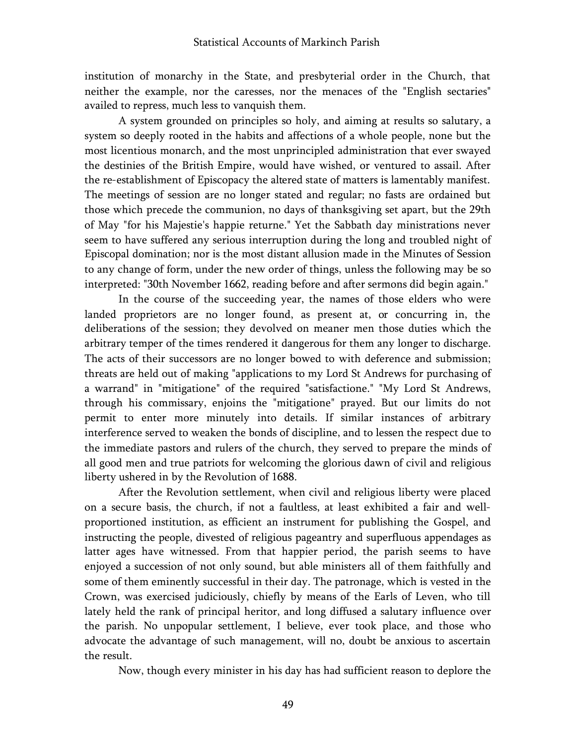institution of monarchy in the State, and presbyterial order in the Church, that neither the example, nor the caresses, nor the menaces of the "English sectaries" availed to repress, much less to vanquish them.

A system grounded on principles so holy, and aiming at results so salutary, a system so deeply rooted in the habits and affections of a whole people, none but the most licentious monarch, and the most unprincipled administration that ever swayed the destinies of the British Empire, would have wished, or ventured to assail. After the re-establishment of Episcopacy the altered state of matters is lamentably manifest. The meetings of session are no longer stated and regular; no fasts are ordained but those which precede the communion, no days of thanksgiving set apart, but the 29th of May "for his Majestie's happie returne." Yet the Sabbath day ministrations never seem to have suffered any serious interruption during the long and troubled night of Episcopal domination; nor is the most distant allusion made in the Minutes of Session to any change of form, under the new order of things, unless the following may be so interpreted: "30th November 1662, reading before and after sermons did begin again."

In the course of the succeeding year, the names of those elders who were landed proprietors are no longer found, as present at, or concurring in, the deliberations of the session; they devolved on meaner men those duties which the arbitrary temper of the times rendered it dangerous for them any longer to discharge. The acts of their successors are no longer bowed to with deference and submission; threats are held out of making "applications to my Lord St Andrews for purchasing of a warrand" in "mitigatione" of the required "satisfactione." "My Lord St Andrews, through his commissary, enjoins the "mitigatione" prayed. But our limits do not permit to enter more minutely into details. If similar instances of arbitrary interference served to weaken the bonds of discipline, and to lessen the respect due to the immediate pastors and rulers of the church, they served to prepare the minds of all good men and true patriots for welcoming the glorious dawn of civil and religious liberty ushered in by the Revolution of 1688.

After the Revolution settlement, when civil and religious liberty were placed on a secure basis, the church, if not a faultless, at least exhibited a fair and wellproportioned institution, as efficient an instrument for publishing the Gospel, and instructing the people, divested of religious pageantry and superfluous appendages as latter ages have witnessed. From that happier period, the parish seems to have enjoyed a succession of not only sound, but able ministers all of them faithfully and some of them eminently successful in their day. The patronage, which is vested in the Crown, was exercised judiciously, chiefly by means of the Earls of Leven, who till lately held the rank of principal heritor, and long diffused a salutary influence over the parish. No unpopular settlement, I believe, ever took place, and those who advocate the advantage of such management, will no, doubt be anxious to ascertain the result.

Now, though every minister in his day has had sufficient reason to deplore the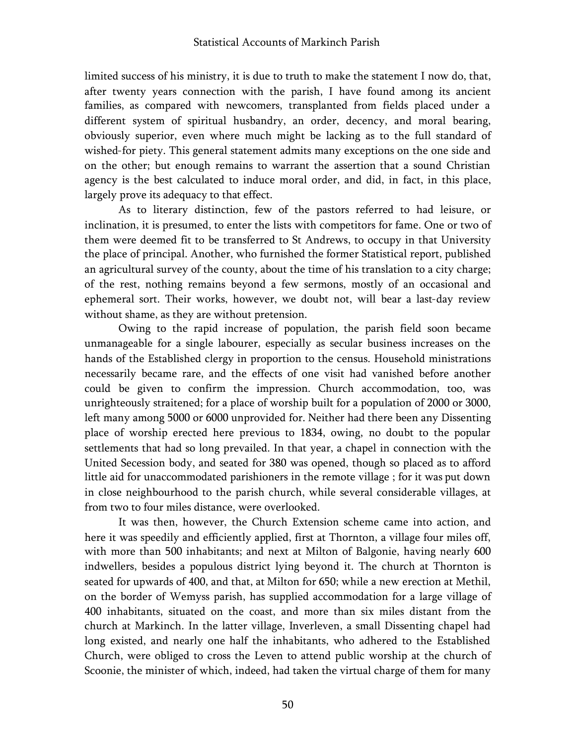limited success of his ministry, it is due to truth to make the statement I now do, that, after twenty years connection with the parish, I have found among its ancient families, as compared with newcomers, transplanted from fields placed under a different system of spiritual husbandry, an order, decency, and moral bearing, obviously superior, even where much might be lacking as to the full standard of wished-for piety. This general statement admits many exceptions on the one side and on the other; but enough remains to warrant the assertion that a sound Christian agency is the best calculated to induce moral order, and did, in fact, in this place, largely prove its adequacy to that effect.

As to literary distinction, few of the pastors referred to had leisure, or inclination, it is presumed, to enter the lists with competitors for fame. One or two of them were deemed fit to be transferred to St Andrews, to occupy in that University the place of principal. Another, who furnished the former Statistical report, published an agricultural survey of the county, about the time of his translation to a city charge; of the rest, nothing remains beyond a few sermons, mostly of an occasional and ephemeral sort. Their works, however, we doubt not, will bear a last-day review without shame, as they are without pretension.

Owing to the rapid increase of population, the parish field soon became unmanageable for a single labourer, especially as secular business increases on the hands of the Established clergy in proportion to the census. Household ministrations necessarily became rare, and the effects of one visit had vanished before another could be given to confirm the impression. Church accommodation, too, was unrighteously straitened; for a place of worship built for a population of 2000 or 3000, left many among 5000 or 6000 unprovided for. Neither had there been any Dissenting place of worship erected here previous to 1834, owing, no doubt to the popular settlements that had so long prevailed. In that year, a chapel in connection with the United Secession body, and seated for 380 was opened, though so placed as to afford little aid for unaccommodated parishioners in the remote village ; for it was put down in close neighbourhood to the parish church, while several considerable villages, at from two to four miles distance, were overlooked.

It was then, however, the Church Extension scheme came into action, and here it was speedily and efficiently applied, first at Thornton, a village four miles off, with more than 500 inhabitants; and next at Milton of Balgonie, having nearly 600 indwellers, besides a populous district lying beyond it. The church at Thornton is seated for upwards of 400, and that, at Milton for 650; while a new erection at Methil, on the border of Wemyss parish, has supplied accommodation for a large village of 400 inhabitants, situated on the coast, and more than six miles distant from the church at Markinch. In the latter village, Inverleven, a small Dissenting chapel had long existed, and nearly one half the inhabitants, who adhered to the Established Church, were obliged to cross the Leven to attend public worship at the church of Scoonie, the minister of which, indeed, had taken the virtual charge of them for many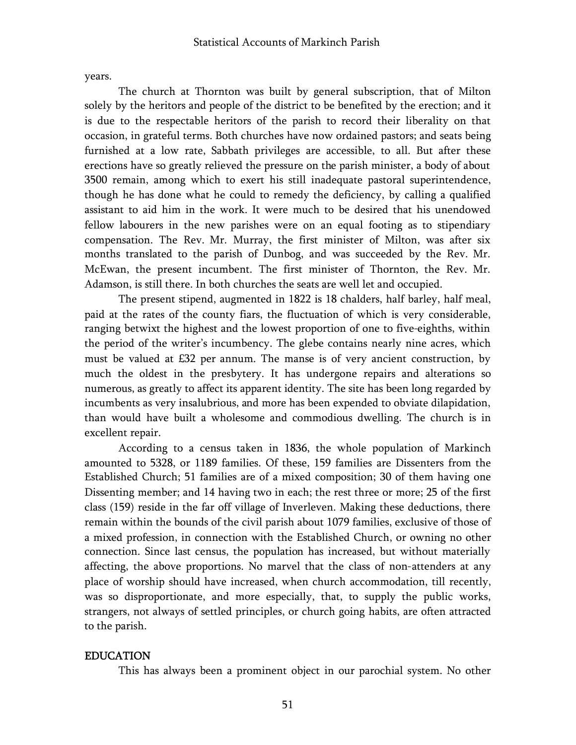years.

The church at Thornton was built by general subscription, that of Milton solely by the heritors and people of the district to be benefited by the erection; and it is due to the respectable heritors of the parish to record their liberality on that occasion, in grateful terms. Both churches have now ordained pastors; and seats being furnished at a low rate, Sabbath privileges are accessible, to all. But after these erections have so greatly relieved the pressure on the parish minister, a body of about 3500 remain, among which to exert his still inadequate pastoral superintendence, though he has done what he could to remedy the deficiency, by calling a qualified assistant to aid him in the work. It were much to be desired that his unendowed fellow labourers in the new parishes were on an equal footing as to stipendiary compensation. The Rev. Mr. Murray, the first minister of Milton, was after six months translated to the parish of Dunbog, and was succeeded by the Rev. Mr. McEwan, the present incumbent. The first minister of Thornton, the Rev. Mr. Adamson, is still there. In both churches the seats are well let and occupied.

The present stipend, augmented in 1822 is 18 chalders, half barley, half meal, paid at the rates of the county fiars, the fluctuation of which is very considerable, ranging betwixt the highest and the lowest proportion of one to five-eighths, within the period of the writer's incumbency. The glebe contains nearly nine acres, which must be valued at £32 per annum. The manse is of very ancient construction, by much the oldest in the presbytery. It has undergone repairs and alterations so numerous, as greatly to affect its apparent identity. The site has been long regarded by incumbents as very insalubrious, and more has been expended to obviate dilapidation, than would have built a wholesome and commodious dwelling. The church is in excellent repair.

According to a census taken in 1836, the whole population of Markinch amounted to 5328, or 1189 families. Of these, 159 families are Dissenters from the Established Church; 51 families are of a mixed composition; 30 of them having one Dissenting member; and 14 having two in each; the rest three or more; 25 of the first class (159) reside in the far off village of Inverleven. Making these deductions, there remain within the bounds of the civil parish about 1079 families, exclusive of those of a mixed profession, in connection with the Established Church, or owning no other connection. Since last census, the population has increased, but without materially affecting, the above proportions. No marvel that the class of non-attenders at any place of worship should have increased, when church accommodation, till recently, was so disproportionate, and more especially, that, to supply the public works, strangers, not always of settled principles, or church going habits, are often attracted to the parish.

### EDUCATION

This has always been a prominent object in our parochial system. No other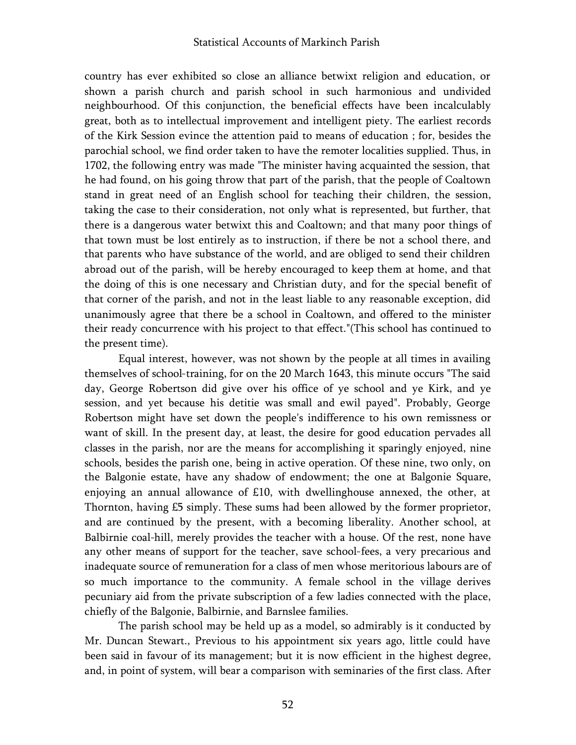country has ever exhibited so close an alliance betwixt religion and education, or shown a parish church and parish school in such harmonious and undivided neighbourhood. Of this conjunction, the beneficial effects have been incalculably great, both as to intellectual improvement and intelligent piety. The earliest records of the Kirk Session evince the attention paid to means of education ; for, besides the parochial school, we find order taken to have the remoter localities supplied. Thus, in 1702, the following entry was made "The minister having acquainted the session, that he had found, on his going throw that part of the parish, that the people of Coaltown stand in great need of an English school for teaching their children, the session, taking the case to their consideration, not only what is represented, but further, that there is a dangerous water betwixt this and Coaltown; and that many poor things of that town must be lost entirely as to instruction, if there be not a school there, and that parents who have substance of the world, and are obliged to send their children abroad out of the parish, will be hereby encouraged to keep them at home, and that the doing of this is one necessary and Christian duty, and for the special benefit of that corner of the parish, and not in the least liable to any reasonable exception, did unanimously agree that there be a school in Coaltown, and offered to the minister their ready concurrence with his project to that effect."(This school has continued to the present time).

Equal interest, however, was not shown by the people at all times in availing themselves of school-training, for on the 20 March 1643, this minute occurs "The said day, George Robertson did give over his office of ye school and ye Kirk, and ye session, and yet because his detitie was small and ewil payed". Probably, George Robertson might have set down the people's indifference to his own remissness or want of skill. In the present day, at least, the desire for good education pervades all classes in the parish, nor are the means for accomplishing it sparingly enjoyed, nine schools, besides the parish one, being in active operation. Of these nine, two only, on the Balgonie estate, have any shadow of endowment; the one at Balgonie Square, enjoying an annual allowance of £10, with dwellinghouse annexed, the other, at Thornton, having £5 simply. These sums had been allowed by the former proprietor, and are continued by the present, with a becoming liberality. Another school, at Balbirnie coal-hill, merely provides the teacher with a house. Of the rest, none have any other means of support for the teacher, save school-fees, a very precarious and inadequate source of remuneration for a class of men whose meritorious labours are of so much importance to the community. A female school in the village derives pecuniary aid from the private subscription of a few ladies connected with the place, chiefly of the Balgonie, Balbirnie, and Barnslee families.

The parish school may be held up as a model, so admirably is it conducted by Mr. Duncan Stewart., Previous to his appointment six years ago, little could have been said in favour of its management; but it is now efficient in the highest degree, and, in point of system, will bear a comparison with seminaries of the first class. After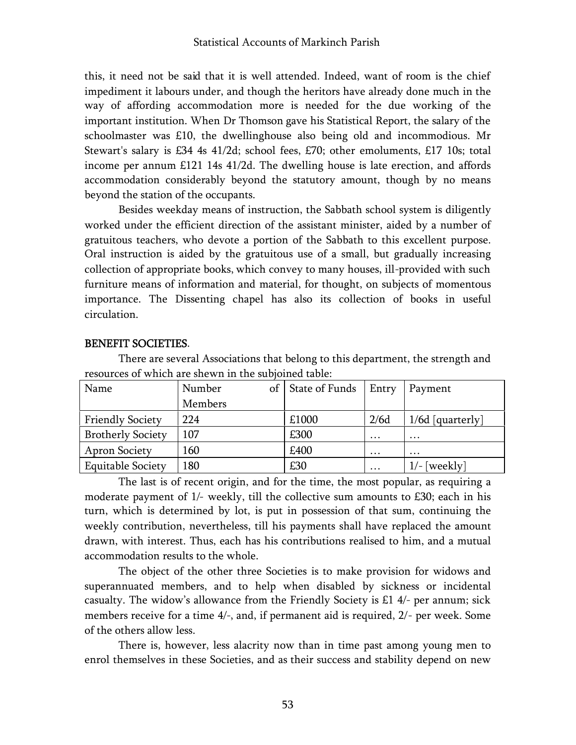this, it need not be said that it is well attended. Indeed, want of room is the chief impediment it labours under, and though the heritors have already done much in the way of affording accommodation more is needed for the due working of the important institution. When Dr Thomson gave his Statistical Report, the salary of the schoolmaster was £10, the dwellinghouse also being old and incommodious. Mr Stewart's salary is £34 4s 41/2d; school fees, £70; other emoluments, £17 10s; total income per annum £121 14s 41/2d. The dwelling house is late erection, and affords accommodation considerably beyond the statutory amount, though by no means beyond the station of the occupants.

Besides weekday means of instruction, the Sabbath school system is diligently worked under the efficient direction of the assistant minister, aided by a number of gratuitous teachers, who devote a portion of the Sabbath to this excellent purpose. Oral instruction is aided by the gratuitous use of a small, but gradually increasing collection of appropriate books, which convey to many houses, ill-provided with such furniture means of information and material, for thought, on subjects of momentous importance. The Dissenting chapel has also its collection of books in useful circulation.

| TC50urcc5 01 WHICH are 5HCWH III the Subjoined table. |              |                |          |                    |  |
|-------------------------------------------------------|--------------|----------------|----------|--------------------|--|
| Name                                                  | Number<br>of | State of Funds | Entry    | Payment            |  |
|                                                       | Members      |                |          |                    |  |
| <b>Friendly Society</b>                               | 224          | £1000          | 2/6d     | $1/6d$ [quarterly] |  |
| <b>Brotherly Society</b>                              | 107          | £300           | $\cdots$ | $\cdots$           |  |
| <b>Apron Society</b>                                  | 160          | £400           | $\cdots$ | $\cdots$           |  |
| <b>Equitable Society</b>                              | 180          | £30            | $\cdots$ | $1/-$ [weekly]     |  |

#### BENEFIT SOCIETIES.

There are several Associations that belong to this department, the strength and resources of which are shewn in the subjoined table:

The last is of recent origin, and for the time, the most popular, as requiring a moderate payment of 1/- weekly, till the collective sum amounts to £30; each in his turn, which is determined by lot, is put in possession of that sum, continuing the weekly contribution, nevertheless, till his payments shall have replaced the amount drawn, with interest. Thus, each has his contributions realised to him, and a mutual accommodation results to the whole.

The object of the other three Societies is to make provision for widows and superannuated members, and to help when disabled by sickness or incidental casualty. The widow's allowance from the Friendly Society is £1 4/- per annum; sick members receive for a time 4/-, and, if permanent aid is required, 2/- per week. Some of the others allow less.

There is, however, less alacrity now than in time past among young men to enrol themselves in these Societies, and as their success and stability depend on new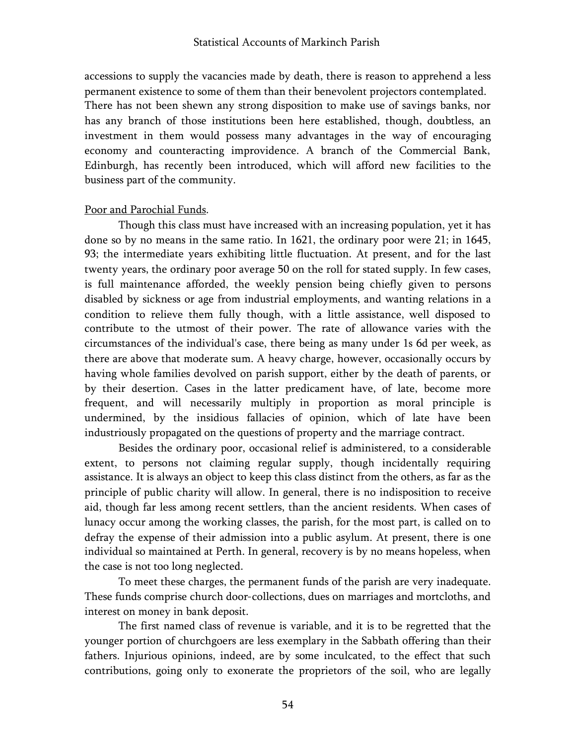accessions to supply the vacancies made by death, there is reason to apprehend a less permanent existence to some of them than their benevolent projectors contemplated. There has not been shewn any strong disposition to make use of savings banks, nor has any branch of those institutions been here established, though, doubtless, an investment in them would possess many advantages in the way of encouraging economy and counteracting improvidence. A branch of the Commercial Bank, Edinburgh, has recently been introduced, which will afford new facilities to the business part of the community.

### Poor and Parochial Funds.

Though this class must have increased with an increasing population, yet it has done so by no means in the same ratio. In 1621, the ordinary poor were 21; in 1645, 93; the intermediate years exhibiting little fluctuation. At present, and for the last twenty years, the ordinary poor average 50 on the roll for stated supply. In few cases, is full maintenance afforded, the weekly pension being chiefly given to persons disabled by sickness or age from industrial employments, and wanting relations in a condition to relieve them fully though, with a little assistance, well disposed to contribute to the utmost of their power. The rate of allowance varies with the circumstances of the individual's case, there being as many under 1s 6d per week, as there are above that moderate sum. A heavy charge, however, occasionally occurs by having whole families devolved on parish support, either by the death of parents, or by their desertion. Cases in the latter predicament have, of late, become more frequent, and will necessarily multiply in proportion as moral principle is undermined, by the insidious fallacies of opinion, which of late have been industriously propagated on the questions of property and the marriage contract.

Besides the ordinary poor, occasional relief is administered, to a considerable extent, to persons not claiming regular supply, though incidentally requiring assistance. It is always an object to keep this class distinct from the others, as far as the principle of public charity will allow. In general, there is no indisposition to receive aid, though far less among recent settlers, than the ancient residents. When cases of lunacy occur among the working classes, the parish, for the most part, is called on to defray the expense of their admission into a public asylum. At present, there is one individual so maintained at Perth. In general, recovery is by no means hopeless, when the case is not too long neglected.

To meet these charges, the permanent funds of the parish are very inadequate. These funds comprise church door-collections, dues on marriages and mortcloths, and interest on money in bank deposit.

The first named class of revenue is variable, and it is to be regretted that the younger portion of churchgoers are less exemplary in the Sabbath offering than their fathers. Injurious opinions, indeed, are by some inculcated, to the effect that such contributions, going only to exonerate the proprietors of the soil, who are legally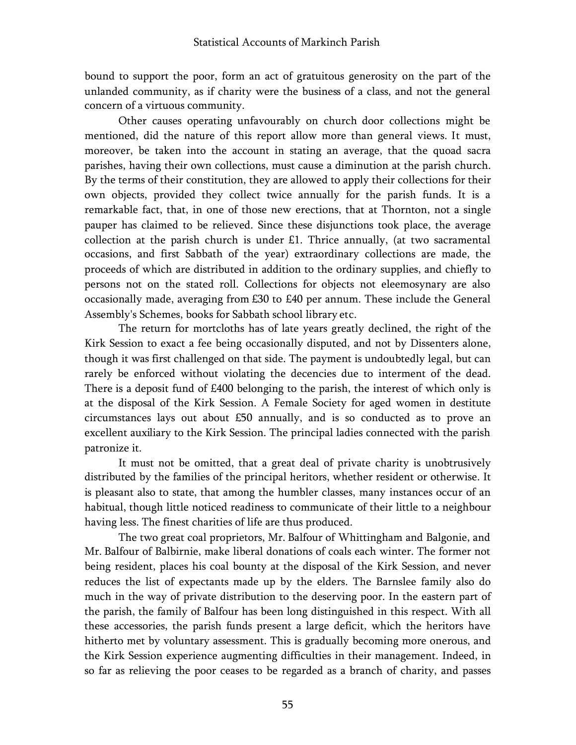bound to support the poor, form an act of gratuitous generosity on the part of the unlanded community, as if charity were the business of a class, and not the general concern of a virtuous community.

Other causes operating unfavourably on church door collections might be mentioned, did the nature of this report allow more than general views. It must, moreover, be taken into the account in stating an average, that the quoad sacra parishes, having their own collections, must cause a diminution at the parish church. By the terms of their constitution, they are allowed to apply their collections for their own objects, provided they collect twice annually for the parish funds. It is a remarkable fact, that, in one of those new erections, that at Thornton, not a single pauper has claimed to be relieved. Since these disjunctions took place, the average collection at the parish church is under £1. Thrice annually, (at two sacramental occasions, and first Sabbath of the year) extraordinary collections are made, the proceeds of which are distributed in addition to the ordinary supplies, and chiefly to persons not on the stated roll. Collections for objects not eleemosynary are also occasionally made, averaging from £30 to £40 per annum. These include the General Assembly's Schemes, books for Sabbath school library etc.

The return for mortcloths has of late years greatly declined, the right of the Kirk Session to exact a fee being occasionally disputed, and not by Dissenters alone, though it was first challenged on that side. The payment is undoubtedly legal, but can rarely be enforced without violating the decencies due to interment of the dead. There is a deposit fund of £400 belonging to the parish, the interest of which only is at the disposal of the Kirk Session. A Female Society for aged women in destitute circumstances lays out about £50 annually, and is so conducted as to prove an excellent auxiliary to the Kirk Session. The principal ladies connected with the parish patronize it.

It must not be omitted, that a great deal of private charity is unobtrusively distributed by the families of the principal heritors, whether resident or otherwise. It is pleasant also to state, that among the humbler classes, many instances occur of an habitual, though little noticed readiness to communicate of their little to a neighbour having less. The finest charities of life are thus produced.

The two great coal proprietors, Mr. Balfour of Whittingham and Balgonie, and Mr. Balfour of Balbirnie, make liberal donations of coals each winter. The former not being resident, places his coal bounty at the disposal of the Kirk Session, and never reduces the list of expectants made up by the elders. The Barnslee family also do much in the way of private distribution to the deserving poor. In the eastern part of the parish, the family of Balfour has been long distinguished in this respect. With all these accessories, the parish funds present a large deficit, which the heritors have hitherto met by voluntary assessment. This is gradually becoming more onerous, and the Kirk Session experience augmenting difficulties in their management. Indeed, in so far as relieving the poor ceases to be regarded as a branch of charity, and passes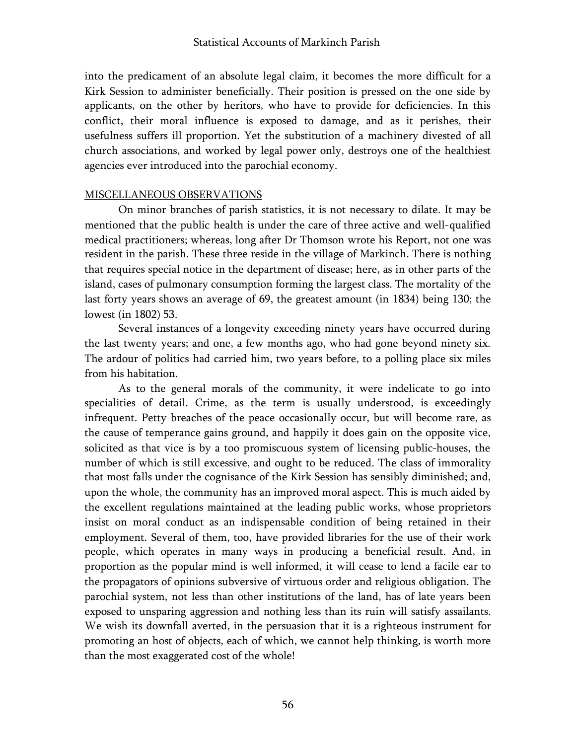into the predicament of an absolute legal claim, it becomes the more difficult for a Kirk Session to administer beneficially. Their position is pressed on the one side by applicants, on the other by heritors, who have to provide for deficiencies. In this conflict, their moral influence is exposed to damage, and as it perishes, their usefulness suffers ill proportion. Yet the substitution of a machinery divested of all church associations, and worked by legal power only, destroys one of the healthiest agencies ever introduced into the parochial economy.

#### MISCELLANEOUS OBSERVATIONS

On minor branches of parish statistics, it is not necessary to dilate. It may be mentioned that the public health is under the care of three active and well-qualified medical practitioners; whereas, long after Dr Thomson wrote his Report, not one was resident in the parish. These three reside in the village of Markinch. There is nothing that requires special notice in the department of disease; here, as in other parts of the island, cases of pulmonary consumption forming the largest class. The mortality of the last forty years shows an average of 69, the greatest amount (in 1834) being 130; the lowest (in 1802) 53.

Several instances of a longevity exceeding ninety years have occurred during the last twenty years; and one, a few months ago, who had gone beyond ninety six. The ardour of politics had carried him, two years before, to a polling place six miles from his habitation.

As to the general morals of the community, it were indelicate to go into specialities of detail. Crime, as the term is usually understood, is exceedingly infrequent. Petty breaches of the peace occasionally occur, but will become rare, as the cause of temperance gains ground, and happily it does gain on the opposite vice, solicited as that vice is by a too promiscuous system of licensing public-houses, the number of which is still excessive, and ought to be reduced. The class of immorality that most falls under the cognisance of the Kirk Session has sensibly diminished; and, upon the whole, the community has an improved moral aspect. This is much aided by the excellent regulations maintained at the leading public works, whose proprietors insist on moral conduct as an indispensable condition of being retained in their employment. Several of them, too, have provided libraries for the use of their work people, which operates in many ways in producing a beneficial result. And, in proportion as the popular mind is well informed, it will cease to lend a facile ear to the propagators of opinions subversive of virtuous order and religious obligation. The parochial system, not less than other institutions of the land, has of late years been exposed to unsparing aggression and nothing less than its ruin will satisfy assailants. We wish its downfall averted, in the persuasion that it is a righteous instrument for promoting an host of objects, each of which, we cannot help thinking, is worth more than the most exaggerated cost of the whole!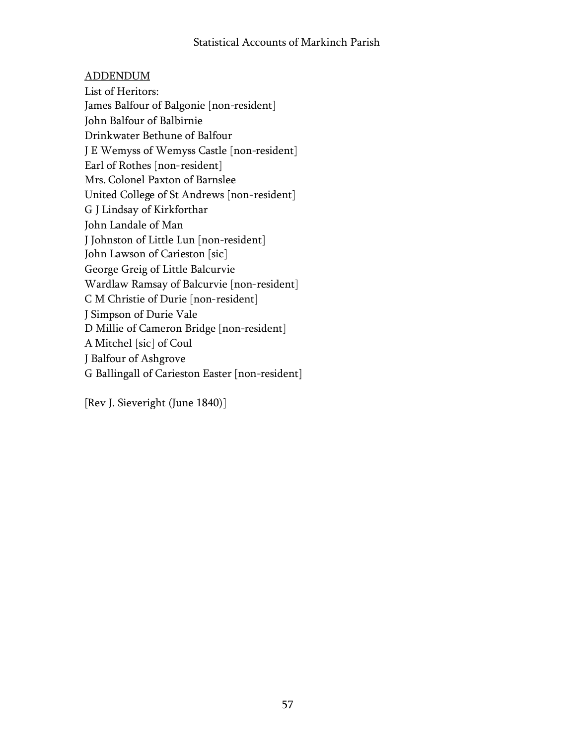# ADDENDUM

List of Heritors: James Balfour of Balgonie [non-resident] John Balfour of Balbirnie Drinkwater Bethune of Balfour J E Wemyss of Wemyss Castle [non-resident] Earl of Rothes [non-resident] Mrs. Colonel Paxton of Barnslee United College of St Andrews [non-resident] G J Lindsay of Kirkforthar John Landale of Man J Johnston of Little Lun [non-resident] John Lawson of Carieston [sic] George Greig of Little Balcurvie Wardlaw Ramsay of Balcurvie [non-resident] C M Christie of Durie [non-resident] J Simpson of Durie Vale D Millie of Cameron Bridge [non-resident] A Mitchel [sic] of Coul J Balfour of Ashgrove G Ballingall of Carieston Easter [non-resident]

[Rev J. Sieveright (June 1840)]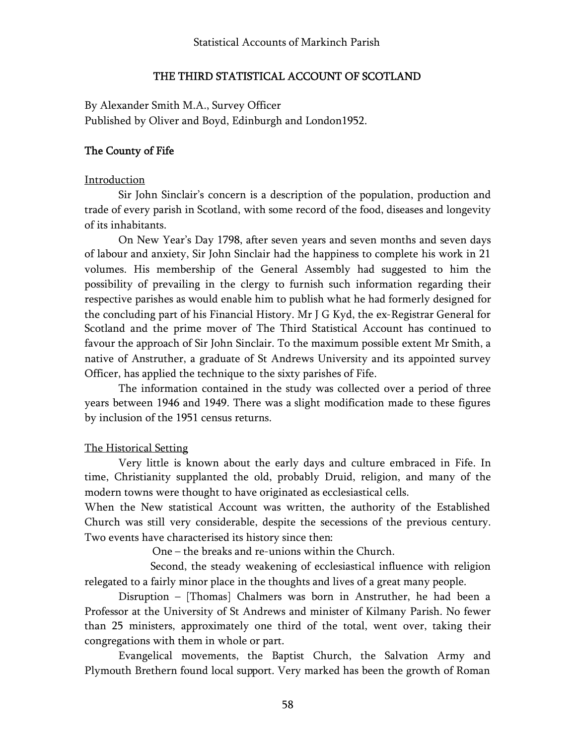### THE THIRD STATISTICAL ACCOUNT OF SCOTLAND

By Alexander Smith M.A., Survey Officer Published by Oliver and Boyd, Edinburgh and London1952.

### The County of Fife

#### Introduction

Sir John Sinclair's concern is a description of the population, production and trade of every parish in Scotland, with some record of the food, diseases and longevity of its inhabitants.

On New Year's Day 1798, after seven years and seven months and seven days of labour and anxiety, Sir John Sinclair had the happiness to complete his work in 21 volumes. His membership of the General Assembly had suggested to him the possibility of prevailing in the clergy to furnish such information regarding their respective parishes as would enable him to publish what he had formerly designed for the concluding part of his Financial History. Mr J G Kyd, the ex-Registrar General for Scotland and the prime mover of The Third Statistical Account has continued to favour the approach of Sir John Sinclair. To the maximum possible extent Mr Smith, a native of Anstruther, a graduate of St Andrews University and its appointed survey Officer, has applied the technique to the sixty parishes of Fife.

The information contained in the study was collected over a period of three years between 1946 and 1949. There was a slight modification made to these figures by inclusion of the 1951 census returns.

#### The Historical Setting

Very little is known about the early days and culture embraced in Fife. In time, Christianity supplanted the old, probably Druid, religion, and many of the modern towns were thought to have originated as ecclesiastical cells.

When the New statistical Account was written, the authority of the Established Church was still very considerable, despite the secessions of the previous century. Two events have characterised its history since then:

One – the breaks and re-unions within the Church.

Second, the steady weakening of ecclesiastical influence with religion relegated to a fairly minor place in the thoughts and lives of a great many people.

Disruption – [Thomas] Chalmers was born in Anstruther, he had been a Professor at the University of St Andrews and minister of Kilmany Parish. No fewer than 25 ministers, approximately one third of the total, went over, taking their congregations with them in whole or part.

Evangelical movements, the Baptist Church, the Salvation Army and Plymouth Brethern found local support. Very marked has been the growth of Roman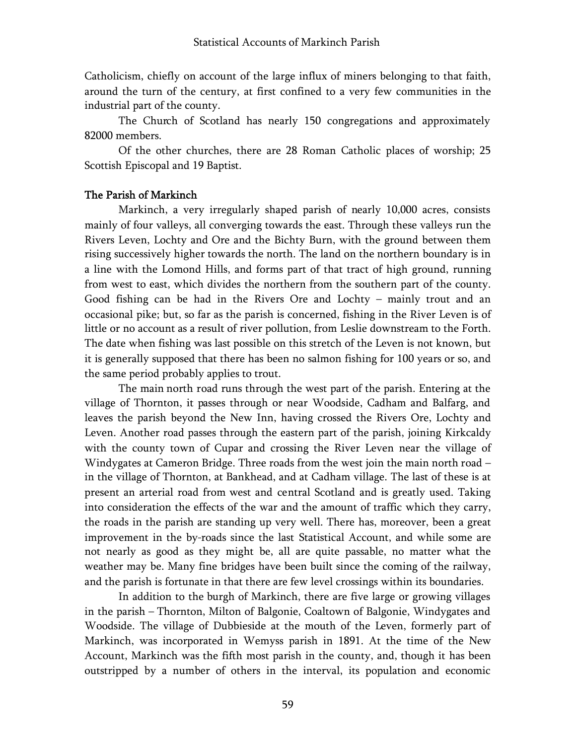Catholicism, chiefly on account of the large influx of miners belonging to that faith, around the turn of the century, at first confined to a very few communities in the industrial part of the county.

The Church of Scotland has nearly 150 congregations and approximately 82000 members.

Of the other churches, there are 28 Roman Catholic places of worship; 25 Scottish Episcopal and 19 Baptist.

### The Parish of Markinch

Markinch, a very irregularly shaped parish of nearly 10,000 acres, consists mainly of four valleys, all converging towards the east. Through these valleys run the Rivers Leven, Lochty and Ore and the Bichty Burn, with the ground between them rising successively higher towards the north. The land on the northern boundary is in a line with the Lomond Hills, and forms part of that tract of high ground, running from west to east, which divides the northern from the southern part of the county. Good fishing can be had in the Rivers Ore and Lochty – mainly trout and an occasional pike; but, so far as the parish is concerned, fishing in the River Leven is of little or no account as a result of river pollution, from Leslie downstream to the Forth. The date when fishing was last possible on this stretch of the Leven is not known, but it is generally supposed that there has been no salmon fishing for 100 years or so, and the same period probably applies to trout.

The main north road runs through the west part of the parish. Entering at the village of Thornton, it passes through or near Woodside, Cadham and Balfarg, and leaves the parish beyond the New Inn, having crossed the Rivers Ore, Lochty and Leven. Another road passes through the eastern part of the parish, joining Kirkcaldy with the county town of Cupar and crossing the River Leven near the village of Windygates at Cameron Bridge. Three roads from the west join the main north road – in the village of Thornton, at Bankhead, and at Cadham village. The last of these is at present an arterial road from west and central Scotland and is greatly used. Taking into consideration the effects of the war and the amount of traffic which they carry, the roads in the parish are standing up very well. There has, moreover, been a great improvement in the by-roads since the last Statistical Account, and while some are not nearly as good as they might be, all are quite passable, no matter what the weather may be. Many fine bridges have been built since the coming of the railway, and the parish is fortunate in that there are few level crossings within its boundaries.

In addition to the burgh of Markinch, there are five large or growing villages in the parish – Thornton, Milton of Balgonie, Coaltown of Balgonie, Windygates and Woodside. The village of Dubbieside at the mouth of the Leven, formerly part of Markinch, was incorporated in Wemyss parish in 1891. At the time of the New Account, Markinch was the fifth most parish in the county, and, though it has been outstripped by a number of others in the interval, its population and economic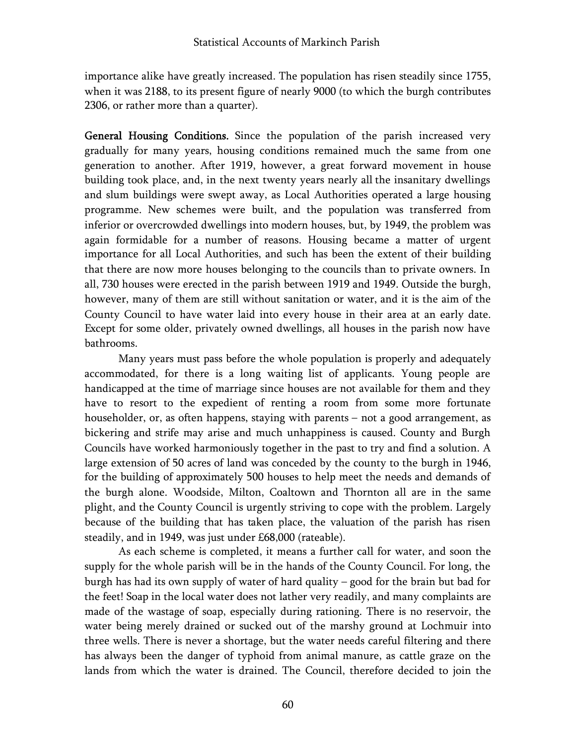importance alike have greatly increased. The population has risen steadily since 1755, when it was 2188, to its present figure of nearly 9000 (to which the burgh contributes 2306, or rather more than a quarter).

General Housing Conditions. Since the population of the parish increased very gradually for many years, housing conditions remained much the same from one generation to another. After 1919, however, a great forward movement in house building took place, and, in the next twenty years nearly all the insanitary dwellings and slum buildings were swept away, as Local Authorities operated a large housing programme. New schemes were built, and the population was transferred from inferior or overcrowded dwellings into modern houses, but, by 1949, the problem was again formidable for a number of reasons. Housing became a matter of urgent importance for all Local Authorities, and such has been the extent of their building that there are now more houses belonging to the councils than to private owners. In all, 730 houses were erected in the parish between 1919 and 1949. Outside the burgh, however, many of them are still without sanitation or water, and it is the aim of the County Council to have water laid into every house in their area at an early date. Except for some older, privately owned dwellings, all houses in the parish now have bathrooms.

Many years must pass before the whole population is properly and adequately accommodated, for there is a long waiting list of applicants. Young people are handicapped at the time of marriage since houses are not available for them and they have to resort to the expedient of renting a room from some more fortunate householder, or, as often happens, staying with parents – not a good arrangement, as bickering and strife may arise and much unhappiness is caused. County and Burgh Councils have worked harmoniously together in the past to try and find a solution. A large extension of 50 acres of land was conceded by the county to the burgh in 1946, for the building of approximately 500 houses to help meet the needs and demands of the burgh alone. Woodside, Milton, Coaltown and Thornton all are in the same plight, and the County Council is urgently striving to cope with the problem. Largely because of the building that has taken place, the valuation of the parish has risen steadily, and in 1949, was just under £68,000 (rateable).

As each scheme is completed, it means a further call for water, and soon the supply for the whole parish will be in the hands of the County Council. For long, the burgh has had its own supply of water of hard quality – good for the brain but bad for the feet! Soap in the local water does not lather very readily, and many complaints are made of the wastage of soap, especially during rationing. There is no reservoir, the water being merely drained or sucked out of the marshy ground at Lochmuir into three wells. There is never a shortage, but the water needs careful filtering and there has always been the danger of typhoid from animal manure, as cattle graze on the lands from which the water is drained. The Council, therefore decided to join the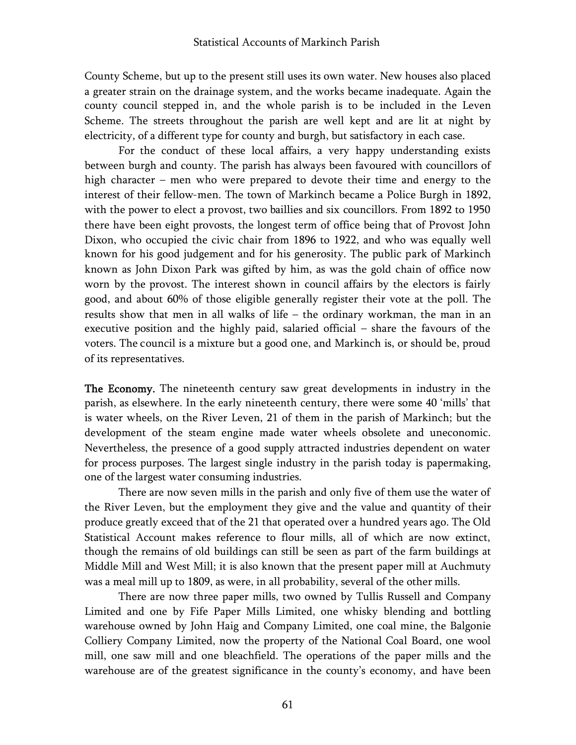County Scheme, but up to the present still uses its own water. New houses also placed a greater strain on the drainage system, and the works became inadequate. Again the county council stepped in, and the whole parish is to be included in the Leven Scheme. The streets throughout the parish are well kept and are lit at night by electricity, of a different type for county and burgh, but satisfactory in each case.

For the conduct of these local affairs, a very happy understanding exists between burgh and county. The parish has always been favoured with councillors of high character – men who were prepared to devote their time and energy to the interest of their fellow-men. The town of Markinch became a Police Burgh in 1892, with the power to elect a provost, two baillies and six councillors. From 1892 to 1950 there have been eight provosts, the longest term of office being that of Provost John Dixon, who occupied the civic chair from 1896 to 1922, and who was equally well known for his good judgement and for his generosity. The public park of Markinch known as John Dixon Park was gifted by him, as was the gold chain of office now worn by the provost. The interest shown in council affairs by the electors is fairly good, and about 60% of those eligible generally register their vote at the poll. The results show that men in all walks of life – the ordinary workman, the man in an executive position and the highly paid, salaried official – share the favours of the voters. The council is a mixture but a good one, and Markinch is, or should be, proud of its representatives.

The Economy. The nineteenth century saw great developments in industry in the parish, as elsewhere. In the early nineteenth century, there were some 40 'mills' that is water wheels, on the River Leven, 21 of them in the parish of Markinch; but the development of the steam engine made water wheels obsolete and uneconomic. Nevertheless, the presence of a good supply attracted industries dependent on water for process purposes. The largest single industry in the parish today is papermaking, one of the largest water consuming industries.

There are now seven mills in the parish and only five of them use the water of the River Leven, but the employment they give and the value and quantity of their produce greatly exceed that of the 21 that operated over a hundred years ago. The Old Statistical Account makes reference to flour mills, all of which are now extinct, though the remains of old buildings can still be seen as part of the farm buildings at Middle Mill and West Mill; it is also known that the present paper mill at Auchmuty was a meal mill up to 1809, as were, in all probability, several of the other mills.

There are now three paper mills, two owned by Tullis Russell and Company Limited and one by Fife Paper Mills Limited, one whisky blending and bottling warehouse owned by John Haig and Company Limited, one coal mine, the Balgonie Colliery Company Limited, now the property of the National Coal Board, one wool mill, one saw mill and one bleachfield. The operations of the paper mills and the warehouse are of the greatest significance in the county's economy, and have been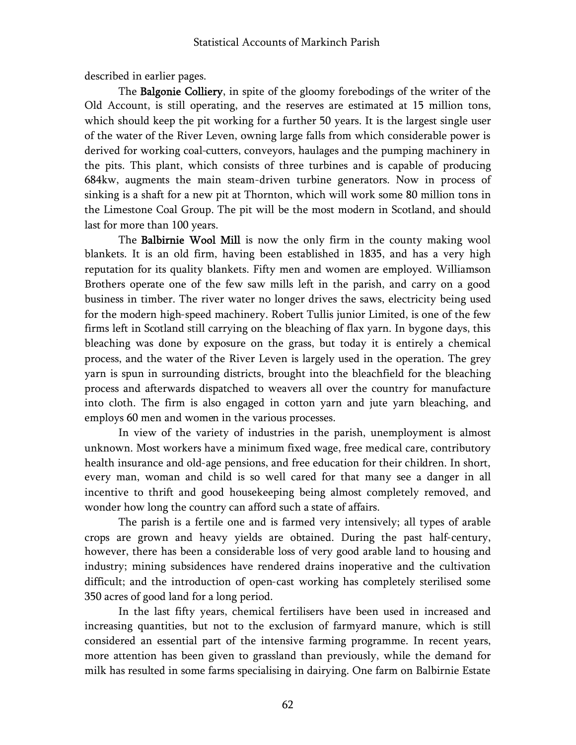described in earlier pages.

The Balgonie Colliery, in spite of the gloomy forebodings of the writer of the Old Account, is still operating, and the reserves are estimated at 15 million tons, which should keep the pit working for a further 50 years. It is the largest single user of the water of the River Leven, owning large falls from which considerable power is derived for working coal-cutters, conveyors, haulages and the pumping machinery in the pits. This plant, which consists of three turbines and is capable of producing 684kw, augments the main steam-driven turbine generators. Now in process of sinking is a shaft for a new pit at Thornton, which will work some 80 million tons in the Limestone Coal Group. The pit will be the most modern in Scotland, and should last for more than 100 years.

The Balbirnie Wool Mill is now the only firm in the county making wool blankets. It is an old firm, having been established in 1835, and has a very high reputation for its quality blankets. Fifty men and women are employed. Williamson Brothers operate one of the few saw mills left in the parish, and carry on a good business in timber. The river water no longer drives the saws, electricity being used for the modern high-speed machinery. Robert Tullis junior Limited, is one of the few firms left in Scotland still carrying on the bleaching of flax yarn. In bygone days, this bleaching was done by exposure on the grass, but today it is entirely a chemical process, and the water of the River Leven is largely used in the operation. The grey yarn is spun in surrounding districts, brought into the bleachfield for the bleaching process and afterwards dispatched to weavers all over the country for manufacture into cloth. The firm is also engaged in cotton yarn and jute yarn bleaching, and employs 60 men and women in the various processes.

In view of the variety of industries in the parish, unemployment is almost unknown. Most workers have a minimum fixed wage, free medical care, contributory health insurance and old-age pensions, and free education for their children. In short, every man, woman and child is so well cared for that many see a danger in all incentive to thrift and good housekeeping being almost completely removed, and wonder how long the country can afford such a state of affairs.

The parish is a fertile one and is farmed very intensively; all types of arable crops are grown and heavy yields are obtained. During the past half-century, however, there has been a considerable loss of very good arable land to housing and industry; mining subsidences have rendered drains inoperative and the cultivation difficult; and the introduction of open-cast working has completely sterilised some 350 acres of good land for a long period.

In the last fifty years, chemical fertilisers have been used in increased and increasing quantities, but not to the exclusion of farmyard manure, which is still considered an essential part of the intensive farming programme. In recent years, more attention has been given to grassland than previously, while the demand for milk has resulted in some farms specialising in dairying. One farm on Balbirnie Estate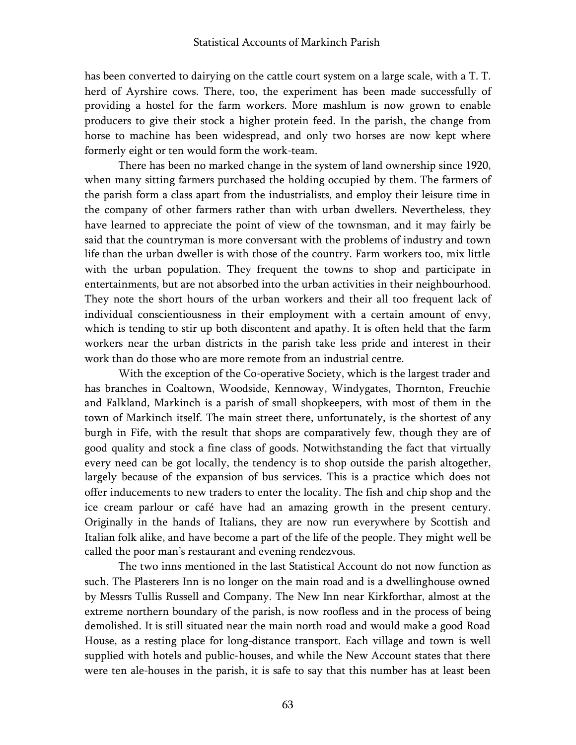has been converted to dairying on the cattle court system on a large scale, with a T. T. herd of Ayrshire cows. There, too, the experiment has been made successfully of providing a hostel for the farm workers. More mashlum is now grown to enable producers to give their stock a higher protein feed. In the parish, the change from horse to machine has been widespread, and only two horses are now kept where formerly eight or ten would form the work-team.

There has been no marked change in the system of land ownership since 1920, when many sitting farmers purchased the holding occupied by them. The farmers of the parish form a class apart from the industrialists, and employ their leisure time in the company of other farmers rather than with urban dwellers. Nevertheless, they have learned to appreciate the point of view of the townsman, and it may fairly be said that the countryman is more conversant with the problems of industry and town life than the urban dweller is with those of the country. Farm workers too, mix little with the urban population. They frequent the towns to shop and participate in entertainments, but are not absorbed into the urban activities in their neighbourhood. They note the short hours of the urban workers and their all too frequent lack of individual conscientiousness in their employment with a certain amount of envy, which is tending to stir up both discontent and apathy. It is often held that the farm workers near the urban districts in the parish take less pride and interest in their work than do those who are more remote from an industrial centre.

With the exception of the Co-operative Society, which is the largest trader and has branches in Coaltown, Woodside, Kennoway, Windygates, Thornton, Freuchie and Falkland, Markinch is a parish of small shopkeepers, with most of them in the town of Markinch itself. The main street there, unfortunately, is the shortest of any burgh in Fife, with the result that shops are comparatively few, though they are of good quality and stock a fine class of goods. Notwithstanding the fact that virtually every need can be got locally, the tendency is to shop outside the parish altogether, largely because of the expansion of bus services. This is a practice which does not offer inducements to new traders to enter the locality. The fish and chip shop and the ice cream parlour or café have had an amazing growth in the present century. Originally in the hands of Italians, they are now run everywhere by Scottish and Italian folk alike, and have become a part of the life of the people. They might well be called the poor man's restaurant and evening rendezvous.

The two inns mentioned in the last Statistical Account do not now function as such. The Plasterers Inn is no longer on the main road and is a dwellinghouse owned by Messrs Tullis Russell and Company. The New Inn near Kirkforthar, almost at the extreme northern boundary of the parish, is now roofless and in the process of being demolished. It is still situated near the main north road and would make a good Road House, as a resting place for long-distance transport. Each village and town is well supplied with hotels and public-houses, and while the New Account states that there were ten ale-houses in the parish, it is safe to say that this number has at least been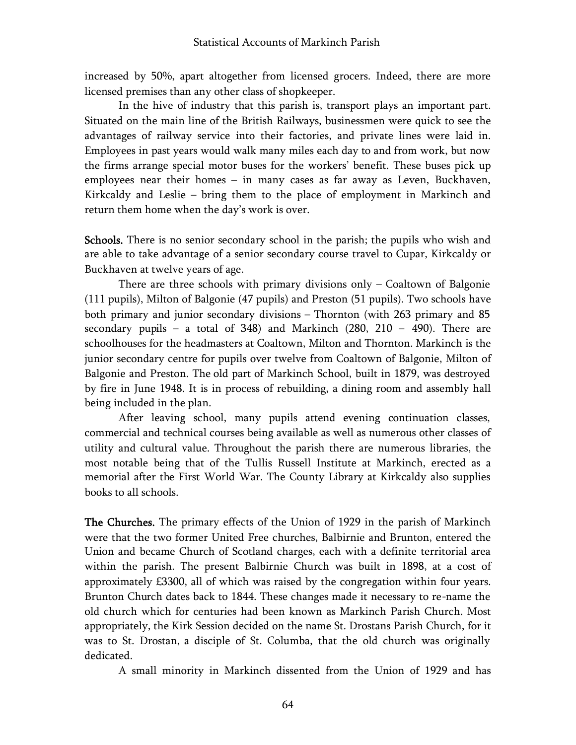increased by 50%, apart altogether from licensed grocers. Indeed, there are more licensed premises than any other class of shopkeeper.

In the hive of industry that this parish is, transport plays an important part. Situated on the main line of the British Railways, businessmen were quick to see the advantages of railway service into their factories, and private lines were laid in. Employees in past years would walk many miles each day to and from work, but now the firms arrange special motor buses for the workers' benefit. These buses pick up employees near their homes – in many cases as far away as Leven, Buckhaven, Kirkcaldy and Leslie – bring them to the place of employment in Markinch and return them home when the day's work is over.

Schools. There is no senior secondary school in the parish; the pupils who wish and are able to take advantage of a senior secondary course travel to Cupar, Kirkcaldy or Buckhaven at twelve years of age.

There are three schools with primary divisions only – Coaltown of Balgonie (111 pupils), Milton of Balgonie (47 pupils) and Preston (51 pupils). Two schools have both primary and junior secondary divisions – Thornton (with 263 primary and 85 secondary pupils – a total of 348) and Markinch (280, 210 – 490). There are schoolhouses for the headmasters at Coaltown, Milton and Thornton. Markinch is the junior secondary centre for pupils over twelve from Coaltown of Balgonie, Milton of Balgonie and Preston. The old part of Markinch School, built in 1879, was destroyed by fire in June 1948. It is in process of rebuilding, a dining room and assembly hall being included in the plan.

After leaving school, many pupils attend evening continuation classes, commercial and technical courses being available as well as numerous other classes of utility and cultural value. Throughout the parish there are numerous libraries, the most notable being that of the Tullis Russell Institute at Markinch, erected as a memorial after the First World War. The County Library at Kirkcaldy also supplies books to all schools.

The Churches. The primary effects of the Union of 1929 in the parish of Markinch were that the two former United Free churches, Balbirnie and Brunton, entered the Union and became Church of Scotland charges, each with a definite territorial area within the parish. The present Balbirnie Church was built in 1898, at a cost of approximately £3300, all of which was raised by the congregation within four years. Brunton Church dates back to 1844. These changes made it necessary to re-name the old church which for centuries had been known as Markinch Parish Church. Most appropriately, the Kirk Session decided on the name St. Drostans Parish Church, for it was to St. Drostan, a disciple of St. Columba, that the old church was originally dedicated.

A small minority in Markinch dissented from the Union of 1929 and has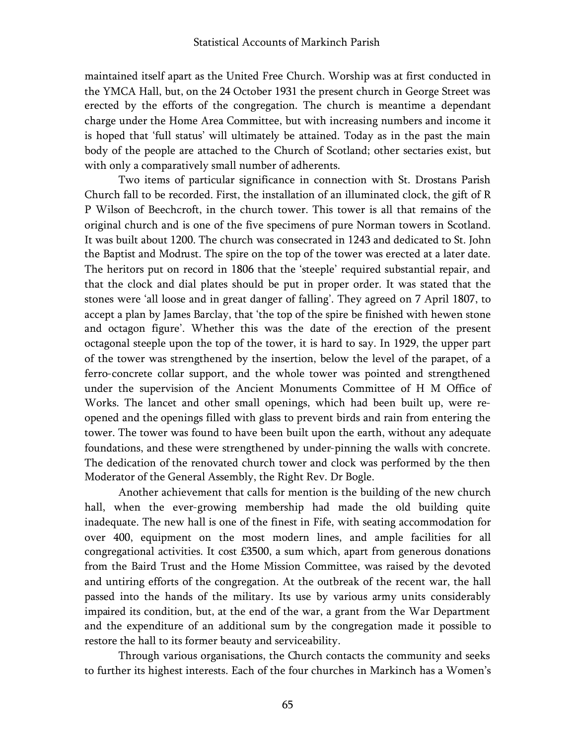maintained itself apart as the United Free Church. Worship was at first conducted in the YMCA Hall, but, on the 24 October 1931 the present church in George Street was erected by the efforts of the congregation. The church is meantime a dependant charge under the Home Area Committee, but with increasing numbers and income it is hoped that 'full status' will ultimately be attained. Today as in the past the main body of the people are attached to the Church of Scotland; other sectaries exist, but with only a comparatively small number of adherents.

Two items of particular significance in connection with St. Drostans Parish Church fall to be recorded. First, the installation of an illuminated clock, the gift of R P Wilson of Beechcroft, in the church tower. This tower is all that remains of the original church and is one of the five specimens of pure Norman towers in Scotland. It was built about 1200. The church was consecrated in 1243 and dedicated to St. John the Baptist and Modrust. The spire on the top of the tower was erected at a later date. The heritors put on record in 1806 that the 'steeple' required substantial repair, and that the clock and dial plates should be put in proper order. It was stated that the stones were 'all loose and in great danger of falling'. They agreed on 7 April 1807, to accept a plan by James Barclay, that 'the top of the spire be finished with hewen stone and octagon figure'. Whether this was the date of the erection of the present octagonal steeple upon the top of the tower, it is hard to say. In 1929, the upper part of the tower was strengthened by the insertion, below the level of the parapet, of a ferro-concrete collar support, and the whole tower was pointed and strengthened under the supervision of the Ancient Monuments Committee of H M Office of Works. The lancet and other small openings, which had been built up, were reopened and the openings filled with glass to prevent birds and rain from entering the tower. The tower was found to have been built upon the earth, without any adequate foundations, and these were strengthened by under-pinning the walls with concrete. The dedication of the renovated church tower and clock was performed by the then Moderator of the General Assembly, the Right Rev. Dr Bogle.

Another achievement that calls for mention is the building of the new church hall, when the ever-growing membership had made the old building quite inadequate. The new hall is one of the finest in Fife, with seating accommodation for over 400, equipment on the most modern lines, and ample facilities for all congregational activities. It cost £3500, a sum which, apart from generous donations from the Baird Trust and the Home Mission Committee, was raised by the devoted and untiring efforts of the congregation. At the outbreak of the recent war, the hall passed into the hands of the military. Its use by various army units considerably impaired its condition, but, at the end of the war, a grant from the War Department and the expenditure of an additional sum by the congregation made it possible to restore the hall to its former beauty and serviceability.

Through various organisations, the Church contacts the community and seeks to further its highest interests. Each of the four churches in Markinch has a Women's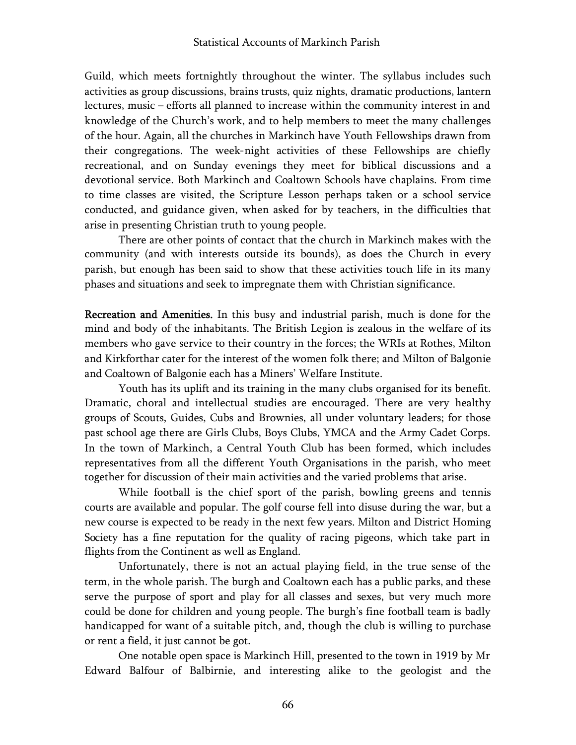Guild, which meets fortnightly throughout the winter. The syllabus includes such activities as group discussions, brains trusts, quiz nights, dramatic productions, lantern lectures, music – efforts all planned to increase within the community interest in and knowledge of the Church's work, and to help members to meet the many challenges of the hour. Again, all the churches in Markinch have Youth Fellowships drawn from their congregations. The week-night activities of these Fellowships are chiefly recreational, and on Sunday evenings they meet for biblical discussions and a devotional service. Both Markinch and Coaltown Schools have chaplains. From time to time classes are visited, the Scripture Lesson perhaps taken or a school service conducted, and guidance given, when asked for by teachers, in the difficulties that arise in presenting Christian truth to young people.

There are other points of contact that the church in Markinch makes with the community (and with interests outside its bounds), as does the Church in every parish, but enough has been said to show that these activities touch life in its many phases and situations and seek to impregnate them with Christian significance.

Recreation and Amenities. In this busy and industrial parish, much is done for the mind and body of the inhabitants. The British Legion is zealous in the welfare of its members who gave service to their country in the forces; the WRIs at Rothes, Milton and Kirkforthar cater for the interest of the women folk there; and Milton of Balgonie and Coaltown of Balgonie each has a Miners' Welfare Institute.

Youth has its uplift and its training in the many clubs organised for its benefit. Dramatic, choral and intellectual studies are encouraged. There are very healthy groups of Scouts, Guides, Cubs and Brownies, all under voluntary leaders; for those past school age there are Girls Clubs, Boys Clubs, YMCA and the Army Cadet Corps. In the town of Markinch, a Central Youth Club has been formed, which includes representatives from all the different Youth Organisations in the parish, who meet together for discussion of their main activities and the varied problems that arise.

While football is the chief sport of the parish, bowling greens and tennis courts are available and popular. The golf course fell into disuse during the war, but a new course is expected to be ready in the next few years. Milton and District Homing Society has a fine reputation for the quality of racing pigeons, which take part in flights from the Continent as well as England.

Unfortunately, there is not an actual playing field, in the true sense of the term, in the whole parish. The burgh and Coaltown each has a public parks, and these serve the purpose of sport and play for all classes and sexes, but very much more could be done for children and young people. The burgh's fine football team is badly handicapped for want of a suitable pitch, and, though the club is willing to purchase or rent a field, it just cannot be got.

One notable open space is Markinch Hill, presented to the town in 1919 by Mr Edward Balfour of Balbirnie, and interesting alike to the geologist and the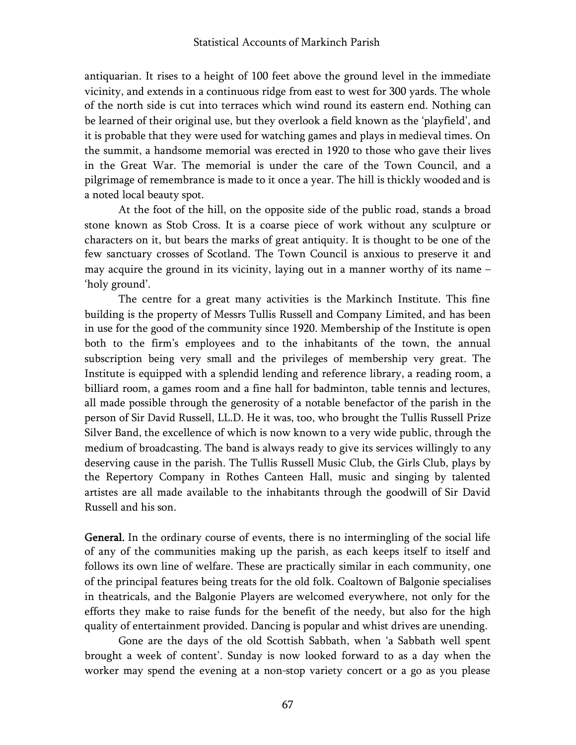antiquarian. It rises to a height of 100 feet above the ground level in the immediate vicinity, and extends in a continuous ridge from east to west for 300 yards. The whole of the north side is cut into terraces which wind round its eastern end. Nothing can be learned of their original use, but they overlook a field known as the 'playfield', and it is probable that they were used for watching games and plays in medieval times. On the summit, a handsome memorial was erected in 1920 to those who gave their lives in the Great War. The memorial is under the care of the Town Council, and a pilgrimage of remembrance is made to it once a year. The hill is thickly wooded and is a noted local beauty spot.

At the foot of the hill, on the opposite side of the public road, stands a broad stone known as Stob Cross. It is a coarse piece of work without any sculpture or characters on it, but bears the marks of great antiquity. It is thought to be one of the few sanctuary crosses of Scotland. The Town Council is anxious to preserve it and may acquire the ground in its vicinity, laying out in a manner worthy of its name – 'holy ground'.

The centre for a great many activities is the Markinch Institute. This fine building is the property of Messrs Tullis Russell and Company Limited, and has been in use for the good of the community since 1920. Membership of the Institute is open both to the firm's employees and to the inhabitants of the town, the annual subscription being very small and the privileges of membership very great. The Institute is equipped with a splendid lending and reference library, a reading room, a billiard room, a games room and a fine hall for badminton, table tennis and lectures, all made possible through the generosity of a notable benefactor of the parish in the person of Sir David Russell, LL.D. He it was, too, who brought the Tullis Russell Prize Silver Band, the excellence of which is now known to a very wide public, through the medium of broadcasting. The band is always ready to give its services willingly to any deserving cause in the parish. The Tullis Russell Music Club, the Girls Club, plays by the Repertory Company in Rothes Canteen Hall, music and singing by talented artistes are all made available to the inhabitants through the goodwill of Sir David Russell and his son.

General. In the ordinary course of events, there is no intermingling of the social life of any of the communities making up the parish, as each keeps itself to itself and follows its own line of welfare. These are practically similar in each community, one of the principal features being treats for the old folk. Coaltown of Balgonie specialises in theatricals, and the Balgonie Players are welcomed everywhere, not only for the efforts they make to raise funds for the benefit of the needy, but also for the high quality of entertainment provided. Dancing is popular and whist drives are unending.

Gone are the days of the old Scottish Sabbath, when 'a Sabbath well spent brought a week of content'. Sunday is now looked forward to as a day when the worker may spend the evening at a non-stop variety concert or a go as you please